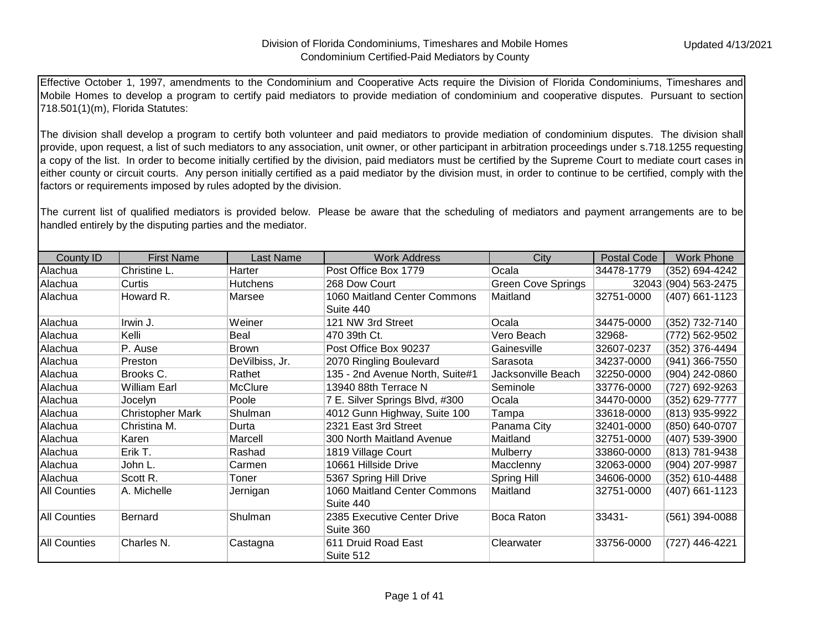Effective October 1, 1997, amendments to the Condominium and Cooperative Acts require the Division of Florida Condominiums, Timeshares and Mobile Homes to develop a program to certify paid mediators to provide mediation of condominium and cooperative disputes. Pursuant to section 718.501(1)(m), Florida Statutes:

The division shall develop a program to certify both volunteer and paid mediators to provide mediation of condominium disputes. The division shall provide, upon request, a list of such mediators to any association, unit owner, or other participant in arbitration proceedings under s.718.1255 requesting a copy of the list. In order to become initially certified by the division, paid mediators must be certified by the Supreme Court to mediate court cases in either county or circuit courts. Any person initially certified as a paid mediator by the division must, in order to continue to be certified, comply with the factors or requirements imposed by rules adopted by the division.

The current list of qualified mediators is provided below. Please be aware that the scheduling of mediators and payment arrangements are to be handled entirely by the disputing parties and the mediator.

| County ID           | <b>First Name</b>       | Last Name       | <b>Work Address</b>                       | City                      | Postal Code | Work Phone         |
|---------------------|-------------------------|-----------------|-------------------------------------------|---------------------------|-------------|--------------------|
| Alachua             | Christine L.            | Harter          | Post Office Box 1779                      | Ocala                     | 34478-1779  | (352) 694-4242     |
| Alachua             | Curtis                  | <b>Hutchens</b> | 268 Dow Court                             | <b>Green Cove Springs</b> | 32043       | $(904) 563 - 2475$ |
| Alachua             | Howard R.               | Marsee          | 1060 Maitland Center Commons<br>Suite 440 | Maitland                  | 32751-0000  | (407) 661-1123     |
| Alachua             | Irwin J.                | Weiner          | 121 NW 3rd Street                         | Ocala                     | 34475-0000  | (352) 732-7140     |
| Alachua             | Kelli                   | Beal            | 470 39th Ct.                              | Vero Beach                | 32968-      | (772) 562-9502     |
| Alachua             | P. Ause                 | <b>Brown</b>    | Post Office Box 90237                     | Gainesville               | 32607-0237  | (352) 376-4494     |
| Alachua             | Preston                 | DeVilbiss, Jr.  | 2070 Ringling Boulevard                   | Sarasota                  | 34237-0000  | (941) 366-7550     |
| Alachua             | Brooks C.               | Rathet          | 135 - 2nd Avenue North, Suite#1           | Jacksonville Beach        | 32250-0000  | (904) 242-0860     |
| Alachua             | <b>William Earl</b>     | <b>McClure</b>  | 13940 88th Terrace N                      | Seminole                  | 33776-0000  | (727) 692-9263     |
| Alachua             | Jocelyn                 | Poole           | 7 E. Silver Springs Blvd, #300            | Ocala                     | 34470-0000  | (352) 629-7777     |
| Alachua             | <b>Christopher Mark</b> | Shulman         | 4012 Gunn Highway, Suite 100              | Tampa                     | 33618-0000  | (813) 935-9922     |
| Alachua             | Christina M.            | Durta           | 2321 East 3rd Street                      | Panama City               | 32401-0000  | (850) 640-0707     |
| Alachua             | Karen                   | Marcell         | 300 North Maitland Avenue                 | Maitland                  | 32751-0000  | (407) 539-3900     |
| Alachua             | Erik T.                 | Rashad          | 1819 Village Court                        | <b>Mulberry</b>           | 33860-0000  | (813) 781-9438     |
| Alachua             | John L.                 | Carmen          | 10661 Hillside Drive                      | Macclenny                 | 32063-0000  | (904) 207-9987     |
| Alachua             | Scott R.                | Toner           | 5367 Spring Hill Drive                    | <b>Spring Hill</b>        | 34606-0000  | (352) 610-4488     |
| <b>All Counties</b> | A. Michelle             | Jernigan        | 1060 Maitland Center Commons<br>Suite 440 | Maitland                  | 32751-0000  | (407) 661-1123     |
| <b>All Counties</b> | Bernard                 | Shulman         | 2385 Executive Center Drive<br>Suite 360  | Boca Raton                | 33431-      | (561) 394-0088     |
| <b>All Counties</b> | Charles N.              | Castagna        | 611 Druid Road East<br>Suite 512          | Clearwater                | 33756-0000  | (727) 446-4221     |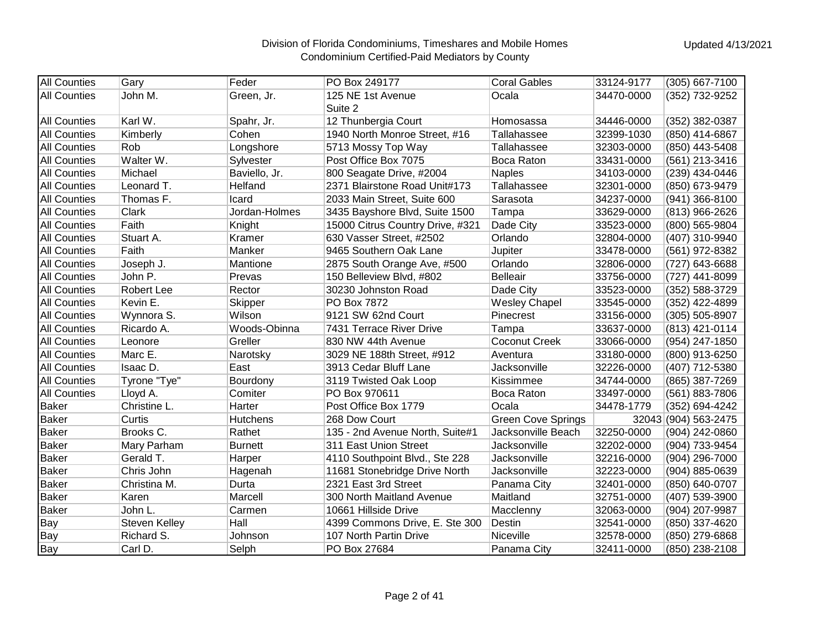| <b>All Counties</b> | Gary                 | Feder           | PO Box 249177                    | <b>Coral Gables</b>       | 33124-9177 | (305) 667-7100       |
|---------------------|----------------------|-----------------|----------------------------------|---------------------------|------------|----------------------|
| <b>All Counties</b> | John M.              | Green, Jr.      | 125 NE 1st Avenue<br>Suite 2     | Ocala                     | 34470-0000 | (352) 732-9252       |
| <b>All Counties</b> | Karl W.              | Spahr, Jr.      | 12 Thunbergia Court              | Homosassa                 | 34446-0000 | (352) 382-0387       |
| <b>All Counties</b> | Kimberly             | Cohen           | 1940 North Monroe Street, #16    | Tallahassee               | 32399-1030 | (850) 414-6867       |
| <b>All Counties</b> | Rob                  | Longshore       | 5713 Mossy Top Way               | Tallahassee               | 32303-0000 | (850) 443-5408       |
| <b>All Counties</b> | Walter W.            | Sylvester       | Post Office Box 7075             | Boca Raton                | 33431-0000 | (561) 213-3416       |
| <b>All Counties</b> | Michael              | Baviello, Jr.   | 800 Seagate Drive, #2004         | <b>Naples</b>             | 34103-0000 | (239) 434-0446       |
| <b>All Counties</b> | Leonard T.           | Helfand         | 2371 Blairstone Road Unit#173    | Tallahassee               | 32301-0000 | (850) 673-9479       |
| <b>All Counties</b> | Thomas F.            | Icard           | 2033 Main Street, Suite 600      | Sarasota                  | 34237-0000 | (941) 366-8100       |
| <b>All Counties</b> | Clark                | Jordan-Holmes   | 3435 Bayshore Blvd, Suite 1500   | Tampa                     | 33629-0000 | (813) 966-2626       |
| <b>All Counties</b> | Faith                | Knight          | 15000 Citrus Country Drive, #321 | Dade City                 | 33523-0000 | (800) 565-9804       |
| <b>All Counties</b> | Stuart A.            | Kramer          | 630 Vasser Street, #2502         | Orlando                   | 32804-0000 | (407) 310-9940       |
| <b>All Counties</b> | Faith                | Manker          | 9465 Southern Oak Lane           | Jupiter                   | 33478-0000 | (561) 972-8382       |
| <b>All Counties</b> | Joseph J.            | Mantione        | 2875 South Orange Ave, #500      | Orlando                   | 32806-0000 | (727) 643-6688       |
| <b>All Counties</b> | John P.              | Prevas          | 150 Belleview Blvd, #802         | <b>Belleair</b>           | 33756-0000 | (727) 441-8099       |
| <b>All Counties</b> | <b>Robert Lee</b>    | Rector          | 30230 Johnston Road              | Dade City                 | 33523-0000 | (352) 588-3729       |
| <b>All Counties</b> | Kevin E.             | Skipper         | PO Box 7872                      | <b>Wesley Chapel</b>      | 33545-0000 | (352) 422-4899       |
| <b>All Counties</b> | Wynnora S.           | Wilson          | 9121 SW 62nd Court               | Pinecrest                 | 33156-0000 | (305) 505-8907       |
| <b>All Counties</b> | Ricardo A.           | Woods-Obinna    | 7431 Terrace River Drive         | Tampa                     | 33637-0000 | (813) 421-0114       |
| <b>All Counties</b> | Leonore              | Greller         | 830 NW 44th Avenue               | <b>Coconut Creek</b>      | 33066-0000 | (954) 247-1850       |
| <b>All Counties</b> | Marc E.              | Narotsky        | 3029 NE 188th Street, #912       | Aventura                  | 33180-0000 | (800) 913-6250       |
| <b>All Counties</b> | Isaac D.             | East            | 3913 Cedar Bluff Lane            | Jacksonville              | 32226-0000 | (407) 712-5380       |
| <b>All Counties</b> | Tyrone "Tye"         | Bourdony        | 3119 Twisted Oak Loop            | Kissimmee                 | 34744-0000 | (865) 387-7269       |
| <b>All Counties</b> | Lloyd A.             | Comiter         | PO Box 970611                    | Boca Raton                | 33497-0000 | (561) 883-7806       |
| <b>Baker</b>        | Christine L.         | Harter          | Post Office Box 1779             | Ocala                     | 34478-1779 | (352) 694-4242       |
| <b>Baker</b>        | Curtis               | <b>Hutchens</b> | 268 Dow Court                    | <b>Green Cove Springs</b> |            | 32043 (904) 563-2475 |
| <b>Baker</b>        | Brooks C.            | Rathet          | 135 - 2nd Avenue North, Suite#1  | Jacksonville Beach        | 32250-0000 | (904) 242-0860       |
| <b>Baker</b>        | Mary Parham          | <b>Burnett</b>  | 311 East Union Street            | Jacksonville              | 32202-0000 | (904) 733-9454       |
| <b>Baker</b>        | Gerald T.            | Harper          | 4110 Southpoint Blvd., Ste 228   | Jacksonville              | 32216-0000 | (904) 296-7000       |
| <b>Baker</b>        | Chris John           | Hagenah         | 11681 Stonebridge Drive North    | Jacksonville              | 32223-0000 | (904) 885-0639       |
| Baker               | Christina M.         | Durta           | 2321 East 3rd Street             | Panama City               | 32401-0000 | (850) 640-0707       |
| <b>Baker</b>        | Karen                | Marcell         | 300 North Maitland Avenue        | Maitland                  | 32751-0000 | (407) 539-3900       |
| <b>Baker</b>        | John L.              | Carmen          | 10661 Hillside Drive             | Macclenny                 | 32063-0000 | (904) 207-9987       |
| Bay                 | <b>Steven Kelley</b> | Hall            | 4399 Commons Drive, E. Ste 300   | Destin                    | 32541-0000 | (850) 337-4620       |
| Bay                 | Richard S.           | Johnson         | 107 North Partin Drive           | Niceville                 | 32578-0000 | (850) 279-6868       |
| Bay                 | Carl D.              | Selph           | PO Box 27684                     | Panama City               | 32411-0000 | (850) 238-2108       |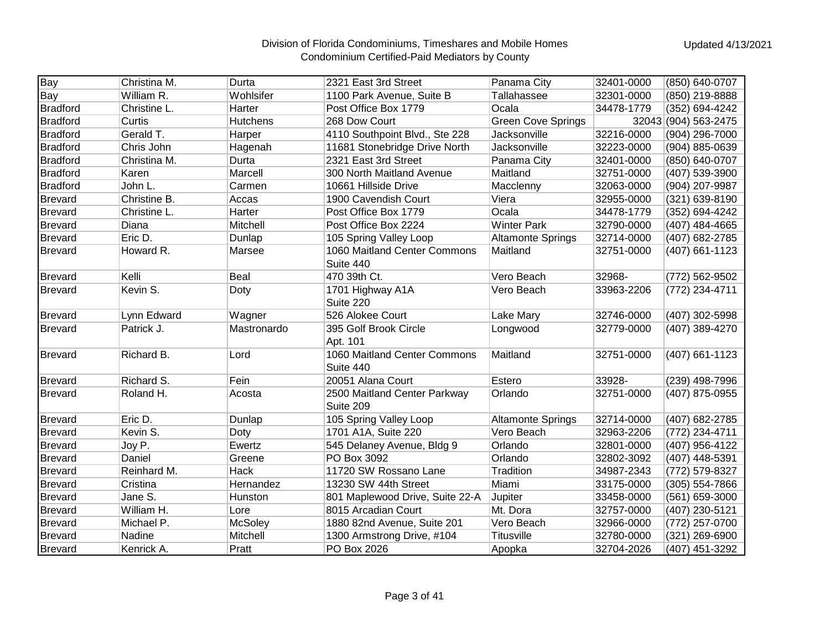| Bay             | Christina M. | Durta           | 2321 East 3rd Street            | Panama City               | 32401-0000 | (850) 640-0707       |
|-----------------|--------------|-----------------|---------------------------------|---------------------------|------------|----------------------|
| Bay             | William R.   | Wohlsifer       | 1100 Park Avenue, Suite B       | Tallahassee               | 32301-0000 | (850) 219-8888       |
| <b>Bradford</b> | Christine L. | Harter          | Post Office Box 1779            | Ocala                     | 34478-1779 | (352) 694-4242       |
| <b>Bradford</b> | Curtis       | <b>Hutchens</b> | 268 Dow Court                   | <b>Green Cove Springs</b> |            | 32043 (904) 563-2475 |
| <b>Bradford</b> | Gerald T.    | Harper          | 4110 Southpoint Blvd., Ste 228  | Jacksonville              | 32216-0000 | (904) 296-7000       |
| <b>Bradford</b> | Chris John   | Hagenah         | 11681 Stonebridge Drive North   | Jacksonville              | 32223-0000 | (904) 885-0639       |
| <b>Bradford</b> | Christina M. | Durta           | 2321 East 3rd Street            | Panama City               | 32401-0000 | (850) 640-0707       |
| <b>Bradford</b> | Karen        | Marcell         | 300 North Maitland Avenue       | Maitland                  | 32751-0000 | (407) 539-3900       |
| <b>Bradford</b> | John L.      | Carmen          | 10661 Hillside Drive            | Macclenny                 | 32063-0000 | (904) 207-9987       |
| <b>Brevard</b>  | Christine B. | Accas           | 1900 Cavendish Court            | Viera                     | 32955-0000 | (321) 639-8190       |
| <b>Brevard</b>  | Christine L. | Harter          | Post Office Box 1779            | Ocala                     | 34478-1779 | (352) 694-4242       |
| <b>Brevard</b>  | Diana        | Mitchell        | Post Office Box 2224            | <b>Winter Park</b>        | 32790-0000 | (407) 484-4665       |
| <b>Brevard</b>  | Eric D.      | Dunlap          | 105 Spring Valley Loop          | <b>Altamonte Springs</b>  | 32714-0000 | (407) 682-2785       |
| <b>Brevard</b>  | Howard R.    | Marsee          | 1060 Maitland Center Commons    | Maitland                  | 32751-0000 | (407) 661-1123       |
|                 |              |                 | Suite 440                       |                           |            |                      |
| <b>Brevard</b>  | Kelli        | <b>Beal</b>     | 470 39th Ct.                    | Vero Beach                | 32968-     | (772) 562-9502       |
| <b>Brevard</b>  | Kevin S.     | Doty            | 1701 Highway A1A                | Vero Beach                | 33963-2206 | (772) 234-4711       |
|                 |              |                 | Suite 220                       |                           |            |                      |
| <b>Brevard</b>  | Lynn Edward  | Wagner          | 526 Alokee Court                | Lake Mary                 | 32746-0000 | (407) 302-5998       |
| <b>Brevard</b>  | Patrick J.   | Mastronardo     | 395 Golf Brook Circle           | Longwood                  | 32779-0000 | (407) 389-4270       |
|                 |              |                 | Apt. 101                        |                           |            |                      |
| Brevard         | Richard B.   | Lord            | 1060 Maitland Center Commons    | Maitland                  | 32751-0000 | (407) 661-1123       |
|                 |              |                 | Suite 440                       |                           |            |                      |
| <b>Brevard</b>  | Richard S.   | Fein            | 20051 Alana Court               | Estero                    | 33928-     | (239) 498-7996       |
| <b>Brevard</b>  | Roland H.    | Acosta          | 2500 Maitland Center Parkway    | Orlando                   | 32751-0000 | (407) 875-0955       |
|                 |              |                 | Suite 209                       |                           |            |                      |
| <b>Brevard</b>  | Eric D.      | Dunlap          | 105 Spring Valley Loop          | <b>Altamonte Springs</b>  | 32714-0000 | (407) 682-2785       |
| <b>Brevard</b>  | Kevin S.     | Doty            | 1701 A1A, Suite 220             | Vero Beach                | 32963-2206 | (772) 234-4711       |
| <b>Brevard</b>  | Joy P.       | Ewertz          | 545 Delaney Avenue, Bldg 9      | Orlando                   | 32801-0000 | (407) 956-4122       |
| Brevard         | Daniel       | Greene          | PO Box 3092                     | Orlando                   | 32802-3092 | (407) 448-5391       |
| <b>Brevard</b>  | Reinhard M.  | <b>Hack</b>     | 11720 SW Rossano Lane           | Tradition                 | 34987-2343 | (772) 579-8327       |
| <b>Brevard</b>  | Cristina     | Hernandez       | 13230 SW 44th Street            | Miami                     | 33175-0000 | (305) 554-7866       |
| <b>Brevard</b>  | Jane S.      | Hunston         | 801 Maplewood Drive, Suite 22-A | Jupiter                   | 33458-0000 | (561) 659-3000       |
| <b>Brevard</b>  | William H.   | Lore            | 8015 Arcadian Court             | Mt. Dora                  | 32757-0000 | (407) 230-5121       |
| <b>Brevard</b>  | Michael P.   | <b>McSoley</b>  | 1880 82nd Avenue, Suite 201     | Vero Beach                | 32966-0000 | (772) 257-0700       |
| <b>Brevard</b>  | Nadine       | Mitchell        | 1300 Armstrong Drive, #104      | Titusville                | 32780-0000 | (321) 269-6900       |
| Brevard         | Kenrick A.   | Pratt           | PO Box 2026                     | Apopka                    | 32704-2026 | (407) 451-3292       |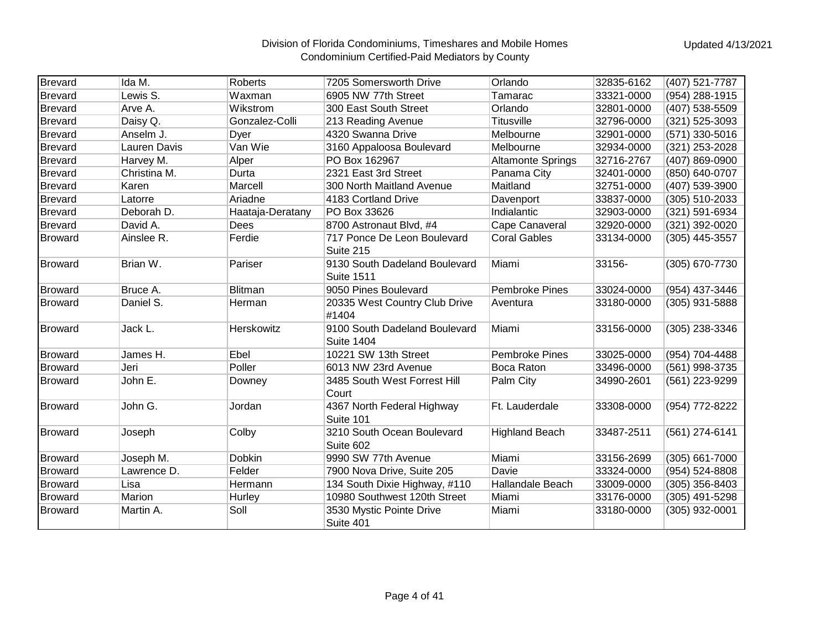| <b>Brevard</b> | Ida M.       | Roberts          | 7205 Somersworth Drive                             | Orlando                  | 32835-6162 | (407) 521-7787 |
|----------------|--------------|------------------|----------------------------------------------------|--------------------------|------------|----------------|
| <b>Brevard</b> | Lewis S.     | Waxman           | 6905 NW 77th Street                                | Tamarac                  | 33321-0000 | (954) 288-1915 |
| <b>Brevard</b> | Arve A.      | Wikstrom         | 300 East South Street                              | Orlando                  | 32801-0000 | (407) 538-5509 |
| <b>Brevard</b> | Daisy Q.     | Gonzalez-Colli   | 213 Reading Avenue                                 | <b>Titusville</b>        | 32796-0000 | (321) 525-3093 |
| <b>Brevard</b> | Anselm J.    | Dyer             | 4320 Swanna Drive                                  | Melbourne                | 32901-0000 | (571) 330-5016 |
| <b>Brevard</b> | Lauren Davis | Van Wie          | 3160 Appaloosa Boulevard                           | Melbourne                | 32934-0000 | (321) 253-2028 |
| <b>Brevard</b> | Harvey M.    | Alper            | PO Box 162967                                      | <b>Altamonte Springs</b> | 32716-2767 | (407) 869-0900 |
| <b>Brevard</b> | Christina M. | Durta            | 2321 East 3rd Street                               | Panama City              | 32401-0000 | (850) 640-0707 |
| <b>Brevard</b> | Karen        | Marcell          | 300 North Maitland Avenue                          | Maitland                 | 32751-0000 | (407) 539-3900 |
| <b>Brevard</b> | Latorre      | Ariadne          | 4183 Cortland Drive                                | Davenport                | 33837-0000 | (305) 510-2033 |
| <b>Brevard</b> | Deborah D.   | Haataja-Deratany | PO Box 33626                                       | Indialantic              | 32903-0000 | (321) 591-6934 |
| <b>Brevard</b> | David A.     | Dees             | 8700 Astronaut Blvd, #4                            | Cape Canaveral           | 32920-0000 | (321) 392-0020 |
| <b>Broward</b> | Ainslee R.   | Ferdie           | 717 Ponce De Leon Boulevard<br>Suite 215           | <b>Coral Gables</b>      | 33134-0000 | (305) 445-3557 |
| <b>Broward</b> | Brian W.     | Pariser          | 9130 South Dadeland Boulevard<br><b>Suite 1511</b> | Miami                    | 33156-     | (305) 670-7730 |
| <b>Broward</b> | Bruce A.     | <b>Blitman</b>   | 9050 Pines Boulevard                               | <b>Pembroke Pines</b>    | 33024-0000 | (954) 437-3446 |
| <b>Broward</b> | Daniel S.    | Herman           | 20335 West Country Club Drive<br>#1404             | Aventura                 | 33180-0000 | (305) 931-5888 |
| <b>Broward</b> | Jack L.      | Herskowitz       | 9100 South Dadeland Boulevard<br><b>Suite 1404</b> | Miami                    | 33156-0000 | (305) 238-3346 |
| <b>Broward</b> | James H.     | Ebel             | 10221 SW 13th Street                               | Pembroke Pines           | 33025-0000 | (954) 704-4488 |
| <b>Broward</b> | Jeri         | Poller           | 6013 NW 23rd Avenue                                | Boca Raton               | 33496-0000 | (561) 998-3735 |
| <b>Broward</b> | John E.      | Downey           | 3485 South West Forrest Hill<br>Court              | Palm City                | 34990-2601 | (561) 223-9299 |
| <b>Broward</b> | John G.      | Jordan           | 4367 North Federal Highway<br>Suite 101            | Ft. Lauderdale           | 33308-0000 | (954) 772-8222 |
| Broward        | Joseph       | Colby            | 3210 South Ocean Boulevard<br>Suite 602            | <b>Highland Beach</b>    | 33487-2511 | (561) 274-6141 |
| <b>Broward</b> | Joseph M.    | Dobkin           | 9990 SW 77th Avenue                                | Miami                    | 33156-2699 | (305) 661-7000 |
| <b>Broward</b> | Lawrence D.  | Felder           | 7900 Nova Drive, Suite 205                         | Davie                    | 33324-0000 | (954) 524-8808 |
| <b>Broward</b> | Lisa         | Hermann          | 134 South Dixie Highway, #110                      | Hallandale Beach         | 33009-0000 | (305) 356-8403 |
| <b>Broward</b> | Marion       | Hurley           | 10980 Southwest 120th Street                       | Miami                    | 33176-0000 | (305) 491-5298 |
| <b>Broward</b> | Martin A.    | Soll             | 3530 Mystic Pointe Drive<br>Suite 401              | Miami                    | 33180-0000 | (305) 932-0001 |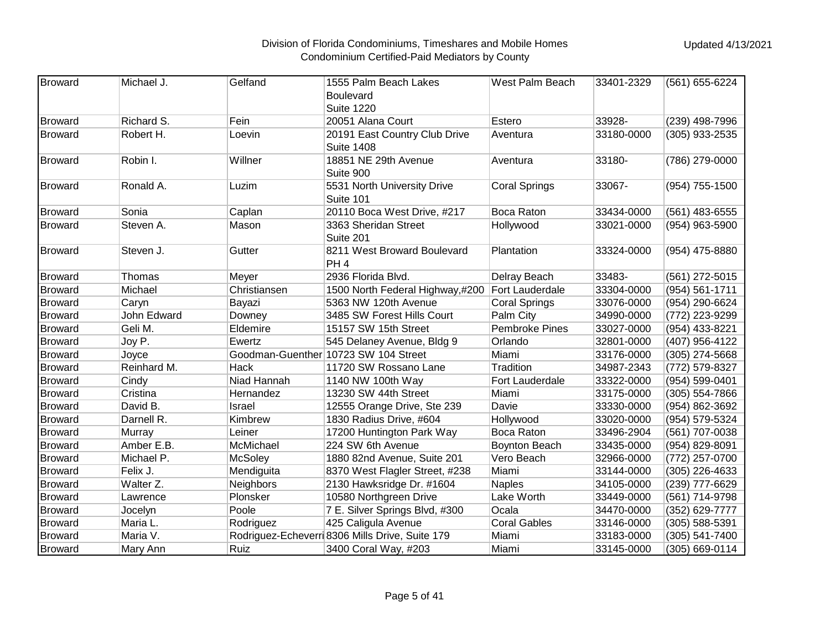| Broward        | Michael J.  | Gelfand      | 1555 Palm Beach Lakes                          | West Palm Beach        | 33401-2329 | (561) 655-6224 |
|----------------|-------------|--------------|------------------------------------------------|------------------------|------------|----------------|
|                |             |              | Boulevard                                      |                        |            |                |
|                |             |              | <b>Suite 1220</b>                              |                        |            |                |
| <b>Broward</b> | Richard S.  | Fein         | 20051 Alana Court                              | Estero                 | 33928-     | (239) 498-7996 |
| <b>Broward</b> | Robert H.   | Loevin       | 20191 East Country Club Drive                  | Aventura               | 33180-0000 | (305) 933-2535 |
|                |             |              | <b>Suite 1408</b>                              |                        |            |                |
| <b>Broward</b> | Robin I.    | Willner      | 18851 NE 29th Avenue                           | Aventura               | 33180-     | (786) 279-0000 |
|                |             |              | Suite 900                                      |                        |            |                |
| <b>Broward</b> | Ronald A.   | Luzim        | 5531 North University Drive                    | <b>Coral Springs</b>   | 33067-     | (954) 755-1500 |
|                |             |              | Suite 101                                      |                        |            |                |
| <b>Broward</b> | Sonia       | Caplan       | 20110 Boca West Drive, #217                    | Boca Raton             | 33434-0000 | (561) 483-6555 |
| <b>Broward</b> | Steven A.   | Mason        | 3363 Sheridan Street                           | Hollywood              | 33021-0000 | (954) 963-5900 |
|                |             |              | Suite 201                                      |                        |            |                |
| <b>Broward</b> | Steven J.   | Gutter       | 8211 West Broward Boulevard                    | Plantation             | 33324-0000 | (954) 475-8880 |
|                |             |              | PH <sub>4</sub>                                |                        |            |                |
| <b>Broward</b> | Thomas      | Meyer        | 2936 Florida Blvd.                             | Delray Beach           | 33483-     | (561) 272-5015 |
| <b>Broward</b> | Michael     | Christiansen | 1500 North Federal Highway,#200                | <b>Fort Lauderdale</b> | 33304-0000 | (954) 561-1711 |
| <b>Broward</b> | Caryn       | Bayazi       | 5363 NW 120th Avenue                           | <b>Coral Springs</b>   | 33076-0000 | (954) 290-6624 |
| <b>Broward</b> | John Edward | Downey       | 3485 SW Forest Hills Court                     | Palm City              | 34990-0000 | (772) 223-9299 |
| <b>Broward</b> | Geli M.     | Eldemire     | 15157 SW 15th Street                           | Pembroke Pines         | 33027-0000 | (954) 433-8221 |
| <b>Broward</b> | Joy P.      | Ewertz       | 545 Delaney Avenue, Bldg 9                     | Orlando                | 32801-0000 | (407) 956-4122 |
| <b>Broward</b> | Joyce       |              | Goodman-Guenther 10723 SW 104 Street           | Miami                  | 33176-0000 | (305) 274-5668 |
| <b>Broward</b> | Reinhard M. | Hack         | 11720 SW Rossano Lane                          | Tradition              | 34987-2343 | (772) 579-8327 |
| <b>Broward</b> | Cindy       | Niad Hannah  | 1140 NW 100th Way                              | Fort Lauderdale        | 33322-0000 | (954) 599-0401 |
| <b>Broward</b> | Cristina    | Hernandez    | 13230 SW 44th Street                           | Miami                  | 33175-0000 | (305) 554-7866 |
| <b>Broward</b> | David B.    | Israel       | 12555 Orange Drive, Ste 239                    | Davie                  | 33330-0000 | (954) 862-3692 |
| <b>Broward</b> | Darnell R.  | Kimbrew      | 1830 Radius Drive, #604                        | Hollywood              | 33020-0000 | (954) 579-5324 |
| <b>Broward</b> | Murray      | Leiner       | 17200 Huntington Park Way                      | Boca Raton             | 33496-2904 | (561) 707-0038 |
| <b>Broward</b> | Amber E.B.  | McMichael    | 224 SW 6th Avenue                              | Boynton Beach          | 33435-0000 | (954) 829-8091 |
| <b>Broward</b> | Michael P.  | McSoley      | 1880 82nd Avenue, Suite 201                    | Vero Beach             | 32966-0000 | (772) 257-0700 |
| <b>Broward</b> | Felix J.    | Mendiguita   | 8370 West Flagler Street, #238                 | Miami                  | 33144-0000 | (305) 226-4633 |
| <b>Broward</b> | Walter Z.   | Neighbors    | 2130 Hawksridge Dr. #1604                      | <b>Naples</b>          | 34105-0000 | (239) 777-6629 |
| <b>Broward</b> | Lawrence    | Plonsker     | 10580 Northgreen Drive                         | Lake Worth             | 33449-0000 | (561) 714-9798 |
| <b>Broward</b> | Jocelyn     | Poole        | 7 E. Silver Springs Blvd, #300                 | Ocala                  | 34470-0000 | (352) 629-7777 |
| <b>Broward</b> | Maria L.    | Rodriguez    | 425 Caligula Avenue                            | <b>Coral Gables</b>    | 33146-0000 | (305) 588-5391 |
| <b>Broward</b> | Maria V.    |              | Rodriguez-Echeverr 8306 Mills Drive, Suite 179 | Miami                  | 33183-0000 | (305) 541-7400 |
| <b>Broward</b> | Mary Ann    | Ruiz         | 3400 Coral Way, #203                           | Miami                  | 33145-0000 | (305) 669-0114 |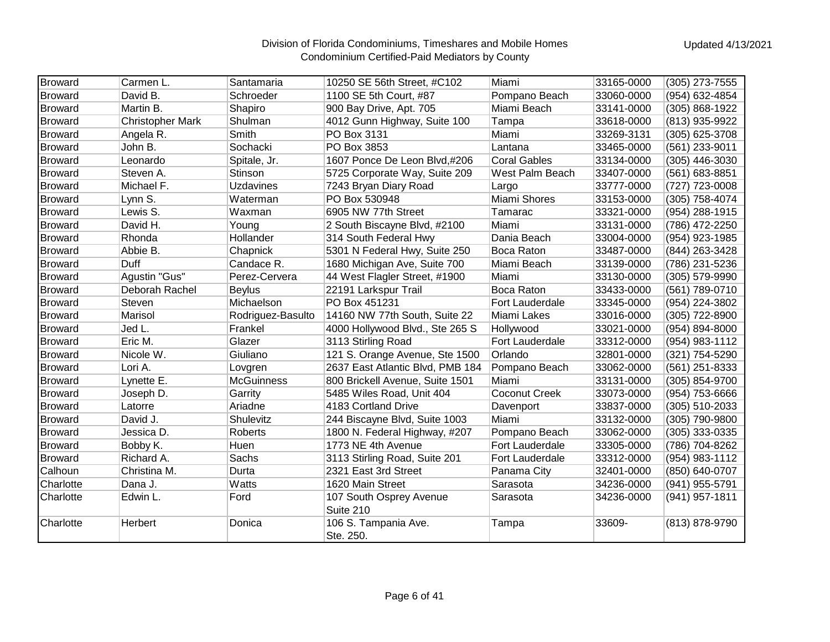| Broward        | Carmen L.               | Santamaria        | 10250 SE 56th Street, #C102          | Miami               | 33165-0000 | (305) 273-7555   |
|----------------|-------------------------|-------------------|--------------------------------------|---------------------|------------|------------------|
| <b>Broward</b> | David B.                | Schroeder         | 1100 SE 5th Court, #87               | Pompano Beach       | 33060-0000 | (954) 632-4854   |
| <b>Broward</b> | Martin B.               | Shapiro           | 900 Bay Drive, Apt. 705              | Miami Beach         | 33141-0000 | (305) 868-1922   |
| <b>Broward</b> | <b>Christopher Mark</b> | Shulman           | 4012 Gunn Highway, Suite 100         | Tampa               | 33618-0000 | (813) 935-9922   |
| <b>Broward</b> | Angela R.               | Smith             | PO Box 3131                          | Miami               | 33269-3131 | (305) 625-3708   |
| <b>Broward</b> | John B.                 | Sochacki          | PO Box 3853                          | Lantana             | 33465-0000 | (561) 233-9011   |
| <b>Broward</b> | Leonardo                | Spitale, Jr.      | 1607 Ponce De Leon Blvd,#206         | <b>Coral Gables</b> | 33134-0000 | $(305)$ 446-3030 |
| <b>Broward</b> | Steven A.               | Stinson           | 5725 Corporate Way, Suite 209        | West Palm Beach     | 33407-0000 | (561) 683-8851   |
| <b>Broward</b> | Michael F.              | Uzdavines         | 7243 Bryan Diary Road                | Largo               | 33777-0000 | (727) 723-0008   |
| <b>Broward</b> | Lynn S.                 | Waterman          | PO Box 530948                        | Miami Shores        | 33153-0000 | (305) 758-4074   |
| <b>Broward</b> | Lewis S.                | Waxman            | 6905 NW 77th Street                  | Tamarac             | 33321-0000 | (954) 288-1915   |
| <b>Broward</b> | David H.                | Young             | 2 South Biscayne Blvd, #2100         | Miami               | 33131-0000 | (786) 472-2250   |
| <b>Broward</b> | Rhonda                  | Hollander         | 314 South Federal Hwy                | Dania Beach         | 33004-0000 | (954) 923-1985   |
| <b>Broward</b> | Abbie B.                | Chapnick          | 5301 N Federal Hwy, Suite 250        | Boca Raton          | 33487-0000 | (844) 263-3428   |
| <b>Broward</b> | Duff                    | Candace R.        | 1680 Michigan Ave, Suite 700         | Miami Beach         | 33139-0000 | (786) 231-5236   |
| <b>Broward</b> | Agustin "Gus"           | Perez-Cervera     | 44 West Flagler Street, #1900        | Miami               | 33130-0000 | (305) 579-9990   |
| <b>Broward</b> | Deborah Rachel          | <b>Beylus</b>     | 22191 Larkspur Trail                 | Boca Raton          | 33433-0000 | (561) 789-0710   |
| <b>Broward</b> | Steven                  | Michaelson        | PO Box 451231                        | Fort Lauderdale     | 33345-0000 | (954) 224-3802   |
| <b>Broward</b> | Marisol                 | Rodriguez-Basulto | 14160 NW 77th South, Suite 22        | Miami Lakes         | 33016-0000 | (305) 722-8900   |
| <b>Broward</b> | Jed L.                  | Frankel           | 4000 Hollywood Blvd., Ste 265 S      | Hollywood           | 33021-0000 | (954) 894-8000   |
| <b>Broward</b> | Eric M.                 | Glazer            | 3113 Stirling Road                   | Fort Lauderdale     | 33312-0000 | (954) 983-1112   |
| <b>Broward</b> | Nicole W.               | Giuliano          | 121 S. Orange Avenue, Ste 1500       | Orlando             | 32801-0000 | (321) 754-5290   |
| <b>Broward</b> | Lori A.                 | Lovgren           | 2637 East Atlantic Blvd, PMB 184     | Pompano Beach       | 33062-0000 | (561) 251-8333   |
| <b>Broward</b> | Lynette E.              | <b>McGuinness</b> | 800 Brickell Avenue, Suite 1501      | Miami               | 33131-0000 | (305) 854-9700   |
| <b>Broward</b> | Joseph D.               | Garrity           | 5485 Wiles Road, Unit 404            | Coconut Creek       | 33073-0000 | (954) 753-6666   |
| <b>Broward</b> | Latorre                 | Ariadne           | 4183 Cortland Drive                  | Davenport           | 33837-0000 | (305) 510-2033   |
| <b>Broward</b> | David J.                | Shulevitz         | 244 Biscayne Blvd, Suite 1003        | Miami               | 33132-0000 | (305) 790-9800   |
| <b>Broward</b> | Jessica D.              | Roberts           | 1800 N. Federal Highway, #207        | Pompano Beach       | 33062-0000 | $(305)$ 333-0335 |
| <b>Broward</b> | Bobby K.                | Huen              | 1773 NE 4th Avenue                   | Fort Lauderdale     | 33305-0000 | (786) 704-8262   |
| <b>Broward</b> | Richard A.              | Sachs             | 3113 Stirling Road, Suite 201        | Fort Lauderdale     | 33312-0000 | (954) 983-1112   |
| Calhoun        | Christina M.            | Durta             | 2321 East 3rd Street                 | Panama City         | 32401-0000 | (850) 640-0707   |
| Charlotte      | Dana J.                 | Watts             | 1620 Main Street                     | Sarasota            | 34236-0000 | (941) 955-5791   |
| Charlotte      | Edwin L.                | Ford              | 107 South Osprey Avenue<br>Suite 210 | Sarasota            | 34236-0000 | (941) 957-1811   |
| Charlotte      | Herbert                 | Donica            | 106 S. Tampania Ave.<br>Ste. 250.    | Tampa               | 33609-     | (813) 878-9790   |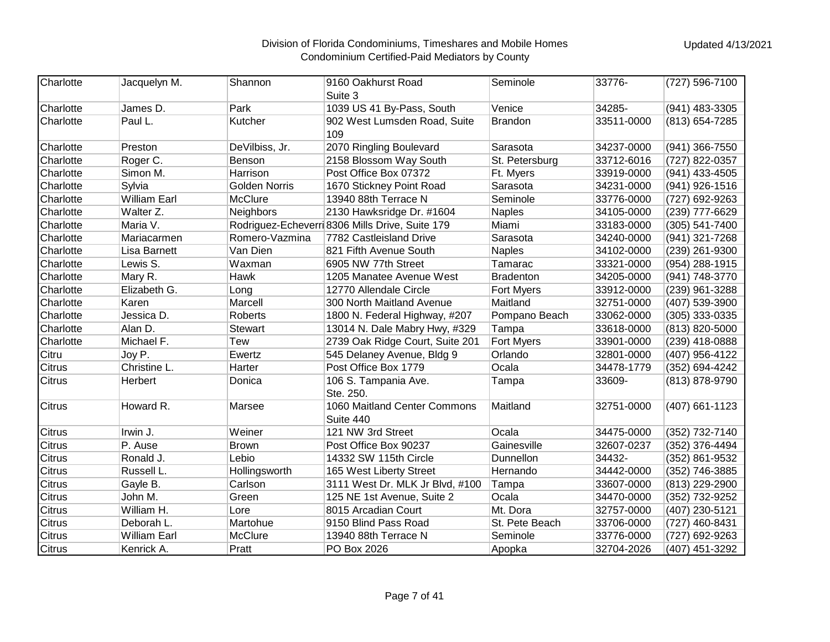| Charlotte     | Jacquelyn M.        | Shannon              | 9160 Oakhurst Road<br>Suite 3                   | Seminole          | 33776-     | (727) 596-7100 |
|---------------|---------------------|----------------------|-------------------------------------------------|-------------------|------------|----------------|
| Charlotte     | James D.            | Park                 | 1039 US 41 By-Pass, South                       | Venice            | 34285-     | (941) 483-3305 |
| Charlotte     | Paul L.             | Kutcher              | 902 West Lumsden Road, Suite<br>109             | <b>Brandon</b>    | 33511-0000 | (813) 654-7285 |
| Charlotte     | Preston             | DeVilbiss, Jr.       | 2070 Ringling Boulevard                         | Sarasota          | 34237-0000 | (941) 366-7550 |
| Charlotte     | Roger C.            | Benson               | 2158 Blossom Way South                          | St. Petersburg    | 33712-6016 | (727) 822-0357 |
| Charlotte     | Simon M.            | Harrison             | Post Office Box 07372                           | Ft. Myers         | 33919-0000 | (941) 433-4505 |
| Charlotte     | Sylvia              | <b>Golden Norris</b> | 1670 Stickney Point Road                        | Sarasota          | 34231-0000 | (941) 926-1516 |
| Charlotte     | <b>William Earl</b> | McClure              | 13940 88th Terrace N                            | Seminole          | 33776-0000 | (727) 692-9263 |
| Charlotte     | Walter Z.           | <b>Neighbors</b>     | 2130 Hawksridge Dr. #1604                       | Naples            | 34105-0000 | (239) 777-6629 |
| Charlotte     | Maria V.            |                      | Rodriguez-Echeverri 8306 Mills Drive, Suite 179 | Miami             | 33183-0000 | (305) 541-7400 |
| Charlotte     | Mariacarmen         | Romero-Vazmina       | 7782 Castleisland Drive                         | Sarasota          | 34240-0000 | (941) 321-7268 |
| Charlotte     | <b>Lisa Barnett</b> | Van Dien             | 821 Fifth Avenue South                          | Naples            | 34102-0000 | (239) 261-9300 |
| Charlotte     | Lewis S.            | Waxman               | 6905 NW 77th Street                             | Tamarac           | 33321-0000 | (954) 288-1915 |
| Charlotte     | Mary R.             | <b>Hawk</b>          | 1205 Manatee Avenue West                        | Bradenton         | 34205-0000 | (941) 748-3770 |
| Charlotte     | Elizabeth G.        | Long                 | 12770 Allendale Circle                          | <b>Fort Myers</b> | 33912-0000 | (239) 961-3288 |
| Charlotte     | Karen               | Marcell              | 300 North Maitland Avenue                       | Maitland          | 32751-0000 | (407) 539-3900 |
| Charlotte     | Jessica D.          | Roberts              | 1800 N. Federal Highway, #207                   | Pompano Beach     | 33062-0000 | (305) 333-0335 |
| Charlotte     | Alan D.             | <b>Stewart</b>       | 13014 N. Dale Mabry Hwy, #329                   | Tampa             | 33618-0000 | (813) 820-5000 |
| Charlotte     | Michael F.          | Tew                  | 2739 Oak Ridge Court, Suite 201                 | Fort Myers        | 33901-0000 | (239) 418-0888 |
| Citru         | Joy P.              | Ewertz               | 545 Delaney Avenue, Bldg 9                      | Orlando           | 32801-0000 | (407) 956-4122 |
| <b>Citrus</b> | Christine L.        | Harter               | Post Office Box 1779                            | Ocala             | 34478-1779 | (352) 694-4242 |
| <b>Citrus</b> | Herbert             | Donica               | 106 S. Tampania Ave.<br>Ste. 250.               | Tampa             | 33609-     | (813) 878-9790 |
| <b>Citrus</b> | Howard R.           | Marsee               | 1060 Maitland Center Commons<br>Suite 440       | Maitland          | 32751-0000 | (407) 661-1123 |
| <b>Citrus</b> | Irwin J.            | Weiner               | 121 NW 3rd Street                               | Ocala             | 34475-0000 | (352) 732-7140 |
| <b>Citrus</b> | P. Ause             | <b>Brown</b>         | Post Office Box 90237                           | Gainesville       | 32607-0237 | (352) 376-4494 |
| <b>Citrus</b> | Ronald J.           | Lebio                | 14332 SW 115th Circle                           | Dunnellon         | 34432-     | (352) 861-9532 |
| <b>Citrus</b> | Russell L.          | Hollingsworth        | 165 West Liberty Street                         | Hernando          | 34442-0000 | (352) 746-3885 |
| <b>Citrus</b> | Gayle B.            | Carlson              | 3111 West Dr. MLK Jr Blvd, #100                 | Tampa             | 33607-0000 | (813) 229-2900 |
| <b>Citrus</b> | John M.             | Green                | 125 NE 1st Avenue, Suite 2                      | Ocala             | 34470-0000 | (352) 732-9252 |
| <b>Citrus</b> | William H.          | Lore                 | 8015 Arcadian Court                             | Mt. Dora          | 32757-0000 | (407) 230-5121 |
| <b>Citrus</b> | Deborah L.          | Martohue             | 9150 Blind Pass Road                            | St. Pete Beach    | 33706-0000 | (727) 460-8431 |
| <b>Citrus</b> | William Earl        | McClure              | 13940 88th Terrace N                            | Seminole          | 33776-0000 | (727) 692-9263 |
| <b>Citrus</b> | Kenrick A.          | Pratt                | PO Box 2026                                     | Apopka            | 32704-2026 | (407) 451-3292 |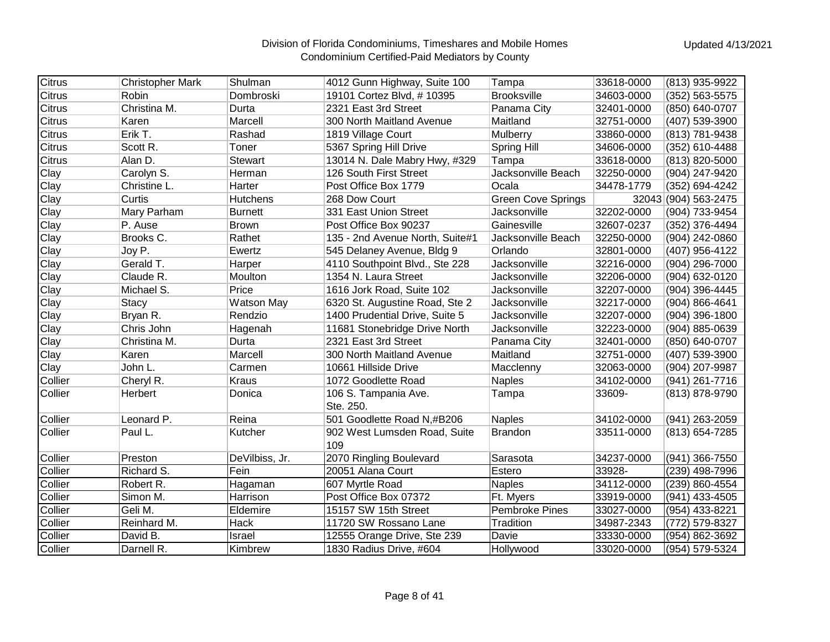| <b>Citrus</b> | <b>Christopher Mark</b> | Shulman         | 4012 Gunn Highway, Suite 100    | Tampa                     | 33618-0000 | (813) 935-9922       |
|---------------|-------------------------|-----------------|---------------------------------|---------------------------|------------|----------------------|
| <b>Citrus</b> | Robin                   | Dombroski       | 19101 Cortez Blvd, #10395       | <b>Brooksville</b>        | 34603-0000 | (352) 563-5575       |
| <b>Citrus</b> | Christina M.            | Durta           | 2321 East 3rd Street            | Panama City               | 32401-0000 | (850) 640-0707       |
| <b>Citrus</b> | Karen                   | Marcell         | 300 North Maitland Avenue       | Maitland                  | 32751-0000 | (407) 539-3900       |
| <b>Citrus</b> | Erik T.                 | Rashad          | 1819 Village Court              | Mulberry                  | 33860-0000 | (813) 781-9438       |
| <b>Citrus</b> | Scott R.                | Toner           | 5367 Spring Hill Drive          | <b>Spring Hill</b>        | 34606-0000 | (352) 610-4488       |
| <b>Citrus</b> | Alan D.                 | <b>Stewart</b>  | 13014 N. Dale Mabry Hwy, #329   | Tampa                     | 33618-0000 | (813) 820-5000       |
| Clay          | Carolyn S.              | Herman          | 126 South First Street          | Jacksonville Beach        | 32250-0000 | (904) 247-9420       |
| Clay          | Christine L.            | Harter          | Post Office Box 1779            | Ocala                     | 34478-1779 | (352) 694-4242       |
| Clay          | Curtis                  | <b>Hutchens</b> | 268 Dow Court                   | <b>Green Cove Springs</b> |            | 32043 (904) 563-2475 |
| Clay          | Mary Parham             | <b>Burnett</b>  | 331 East Union Street           | Jacksonville              | 32202-0000 | (904) 733-9454       |
| Clay          | P. Ause                 | <b>Brown</b>    | Post Office Box 90237           | Gainesville               | 32607-0237 | (352) 376-4494       |
| Clay          | Brooks C.               | Rathet          | 135 - 2nd Avenue North, Suite#1 | Jacksonville Beach        | 32250-0000 | (904) 242-0860       |
| Clay          | Joy P.                  | Ewertz          | 545 Delaney Avenue, Bldg 9      | Orlando                   | 32801-0000 | (407) 956-4122       |
| Clay          | Gerald T.               | Harper          | 4110 Southpoint Blvd., Ste 228  | Jacksonville              | 32216-0000 | (904) 296-7000       |
| Clay          | Claude R.               | Moulton         | 1354 N. Laura Street            | Jacksonville              | 32206-0000 | (904) 632-0120       |
| Clay          | Michael S.              | Price           | 1616 Jork Road, Suite 102       | Jacksonville              | 32207-0000 | (904) 396-4445       |
| Clay          | <b>Stacy</b>            | Watson May      | 6320 St. Augustine Road, Ste 2  | Jacksonville              | 32217-0000 | $(904) 866 - 4641$   |
| Clay          | Bryan R.                | Rendzio         | 1400 Prudential Drive, Suite 5  | Jacksonville              | 32207-0000 | (904) 396-1800       |
| Clay          | Chris John              | Hagenah         | 11681 Stonebridge Drive North   | Jacksonville              | 32223-0000 | (904) 885-0639       |
| Clay          | Christina M.            | Durta           | 2321 East 3rd Street            | Panama City               | 32401-0000 | (850) 640-0707       |
| Clay          | Karen                   | Marcell         | 300 North Maitland Avenue       | Maitland                  | 32751-0000 | (407) 539-3900       |
| Clay          | John L.                 | Carmen          | 10661 Hillside Drive            | Macclenny                 | 32063-0000 | (904) 207-9987       |
| Collier       | Cheryl R.               | <b>Kraus</b>    | 1072 Goodlette Road             | <b>Naples</b>             | 34102-0000 | (941) 261-7716       |
| Collier       | Herbert                 | Donica          | 106 S. Tampania Ave.            | Tampa                     | 33609-     | (813) 878-9790       |
|               |                         |                 | Ste. 250.                       |                           |            |                      |
| Collier       | Leonard P.              | Reina           | 501 Goodlette Road N,#B206      | <b>Naples</b>             | 34102-0000 | (941) 263-2059       |
| Collier       | Paul L.                 | Kutcher         | 902 West Lumsden Road, Suite    | <b>Brandon</b>            | 33511-0000 | (813) 654-7285       |
|               |                         |                 | 109                             |                           |            |                      |
| Collier       | Preston                 | DeVilbiss, Jr.  | 2070 Ringling Boulevard         | Sarasota                  | 34237-0000 | (941) 366-7550       |
| Collier       | Richard S.              | Fein            | 20051 Alana Court               | Estero                    | 33928-     | (239) 498-7996       |
| Collier       | Robert R.               | Hagaman         | 607 Myrtle Road                 | <b>Naples</b>             | 34112-0000 | (239) 860-4554       |
| Collier       | Simon M.                | Harrison        | Post Office Box 07372           | Ft. Myers                 | 33919-0000 | (941) 433-4505       |
| Collier       | Geli M.                 | Eldemire        | 15157 SW 15th Street            | <b>Pembroke Pines</b>     | 33027-0000 | (954) 433-8221       |
| Collier       | Reinhard M.             | Hack            | 11720 SW Rossano Lane           | Tradition                 | 34987-2343 | (772) 579-8327       |
| Collier       | David B.                | Israel          | 12555 Orange Drive, Ste 239     | Davie                     | 33330-0000 | (954) 862-3692       |
| Collier       | Darnell R.              | Kimbrew         | 1830 Radius Drive, #604         | Hollywood                 | 33020-0000 | (954) 579-5324       |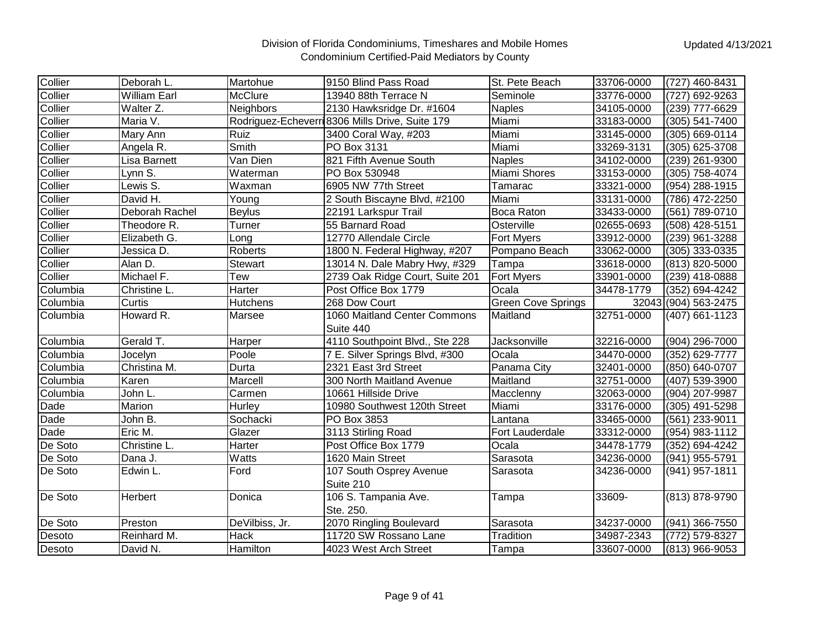| Collier  | Deborah L.          | Martohue         | 9150 Blind Pass Road                            | St. Pete Beach            | 33706-0000 | (727) 460-8431       |
|----------|---------------------|------------------|-------------------------------------------------|---------------------------|------------|----------------------|
| Collier  | <b>William Earl</b> | <b>McClure</b>   | 13940 88th Terrace N                            | Seminole                  | 33776-0000 | (727) 692-9263       |
| Collier  | Walter Z.           | <b>Neighbors</b> | 2130 Hawksridge Dr. #1604                       | <b>Naples</b>             | 34105-0000 | (239) 777-6629       |
| Collier  | Maria V.            |                  | Rodriguez-Echeverri 8306 Mills Drive, Suite 179 | Miami                     | 33183-0000 | (305) 541-7400       |
| Collier  | Mary Ann            | Ruiz             | 3400 Coral Way, #203                            | Miami                     | 33145-0000 | (305) 669-0114       |
| Collier  | Angela R.           | Smith            | PO Box 3131                                     | Miami                     | 33269-3131 | (305) 625-3708       |
| Collier  | Lisa Barnett        | Van Dien         | 821 Fifth Avenue South                          | <b>Naples</b>             | 34102-0000 | (239) 261-9300       |
| Collier  | Lynn S.             | Waterman         | PO Box 530948                                   | Miami Shores              | 33153-0000 | (305) 758-4074       |
| Collier  | Lewis S.            | Waxman           | 6905 NW 77th Street                             | Tamarac                   | 33321-0000 | (954) 288-1915       |
| Collier  | David H.            | Young            | 2 South Biscayne Blvd, #2100                    | Miami                     | 33131-0000 | (786) 472-2250       |
| Collier  | Deborah Rachel      | Beylus           | 22191 Larkspur Trail                            | Boca Raton                | 33433-0000 | (561) 789-0710       |
| Collier  | Theodore R.         | Turner           | 55 Barnard Road                                 | Osterville                | 02655-0693 | (508) 428-5151       |
| Collier  | Elizabeth G.        | Long             | 12770 Allendale Circle                          | Fort Myers                | 33912-0000 | (239) 961-3288       |
| Collier  | Jessica D.          | <b>Roberts</b>   | 1800 N. Federal Highway, #207                   | Pompano Beach             | 33062-0000 | (305) 333-0335       |
| Collier  | Alan D.             | <b>Stewart</b>   | 13014 N. Dale Mabry Hwy, #329                   | Tampa                     | 33618-0000 | (813) 820-5000       |
| Collier  | Michael F.          | Tew              | 2739 Oak Ridge Court, Suite 201                 | <b>Fort Myers</b>         | 33901-0000 | (239) 418-0888       |
| Columbia | Christine L.        | Harter           | Post Office Box 1779                            | Ocala                     | 34478-1779 | (352) 694-4242       |
| Columbia | Curtis              | <b>Hutchens</b>  | 268 Dow Court                                   | <b>Green Cove Springs</b> |            | 32043 (904) 563-2475 |
| Columbia | Howard R.           | Marsee           | 1060 Maitland Center Commons                    | Maitland                  | 32751-0000 | (407) 661-1123       |
|          |                     |                  | Suite 440                                       |                           |            |                      |
| Columbia | Gerald T.           | Harper           | 4110 Southpoint Blvd., Ste 228                  | <b>Jacksonville</b>       | 32216-0000 | (904) 296-7000       |
| Columbia | Jocelyn             | Poole            | 7 E. Silver Springs Blvd, #300                  | Ocala                     | 34470-0000 | (352) 629-7777       |
| Columbia | Christina M.        | Durta            | 2321 East 3rd Street                            | Panama City               | 32401-0000 | (850) 640-0707       |
| Columbia | Karen               | Marcell          | 300 North Maitland Avenue                       | Maitland                  | 32751-0000 | (407) 539-3900       |
| Columbia | John L.             | Carmen           | 10661 Hillside Drive                            | Macclenny                 | 32063-0000 | (904) 207-9987       |
| Dade     | Marion              | Hurley           | 10980 Southwest 120th Street                    | Miami                     | 33176-0000 | (305) 491-5298       |
| Dade     | John B.             | Sochacki         | PO Box 3853                                     | Lantana                   | 33465-0000 | (561) 233-9011       |
| Dade     | Eric M.             | Glazer           | 3113 Stirling Road                              | Fort Lauderdale           | 33312-0000 | (954) 983-1112       |
| De Soto  | Christine L.        | Harter           | Post Office Box 1779                            | Ocala                     | 34478-1779 | (352) 694-4242       |
| De Soto  | Dana J.             | Watts            | 1620 Main Street                                | Sarasota                  | 34236-0000 | (941) 955-5791       |
| De Soto  | Edwin L.            | Ford             | 107 South Osprey Avenue                         | Sarasota                  | 34236-0000 | (941) 957-1811       |
|          |                     |                  | Suite 210                                       |                           |            |                      |
| De Soto  | Herbert             | Donica           | 106 S. Tampania Ave.                            | Tampa                     | 33609-     | (813) 878-9790       |
|          |                     |                  | Ste. 250.                                       |                           |            |                      |
| De Soto  | Preston             | DeVilbiss, Jr.   | 2070 Ringling Boulevard                         | Sarasota                  | 34237-0000 | (941) 366-7550       |
| Desoto   | Reinhard M.         | <b>Hack</b>      | 11720 SW Rossano Lane                           | Tradition                 | 34987-2343 | (772) 579-8327       |
| Desoto   | David N.            | Hamilton         | 4023 West Arch Street                           | Tampa                     | 33607-0000 | (813) 966-9053       |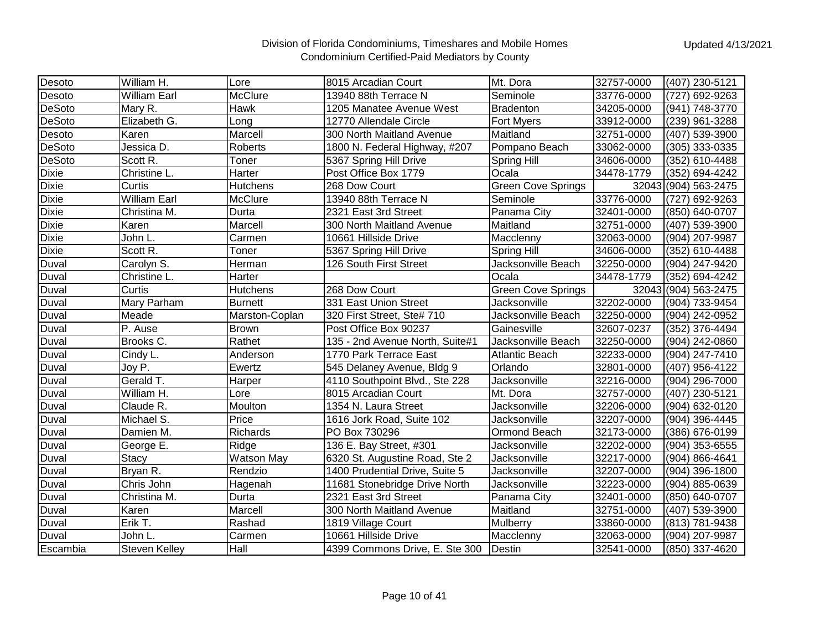| Desoto        | William H.           | Lore              | 8015 Arcadian Court             | Mt. Dora                  | 32757-0000 | (407) 230-5121       |
|---------------|----------------------|-------------------|---------------------------------|---------------------------|------------|----------------------|
| Desoto        | William Earl         | McClure           | 13940 88th Terrace N            | Seminole                  | 33776-0000 | (727) 692-9263       |
| <b>DeSoto</b> | Mary R.              | <b>Hawk</b>       | 1205 Manatee Avenue West        | <b>Bradenton</b>          | 34205-0000 | (941) 748-3770       |
| <b>DeSoto</b> | Elizabeth G.         | Long              | 12770 Allendale Circle          | <b>Fort Myers</b>         | 33912-0000 | (239) 961-3288       |
| Desoto        | Karen                | Marcell           | 300 North Maitland Avenue       | Maitland                  | 32751-0000 | (407) 539-3900       |
| <b>DeSoto</b> | Jessica D.           | Roberts           | 1800 N. Federal Highway, #207   | Pompano Beach             | 33062-0000 | (305) 333-0335       |
| <b>DeSoto</b> | Scott R.             | Toner             | 5367 Spring Hill Drive          | Spring Hill               | 34606-0000 | (352) 610-4488       |
| <b>Dixie</b>  | Christine L.         | Harter            | Post Office Box 1779            | Ocala                     | 34478-1779 | (352) 694-4242       |
| <b>Dixie</b>  | Curtis               | <b>Hutchens</b>   | 268 Dow Court                   | <b>Green Cove Springs</b> |            | 32043 (904) 563-2475 |
| <b>Dixie</b>  | <b>William Earl</b>  | McClure           | 13940 88th Terrace N            | Seminole                  | 33776-0000 | (727) 692-9263       |
| <b>Dixie</b>  | Christina M.         | Durta             | 2321 East 3rd Street            | Panama City               | 32401-0000 | (850) 640-0707       |
| <b>Dixie</b>  | Karen                | Marcell           | 300 North Maitland Avenue       | Maitland                  | 32751-0000 | (407) 539-3900       |
| <b>Dixie</b>  | John L.              | Carmen            | 10661 Hillside Drive            | Macclenny                 | 32063-0000 | (904) 207-9987       |
| <b>Dixie</b>  | Scott R.             | Toner             | 5367 Spring Hill Drive          | Spring Hill               | 34606-0000 | (352) 610-4488       |
| Duval         | Carolyn S.           | Herman            | 126 South First Street          | Jacksonville Beach        | 32250-0000 | (904) 247-9420       |
| Duval         | Christine L.         | Harter            |                                 | Ocala                     | 34478-1779 | (352) 694-4242       |
| Duval         | Curtis               | Hutchens          | 268 Dow Court                   | <b>Green Cove Springs</b> |            | 32043 (904) 563-2475 |
| Duval         | Mary Parham          | <b>Burnett</b>    | 331 East Union Street           | Jacksonville              | 32202-0000 | (904) 733-9454       |
| Duval         | Meade                | Marston-Coplan    | 320 First Street, Ste# 710      | Jacksonville Beach        | 32250-0000 | (904) 242-0952       |
| Duval         | P. Ause              | <b>Brown</b>      | Post Office Box 90237           | Gainesville               | 32607-0237 | (352) 376-4494       |
| Duval         | Brooks C.            | Rathet            | 135 - 2nd Avenue North, Suite#1 | Jacksonville Beach        | 32250-0000 | (904) 242-0860       |
| Duval         | Cindy L.             | Anderson          | 1770 Park Terrace East          | <b>Atlantic Beach</b>     | 32233-0000 | (904) 247-7410       |
| Duval         | Joy P.               | Ewertz            | 545 Delaney Avenue, Bldg 9      | Orlando                   | 32801-0000 | (407) 956-4122       |
| Duval         | Gerald T.            | Harper            | 4110 Southpoint Blvd., Ste 228  | Jacksonville              | 32216-0000 | (904) 296-7000       |
| Duval         | William H.           | Lore              | 8015 Arcadian Court             | Mt. Dora                  | 32757-0000 | (407) 230-5121       |
| Duval         | Claude R.            | Moulton           | 1354 N. Laura Street            | Jacksonville              | 32206-0000 | (904) 632-0120       |
| Duval         | Michael S.           | Price             | 1616 Jork Road, Suite 102       | Jacksonville              | 32207-0000 | (904) 396-4445       |
| Duval         | Damien M.            | Richards          | PO Box 730296                   | Ormond Beach              | 32173-0000 | (386) 676-0199       |
| Duval         | George E.            | Ridge             | 136 E. Bay Street, #301         | Jacksonville              | 32202-0000 | (904) 353-6555       |
| Duval         | <b>Stacy</b>         | <b>Watson May</b> | 6320 St. Augustine Road, Ste 2  | Jacksonville              | 32217-0000 | (904) 866-4641       |
| Duval         | Bryan R.             | Rendzio           | 1400 Prudential Drive, Suite 5  | Jacksonville              | 32207-0000 | (904) 396-1800       |
| Duval         | Chris John           | Hagenah           | 11681 Stonebridge Drive North   | Jacksonville              | 32223-0000 | (904) 885-0639       |
| Duval         | Christina M.         | Durta             | 2321 East 3rd Street            | Panama City               | 32401-0000 | (850) 640-0707       |
| Duval         | Karen                | Marcell           | 300 North Maitland Avenue       | Maitland                  | 32751-0000 | (407) 539-3900       |
| Duval         | Erik T.              | Rashad            | 1819 Village Court              | Mulberry                  | 33860-0000 | (813) 781-9438       |
| Duval         | John L.              | Carmen            | 10661 Hillside Drive            | Macclenny                 | 32063-0000 | (904) 207-9987       |
| Escambia      | <b>Steven Kelley</b> | Hall              | 4399 Commons Drive, E. Ste 300  | Destin                    | 32541-0000 | (850) 337-4620       |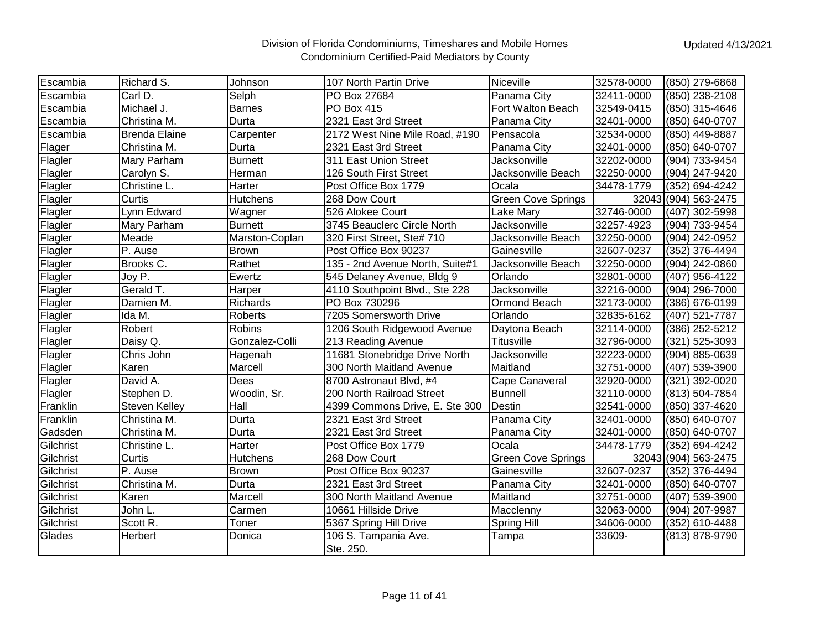| Escambia  | Richard S.           | Johnson         | 107 North Partin Drive          | Niceville                 | 32578-0000 | (850) 279-6868       |
|-----------|----------------------|-----------------|---------------------------------|---------------------------|------------|----------------------|
| Escambia  | Carl D.              | Selph           | PO Box 27684                    | Panama City               | 32411-0000 | (850) 238-2108       |
| Escambia  | Michael J.           | <b>Barnes</b>   | PO Box 415                      | Fort Walton Beach         | 32549-0415 | (850) 315-4646       |
| Escambia  | Christina M.         | Durta           | 2321 East 3rd Street            | Panama City               | 32401-0000 | (850) 640-0707       |
| Escambia  | <b>Brenda Elaine</b> | Carpenter       | 2172 West Nine Mile Road, #190  | Pensacola                 | 32534-0000 | (850) 449-8887       |
| Flager    | Christina M.         | Durta           | 2321 East 3rd Street            | Panama City               | 32401-0000 | (850) 640-0707       |
| Flagler   | Mary Parham          | <b>Burnett</b>  | 311 East Union Street           | Jacksonville              | 32202-0000 | (904) 733-9454       |
| Flagler   | Carolyn S.           | Herman          | 126 South First Street          | Jacksonville Beach        | 32250-0000 | (904) 247-9420       |
| Flagler   | Christine L.         | Harter          | Post Office Box 1779            | Ocala                     | 34478-1779 | (352) 694-4242       |
| Flagler   | Curtis               | <b>Hutchens</b> | 268 Dow Court                   | <b>Green Cove Springs</b> |            | 32043 (904) 563-2475 |
| Flagler   | Lynn Edward          | Wagner          | 526 Alokee Court                | Lake Mary                 | 32746-0000 | (407) 302-5998       |
| Flagler   | Mary Parham          | <b>Burnett</b>  | 3745 Beauclerc Circle North     | Jacksonville              | 32257-4923 | (904) 733-9454       |
| Flagler   | Meade                | Marston-Coplan  | 320 First Street, Ste# 710      | Jacksonville Beach        | 32250-0000 | (904) 242-0952       |
| Flagler   | P. Ause              | <b>Brown</b>    | Post Office Box 90237           | Gainesville               | 32607-0237 | (352) 376-4494       |
| Flagler   | Brooks C.            | Rathet          | 135 - 2nd Avenue North, Suite#1 | Jacksonville Beach        | 32250-0000 | (904) 242-0860       |
| Flagler   | Joy P.               | Ewertz          | 545 Delaney Avenue, Bldg 9      | Orlando                   | 32801-0000 | (407) 956-4122       |
| Flagler   | Gerald T.            | Harper          | 4110 Southpoint Blvd., Ste 228  | Jacksonville              | 32216-0000 | (904) 296-7000       |
| Flagler   | Damien M.            | Richards        | PO Box 730296                   | Ormond Beach              | 32173-0000 | (386) 676-0199       |
| Flagler   | Ida M.               | Roberts         | 7205 Somersworth Drive          | Orlando                   | 32835-6162 | (407) 521-7787       |
| Flagler   | Robert               | Robins          | 1206 South Ridgewood Avenue     | Daytona Beach             | 32114-0000 | (386) 252-5212       |
| Flagler   | Daisy Q.             | Gonzalez-Colli  | 213 Reading Avenue              | <b>Titusville</b>         | 32796-0000 | (321) 525-3093       |
| Flagler   | Chris John           | Hagenah         | 11681 Stonebridge Drive North   | Jacksonville              | 32223-0000 | (904) 885-0639       |
| Flagler   | Karen                | Marcell         | 300 North Maitland Avenue       | Maitland                  | 32751-0000 | (407) 539-3900       |
| Flagler   | David A.             | <b>Dees</b>     | 8700 Astronaut Blvd, #4         | Cape Canaveral            | 32920-0000 | (321) 392-0020       |
| Flagler   | Stephen D.           | Woodin, Sr.     | 200 North Railroad Street       | <b>Bunnell</b>            | 32110-0000 | (813) 504-7854       |
| Franklin  | Steven Kelley        | Hall            | 4399 Commons Drive, E. Ste 300  | Destin                    | 32541-0000 | (850) 337-4620       |
| Franklin  | Christina M.         | Durta           | 2321 East 3rd Street            | Panama City               | 32401-0000 | (850) 640-0707       |
| Gadsden   | Christina M.         | Durta           | 2321 East 3rd Street            | Panama City               | 32401-0000 | (850) 640-0707       |
| Gilchrist | Christine L.         | Harter          | Post Office Box 1779            | Ocala                     | 34478-1779 | (352) 694-4242       |
| Gilchrist | Curtis               | Hutchens        | 268 Dow Court                   | <b>Green Cove Springs</b> |            | 32043 (904) 563-2475 |
| Gilchrist | P. Ause              | <b>Brown</b>    | Post Office Box 90237           | Gainesville               | 32607-0237 | (352) 376-4494       |
| Gilchrist | Christina M.         | Durta           | 2321 East 3rd Street            | Panama City               | 32401-0000 | (850) 640-0707       |
| Gilchrist | Karen                | Marcell         | 300 North Maitland Avenue       | Maitland                  | 32751-0000 | (407) 539-3900       |
| Gilchrist | John L.              | Carmen          | 10661 Hillside Drive            | Macclenny                 | 32063-0000 | (904) 207-9987       |
| Gilchrist | Scott R.             | Toner           | 5367 Spring Hill Drive          | Spring Hill               | 34606-0000 | (352) 610-4488       |
| Glades    | Herbert              | Donica          | 106 S. Tampania Ave.            | Tampa                     | 33609-     | (813) 878-9790       |
|           |                      |                 | Ste. 250.                       |                           |            |                      |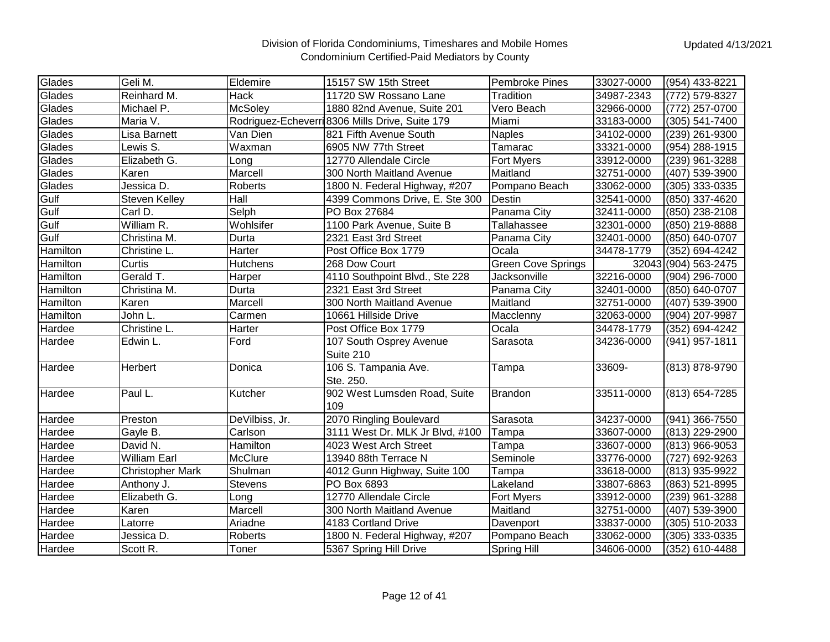| Glades   | Geli M.                 | Eldemire        | 15157 SW 15th Street                            | <b>Pembroke Pines</b> | 33027-0000 | (954) 433-8221       |
|----------|-------------------------|-----------------|-------------------------------------------------|-----------------------|------------|----------------------|
| Glades   | Reinhard M.             | Hack            | 11720 SW Rossano Lane                           | Tradition             | 34987-2343 | (772) 579-8327       |
| Glades   | Michael P.              | <b>McSoley</b>  | 1880 82nd Avenue, Suite 201                     | Vero Beach            | 32966-0000 | (772) 257-0700       |
| Glades   | Maria V.                |                 | Rodriguez-Echeverri 8306 Mills Drive, Suite 179 | Miami                 | 33183-0000 | (305) 541-7400       |
| Glades   | Lisa Barnett            | Van Dien        | 821 Fifth Avenue South                          | <b>Naples</b>         | 34102-0000 | (239) 261-9300       |
| Glades   | Lewis S.                | Waxman          | 6905 NW 77th Street                             | Tamarac               | 33321-0000 | (954) 288-1915       |
| Glades   | Elizabeth G.            | Long            | 12770 Allendale Circle                          | Fort Myers            | 33912-0000 | (239) 961-3288       |
| Glades   | Karen                   | Marcell         | 300 North Maitland Avenue                       | Maitland              | 32751-0000 | (407) 539-3900       |
| Glades   | Jessica D.              | Roberts         | 1800 N. Federal Highway, #207                   | Pompano Beach         | 33062-0000 | (305) 333-0335       |
| Gulf     | Steven Kelley           | Hall            | 4399 Commons Drive, E. Ste 300                  | Destin                | 32541-0000 | (850) 337-4620       |
| Gulf     | Carl D.                 | Selph           | PO Box 27684                                    | Panama City           | 32411-0000 | (850) 238-2108       |
| Gulf     | William R.              | Wohlsifer       | 1100 Park Avenue, Suite B                       | Tallahassee           | 32301-0000 | (850) 219-8888       |
| Gulf     | Christina M.            | Durta           | 2321 East 3rd Street                            | Panama City           | 32401-0000 | (850) 640-0707       |
| Hamilton | Christine L.            | Harter          | Post Office Box 1779                            | Ocala                 | 34478-1779 | (352) 694-4242       |
| Hamilton | Curtis                  | <b>Hutchens</b> | 268 Dow Court                                   | Green Cove Springs    |            | 32043 (904) 563-2475 |
| Hamilton | Gerald T.               | Harper          | 4110 Southpoint Blvd., Ste 228                  | Jacksonville          | 32216-0000 | (904) 296-7000       |
| Hamilton | Christina M.            | Durta           | 2321 East 3rd Street                            | Panama City           | 32401-0000 | (850) 640-0707       |
| Hamilton | Karen                   | Marcell         | 300 North Maitland Avenue                       | Maitland              | 32751-0000 | (407) 539-3900       |
| Hamilton | John L.                 | Carmen          | 10661 Hillside Drive                            | Macclenny             | 32063-0000 | (904) 207-9987       |
| Hardee   | Christine L.            | Harter          | Post Office Box 1779                            | Ocala                 | 34478-1779 | (352) 694-4242       |
| Hardee   | Edwin L.                | Ford            | 107 South Osprey Avenue                         | Sarasota              | 34236-0000 | (941) 957-1811       |
|          |                         |                 | Suite 210                                       |                       |            |                      |
| Hardee   | Herbert                 | Donica          | 106 S. Tampania Ave.                            | Tampa                 | 33609-     | (813) 878-9790       |
|          |                         |                 | Ste. 250.                                       |                       |            |                      |
| Hardee   | Paul L.                 | Kutcher         | 902 West Lumsden Road, Suite                    | <b>Brandon</b>        | 33511-0000 | (813) 654-7285       |
|          |                         |                 | 109                                             |                       |            |                      |
| Hardee   | Preston                 | DeVilbiss, Jr.  | 2070 Ringling Boulevard                         | Sarasota              | 34237-0000 | (941) 366-7550       |
| Hardee   | Gayle B.                | Carlson         | 3111 West Dr. MLK Jr Blvd, #100                 | Tampa                 | 33607-0000 | (813) 229-2900       |
| Hardee   | David N.                | Hamilton        | 4023 West Arch Street                           | Tampa                 | 33607-0000 | (813) 966-9053       |
| Hardee   | <b>William Earl</b>     | McClure         | 13940 88th Terrace N                            | Seminole              | 33776-0000 | (727) 692-9263       |
| Hardee   | <b>Christopher Mark</b> | Shulman         | 4012 Gunn Highway, Suite 100                    | Tampa                 | 33618-0000 | (813) 935-9922       |
| Hardee   | Anthony J.              | <b>Stevens</b>  | PO Box 6893                                     | Lakeland              | 33807-6863 | (863) 521-8995       |
| Hardee   | Elizabeth G.            | Long            | 12770 Allendale Circle                          | Fort Myers            | 33912-0000 | (239) 961-3288       |
| Hardee   | Karen                   | Marcell         | 300 North Maitland Avenue                       | Maitland              | 32751-0000 | (407) 539-3900       |
| Hardee   | Latorre                 | Ariadne         | 4183 Cortland Drive                             | Davenport             | 33837-0000 | (305) 510-2033       |
| Hardee   | Jessica D.              | Roberts         | 1800 N. Federal Highway, #207                   | Pompano Beach         | 33062-0000 | (305) 333-0335       |
| Hardee   | Scott R.                | Toner           | 5367 Spring Hill Drive                          | <b>Spring Hill</b>    | 34606-0000 | (352) 610-4488       |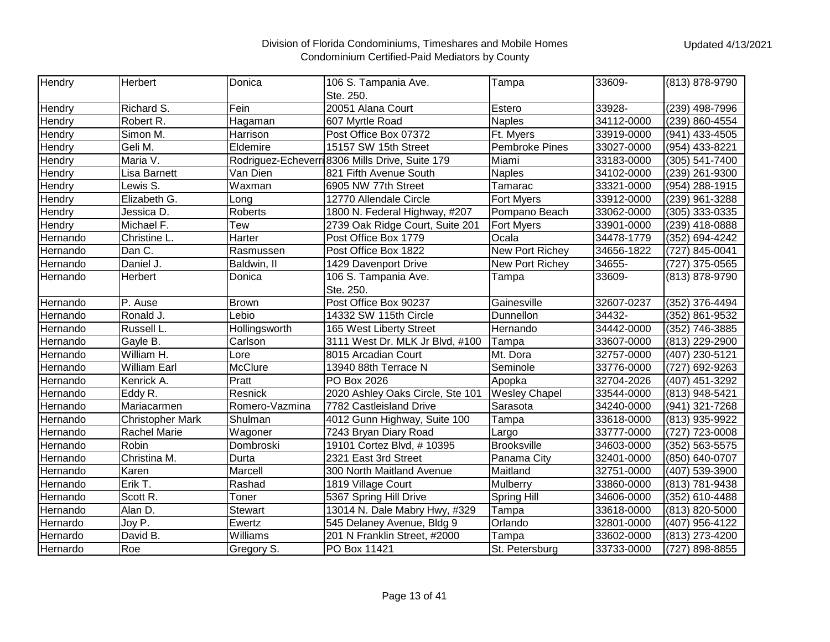| Hendry   | Herbert                 | Donica         | 106 S. Tampania Ave.                            | Tampa                 | 33609-     | (813) 878-9790 |
|----------|-------------------------|----------------|-------------------------------------------------|-----------------------|------------|----------------|
|          |                         |                | Ste. 250.                                       |                       |            |                |
| Hendry   | Richard S.              | Fein           | 20051 Alana Court                               | Estero                | 33928-     | (239) 498-7996 |
| Hendry   | Robert R.               | Hagaman        | 607 Myrtle Road                                 | <b>Naples</b>         | 34112-0000 | (239) 860-4554 |
| Hendry   | Simon M.                | Harrison       | Post Office Box 07372                           | Ft. Myers             | 33919-0000 | (941) 433-4505 |
| Hendry   | Geli M.                 | Eldemire       | 15157 SW 15th Street                            | <b>Pembroke Pines</b> | 33027-0000 | (954) 433-8221 |
| Hendry   | Maria V.                |                | Rodriguez-Echeverri 8306 Mills Drive, Suite 179 | Miami                 | 33183-0000 | (305) 541-7400 |
| Hendry   | Lisa Barnett            | Van Dien       | 821 Fifth Avenue South                          | <b>Naples</b>         | 34102-0000 | (239) 261-9300 |
| Hendry   | Lewis S.                | Waxman         | 6905 NW 77th Street                             | Tamarac               | 33321-0000 | (954) 288-1915 |
| Hendry   | Elizabeth G.            | Long           | 12770 Allendale Circle                          | Fort Myers            | 33912-0000 | (239) 961-3288 |
| Hendry   | Jessica D.              | <b>Roberts</b> | 1800 N. Federal Highway, #207                   | Pompano Beach         | 33062-0000 | (305) 333-0335 |
| Hendry   | Michael F.              | Tew            | 2739 Oak Ridge Court, Suite 201                 | <b>Fort Myers</b>     | 33901-0000 | (239) 418-0888 |
| Hernando | Christine L.            | Harter         | Post Office Box 1779                            | Ocala                 | 34478-1779 | (352) 694-4242 |
| Hernando | Dan C.                  | Rasmussen      | Post Office Box 1822                            | New Port Richey       | 34656-1822 | (727) 845-0041 |
| Hernando | Daniel J.               | Baldwin, II    | 1429 Davenport Drive                            | New Port Richey       | 34655-     | (727) 375-0565 |
| Hernando | Herbert                 | Donica         | 106 S. Tampania Ave.                            | Tampa                 | 33609-     | (813) 878-9790 |
|          |                         |                | Ste. 250.                                       |                       |            |                |
| Hernando | P. Ause                 | <b>Brown</b>   | Post Office Box 90237                           | Gainesville           | 32607-0237 | (352) 376-4494 |
| Hernando | Ronald J.               | Lebio          | 14332 SW 115th Circle                           | Dunnellon             | 34432-     | (352) 861-9532 |
| Hernando | Russell L.              | Hollingsworth  | 165 West Liberty Street                         | Hernando              | 34442-0000 | (352) 746-3885 |
| Hernando | Gayle B.                | Carlson        | 3111 West Dr. MLK Jr Blvd, #100                 | Tampa                 | 33607-0000 | (813) 229-2900 |
| Hernando | William H.              | Lore           | 8015 Arcadian Court                             | Mt. Dora              | 32757-0000 | (407) 230-5121 |
| Hernando | <b>William Earl</b>     | <b>McClure</b> | 13940 88th Terrace N                            | Seminole              | 33776-0000 | (727) 692-9263 |
| Hernando | Kenrick A.              | Pratt          | PO Box 2026                                     | Apopka                | 32704-2026 | (407) 451-3292 |
| Hernando | Eddy R.                 | Resnick        | 2020 Ashley Oaks Circle, Ste 101                | <b>Wesley Chapel</b>  | 33544-0000 | (813) 948-5421 |
| Hernando | Mariacarmen             | Romero-Vazmina | 7782 Castleisland Drive                         | Sarasota              | 34240-0000 | (941) 321-7268 |
| Hernando | <b>Christopher Mark</b> | Shulman        | 4012 Gunn Highway, Suite 100                    | Tampa                 | 33618-0000 | (813) 935-9922 |
| Hernando | <b>Rachel Marie</b>     | Wagoner        | 7243 Bryan Diary Road                           | Largo                 | 33777-0000 | (727) 723-0008 |
| Hernando | Robin                   | Dombroski      | 19101 Cortez Blvd, #10395                       | <b>Brooksville</b>    | 34603-0000 | (352) 563-5575 |
| Hernando | Christina M.            | Durta          | 2321 East 3rd Street                            | Panama City           | 32401-0000 | (850) 640-0707 |
| Hernando | Karen                   | Marcell        | 300 North Maitland Avenue                       | Maitland              | 32751-0000 | (407) 539-3900 |
| Hernando | Erik T.                 | Rashad         | 1819 Village Court                              | Mulberry              | 33860-0000 | (813) 781-9438 |
| Hernando | Scott R.                | Toner          | 5367 Spring Hill Drive                          | Spring Hill           | 34606-0000 | (352) 610-4488 |
| Hernando | Alan D.                 | <b>Stewart</b> | 13014 N. Dale Mabry Hwy, #329                   | Tampa                 | 33618-0000 | (813) 820-5000 |
| Hernardo | Joy P.                  | Ewertz         | 545 Delaney Avenue, Bldg 9                      | Orlando               | 32801-0000 | (407) 956-4122 |
| Hernardo | David B.                | Williams       | 201 N Franklin Street, #2000                    | Tampa                 | 33602-0000 | (813) 273-4200 |
| Hernardo | Roe                     | Gregory S.     | PO Box 11421                                    | St. Petersburg        | 33733-0000 | (727) 898-8855 |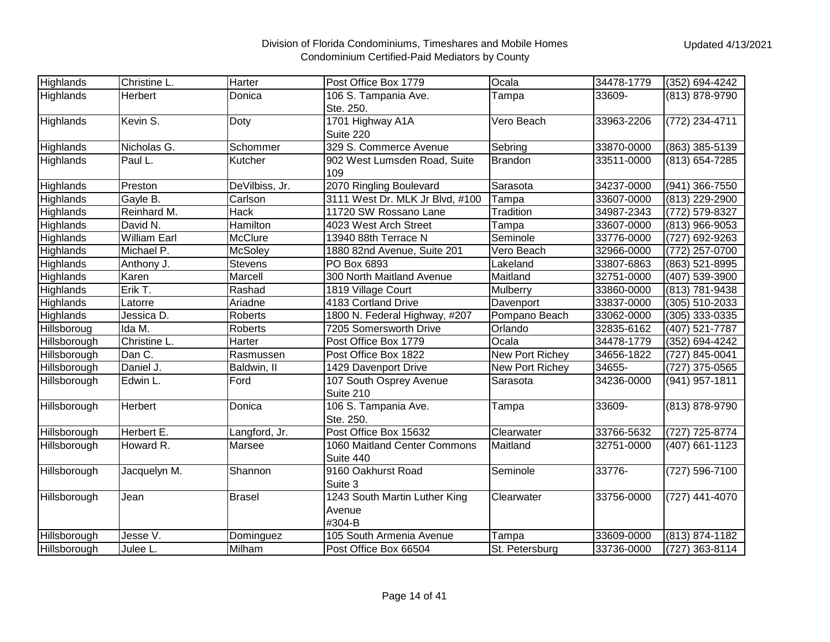| Highlands    | Christine L.        | <b>Harter</b>  | Post Office Box 1779                              | Ocala           | 34478-1779 | (352) 694-4242 |
|--------------|---------------------|----------------|---------------------------------------------------|-----------------|------------|----------------|
| Highlands    | <b>Herbert</b>      | Donica         | 106 S. Tampania Ave.<br>Ste. 250.                 | Tampa           | 33609-     | (813) 878-9790 |
| Highlands    | Kevin S.            | Doty           | 1701 Highway A1A<br>Suite 220                     | Vero Beach      | 33963-2206 | (772) 234-4711 |
| Highlands    | Nicholas G.         | Schommer       | 329 S. Commerce Avenue                            | Sebring         | 33870-0000 | (863) 385-5139 |
| Highlands    | Paul L.             | Kutcher        | 902 West Lumsden Road, Suite<br>109               | <b>Brandon</b>  | 33511-0000 | (813) 654-7285 |
| Highlands    | Preston             | DeVilbiss, Jr. | 2070 Ringling Boulevard                           | Sarasota        | 34237-0000 | (941) 366-7550 |
| Highlands    | Gayle B.            | Carlson        | 3111 West Dr. MLK Jr Blvd, #100                   | Tampa           | 33607-0000 | (813) 229-2900 |
| Highlands    | Reinhard M.         | Hack           | 11720 SW Rossano Lane                             | Tradition       | 34987-2343 | (772) 579-8327 |
| Highlands    | David N.            | Hamilton       | 4023 West Arch Street                             | Tampa           | 33607-0000 | (813) 966-9053 |
| Highlands    | <b>William Earl</b> | McClure        | 13940 88th Terrace N                              | Seminole        | 33776-0000 | (727) 692-9263 |
| Highlands    | Michael P.          | <b>McSoley</b> | 1880 82nd Avenue, Suite 201                       | Vero Beach      | 32966-0000 | (772) 257-0700 |
| Highlands    | Anthony J.          | <b>Stevens</b> | PO Box 6893                                       | Lakeland        | 33807-6863 | (863) 521-8995 |
| Highlands    | Karen               | Marcell        | 300 North Maitland Avenue                         | Maitland        | 32751-0000 | (407) 539-3900 |
| Highlands    | Erik T.             | Rashad         | 1819 Village Court                                | Mulberry        | 33860-0000 | (813) 781-9438 |
| Highlands    | Latorre             | Ariadne        | 4183 Cortland Drive                               | Davenport       | 33837-0000 | (305) 510-2033 |
| Highlands    | Jessica D.          | <b>Roberts</b> | 1800 N. Federal Highway, #207                     | Pompano Beach   | 33062-0000 | (305) 333-0335 |
| Hillsboroug  | Ida M.              | <b>Roberts</b> | 7205 Somersworth Drive                            | Orlando         | 32835-6162 | (407) 521-7787 |
| Hillsborough | Christine L.        | Harter         | Post Office Box 1779                              | Ocala           | 34478-1779 | (352) 694-4242 |
| Hillsborough | Dan C.              | Rasmussen      | Post Office Box 1822                              | New Port Richey | 34656-1822 | (727) 845-0041 |
| Hillsborough | Daniel J.           | Baldwin, II    | 1429 Davenport Drive                              | New Port Richey | 34655-     | (727) 375-0565 |
| Hillsborough | Edwin L.            | Ford           | 107 South Osprey Avenue<br>Suite 210              | Sarasota        | 34236-0000 | (941) 957-1811 |
| Hillsborough | Herbert             | Donica         | 106 S. Tampania Ave.<br>Ste. 250.                 | Tampa           | 33609-     | (813) 878-9790 |
| Hillsborough | Herbert E.          | Langford, Jr.  | Post Office Box 15632                             | Clearwater      | 33766-5632 | (727) 725-8774 |
| Hillsborough | Howard R.           | Marsee         | 1060 Maitland Center Commons<br>Suite 440         | Maitland        | 32751-0000 | (407) 661-1123 |
| Hillsborough | Jacquelyn M.        | Shannon        | 9160 Oakhurst Road<br>Suite 3                     | Seminole        | 33776-     | (727) 596-7100 |
| Hillsborough | Jean                | <b>Brasel</b>  | 1243 South Martin Luther King<br>Avenue<br>#304-B | Clearwater      | 33756-0000 | (727) 441-4070 |
| Hillsborough | Jesse V.            | Dominguez      | 105 South Armenia Avenue                          | Tampa           | 33609-0000 | (813) 874-1182 |
| Hillsborough | Julee L.            | Milham         | Post Office Box 66504                             | St. Petersburg  | 33736-0000 | (727) 363-8114 |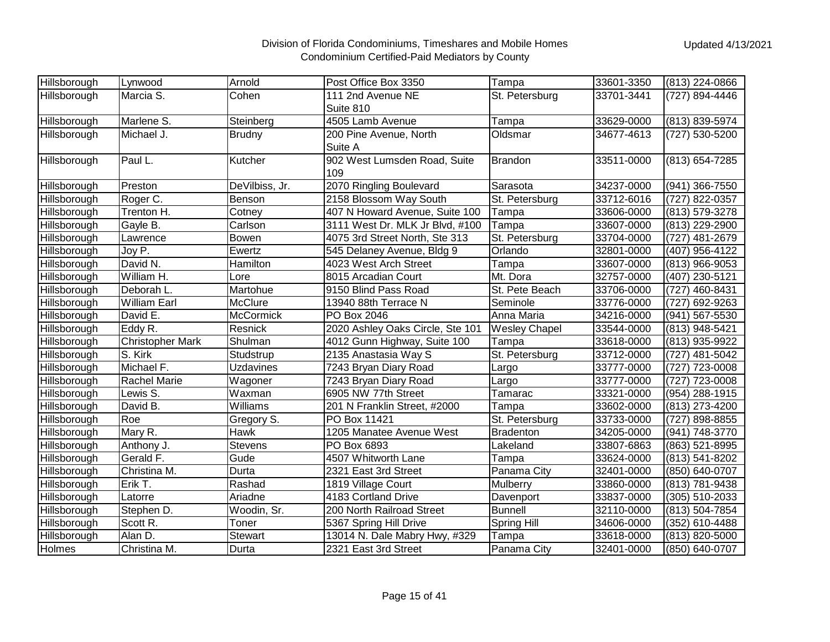| Hillsborough | Lynwood                 | Arnold           | Post Office Box 3350             | Tampa                | 33601-3350 | (813) 224-0866 |
|--------------|-------------------------|------------------|----------------------------------|----------------------|------------|----------------|
| Hillsborough | Marcia S.               | Cohen            | 111 2nd Avenue NE                | St. Petersburg       | 33701-3441 | (727) 894-4446 |
|              |                         |                  | Suite 810                        |                      |            |                |
| Hillsborough | Marlene S.              | Steinberg        | 4505 Lamb Avenue                 | Tampa                | 33629-0000 | (813) 839-5974 |
| Hillsborough | Michael J.              | <b>Brudny</b>    | 200 Pine Avenue, North           | Oldsmar              | 34677-4613 | (727) 530-5200 |
|              |                         |                  | Suite A                          |                      |            |                |
| Hillsborough | Paul L.                 | Kutcher          | 902 West Lumsden Road, Suite     | <b>Brandon</b>       | 33511-0000 | (813) 654-7285 |
|              |                         |                  | 109                              |                      |            |                |
| Hillsborough | Preston                 | DeVilbiss, Jr.   | 2070 Ringling Boulevard          | Sarasota             | 34237-0000 | (941) 366-7550 |
| Hillsborough | Roger C.                | Benson           | 2158 Blossom Way South           | St. Petersburg       | 33712-6016 | (727) 822-0357 |
| Hillsborough | Trenton H.              | Cotney           | 407 N Howard Avenue, Suite 100   | Tampa                | 33606-0000 | (813) 579-3278 |
| Hillsborough | Gayle B.                | Carlson          | 3111 West Dr. MLK Jr Blvd, #100  | Tampa                | 33607-0000 | (813) 229-2900 |
| Hillsborough | Lawrence                | Bowen            | 4075 3rd Street North, Ste 313   | St. Petersburg       | 33704-0000 | (727) 481-2679 |
| Hillsborough | Joy P.                  | Ewertz           | 545 Delaney Avenue, Bldg 9       | Orlando              | 32801-0000 | (407) 956-4122 |
| Hillsborough | David N.                | Hamilton         | 4023 West Arch Street            | Tampa                | 33607-0000 | (813) 966-9053 |
| Hillsborough | William H.              | Lore             | 8015 Arcadian Court              | Mt. Dora             | 32757-0000 | (407) 230-5121 |
| Hillsborough | Deborah L.              | Martohue         | 9150 Blind Pass Road             | St. Pete Beach       | 33706-0000 | (727) 460-8431 |
| Hillsborough | <b>William Earl</b>     | McClure          | 13940 88th Terrace N             | Seminole             | 33776-0000 | (727) 692-9263 |
| Hillsborough | David E.                | <b>McCormick</b> | PO Box 2046                      | Anna Maria           | 34216-0000 | (941) 567-5530 |
| Hillsborough | Eddy R.                 | Resnick          | 2020 Ashley Oaks Circle, Ste 101 | <b>Wesley Chapel</b> | 33544-0000 | (813) 948-5421 |
| Hillsborough | <b>Christopher Mark</b> | Shulman          | 4012 Gunn Highway, Suite 100     | Tampa                | 33618-0000 | (813) 935-9922 |
| Hillsborough | S. Kirk                 | Studstrup        | 2135 Anastasia Way S             | St. Petersburg       | 33712-0000 | (727) 481-5042 |
| Hillsborough | Michael F.              | <b>Uzdavines</b> | 7243 Bryan Diary Road            | Largo                | 33777-0000 | (727) 723-0008 |
| Hillsborough | Rachel Marie            | Wagoner          | 7243 Bryan Diary Road            | Largo                | 33777-0000 | (727) 723-0008 |
| Hillsborough | Lewis S.                | Waxman           | 6905 NW 77th Street              | Tamarac              | 33321-0000 | (954) 288-1915 |
| Hillsborough | David B.                | Williams         | 201 N Franklin Street, #2000     | Tampa                | 33602-0000 | (813) 273-4200 |
| Hillsborough | Roe                     | Gregory S.       | PO Box 11421                     | St. Petersburg       | 33733-0000 | (727) 898-8855 |
| Hillsborough | Mary R.                 | Hawk             | 1205 Manatee Avenue West         | <b>Bradenton</b>     | 34205-0000 | (941) 748-3770 |
| Hillsborough | Anthony J.              | Stevens          | PO Box 6893                      | Lakeland             | 33807-6863 | (863) 521-8995 |
| Hillsborough | Gerald F.               | Gude             | 4507 Whitworth Lane              | Tampa                | 33624-0000 | (813) 541-8202 |
| Hillsborough | Christina M.            | Durta            | 2321 East 3rd Street             | Panama City          | 32401-0000 | (850) 640-0707 |
| Hillsborough | Erik T.                 | Rashad           | 1819 Village Court               | Mulberry             | 33860-0000 | (813) 781-9438 |
| Hillsborough | Latorre                 | Ariadne          | 4183 Cortland Drive              | Davenport            | 33837-0000 | (305) 510-2033 |
| Hillsborough | Stephen D.              | Woodin, Sr.      | 200 North Railroad Street        | <b>Bunnell</b>       | 32110-0000 | (813) 504-7854 |
| Hillsborough | Scott R.                | Toner            | 5367 Spring Hill Drive           | <b>Spring Hill</b>   | 34606-0000 | (352) 610-4488 |
| Hillsborough | Alan D.                 | Stewart          | 13014 N. Dale Mabry Hwy, #329    | Tampa                | 33618-0000 | (813) 820-5000 |
| Holmes       | Christina M.            | Durta            | 2321 East 3rd Street             | Panama City          | 32401-0000 | (850) 640-0707 |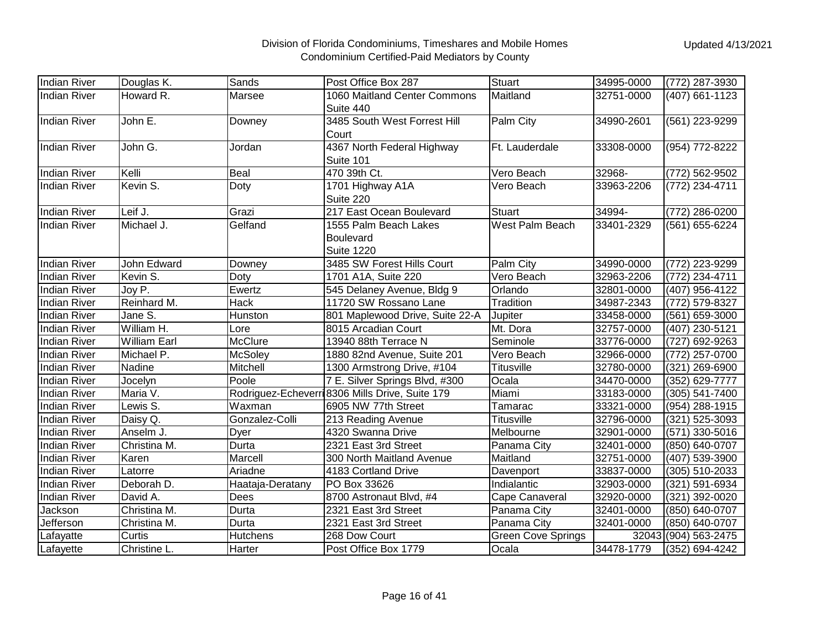| <b>Indian River</b> | Douglas K.          | Sands            | Post Office Box 287                                            | Stuart                    | 34995-0000 | (772) 287-3930       |
|---------------------|---------------------|------------------|----------------------------------------------------------------|---------------------------|------------|----------------------|
| <b>Indian River</b> | Howard R.           | Marsee           | 1060 Maitland Center Commons<br>Suite 440                      | Maitland                  | 32751-0000 | (407) 661-1123       |
| <b>Indian River</b> | John E.             | Downey           | 3485 South West Forrest Hill<br>Court                          | Palm City                 | 34990-2601 | (561) 223-9299       |
| <b>Indian River</b> | John G.             | Jordan           | 4367 North Federal Highway<br>Suite 101                        | Ft. Lauderdale            | 33308-0000 | (954) 772-8222       |
| <b>Indian River</b> | Kelli               | Beal             | 470 39th Ct.                                                   | Vero Beach                | 32968-     | (772) 562-9502       |
| <b>Indian River</b> | Kevin S.            | Doty             | 1701 Highway A1A<br>Suite 220                                  | Vero Beach                | 33963-2206 | (772) 234-4711       |
| <b>Indian River</b> | Leif J.             | Grazi            | 217 East Ocean Boulevard                                       | <b>Stuart</b>             | 34994-     | (772) 286-0200       |
| <b>Indian River</b> | Michael J.          | Gelfand          | 1555 Palm Beach Lakes<br><b>Boulevard</b><br><b>Suite 1220</b> | West Palm Beach           | 33401-2329 | (561) 655-6224       |
| <b>Indian River</b> | John Edward         | Downey           | 3485 SW Forest Hills Court                                     | Palm City                 | 34990-0000 | (772) 223-9299       |
| <b>Indian River</b> | Kevin S.            | Doty             | 1701 A1A, Suite 220                                            | Vero Beach                | 32963-2206 | (772) 234-4711       |
| <b>Indian River</b> | Joy P.              | Ewertz           | 545 Delaney Avenue, Bldg 9                                     | Orlando                   | 32801-0000 | (407) 956-4122       |
| <b>Indian River</b> | Reinhard M.         | <b>Hack</b>      | 11720 SW Rossano Lane                                          | Tradition                 | 34987-2343 | (772) 579-8327       |
| <b>Indian River</b> | Jane S.             | Hunston          | 801 Maplewood Drive, Suite 22-A                                | Jupiter                   | 33458-0000 | (561) 659-3000       |
| <b>Indian River</b> | William H.          | Lore             | 8015 Arcadian Court                                            | Mt. Dora                  | 32757-0000 | (407) 230-5121       |
| <b>Indian River</b> | <b>William Earl</b> | <b>McClure</b>   | 13940 88th Terrace N                                           | Seminole                  | 33776-0000 | (727) 692-9263       |
| <b>Indian River</b> | Michael P.          | McSoley          | 1880 82nd Avenue, Suite 201                                    | Vero Beach                | 32966-0000 | (772) 257-0700       |
| <b>Indian River</b> | Nadine              | Mitchell         | 1300 Armstrong Drive, #104                                     | <b>Titusville</b>         | 32780-0000 | (321) 269-6900       |
| <b>Indian River</b> | Jocelyn             | Poole            | 7 E. Silver Springs Blvd, #300                                 | Ocala                     | 34470-0000 | (352) 629-7777       |
| <b>Indian River</b> | Maria V.            |                  | Rodriguez-Echeverri 8306 Mills Drive, Suite 179                | Miami                     | 33183-0000 | (305) 541-7400       |
| <b>Indian River</b> | Lewis S.            | Waxman           | 6905 NW 77th Street                                            | Tamarac                   | 33321-0000 | (954) 288-1915       |
| <b>Indian River</b> | Daisy Q.            | Gonzalez-Colli   | 213 Reading Avenue                                             | <b>Titusville</b>         | 32796-0000 | (321) 525-3093       |
| <b>Indian River</b> | Anselm J.           | Dyer             | 4320 Swanna Drive                                              | Melbourne                 | 32901-0000 | (571) 330-5016       |
| <b>Indian River</b> | Christina M.        | Durta            | 2321 East 3rd Street                                           | Panama City               | 32401-0000 | (850) 640-0707       |
| <b>Indian River</b> | Karen               | Marcell          | 300 North Maitland Avenue                                      | Maitland                  | 32751-0000 | (407) 539-3900       |
| <b>Indian River</b> | Latorre             | Ariadne          | 4183 Cortland Drive                                            | Davenport                 | 33837-0000 | (305) 510-2033       |
| <b>Indian River</b> | Deborah D.          | Haataja-Deratany | PO Box 33626                                                   | Indialantic               | 32903-0000 | (321) 591-6934       |
| <b>Indian River</b> | David A.            | Dees             | 8700 Astronaut Blvd, #4                                        | Cape Canaveral            | 32920-0000 | (321) 392-0020       |
| Jackson             | Christina M.        | Durta            | 2321 East 3rd Street                                           | Panama City               | 32401-0000 | (850) 640-0707       |
| Jefferson           | Christina M.        | Durta            | 2321 East 3rd Street                                           | Panama City               | 32401-0000 | (850) 640-0707       |
| Lafayatte           | Curtis              | Hutchens         | 268 Dow Court                                                  | <b>Green Cove Springs</b> |            | 32043 (904) 563-2475 |
| Lafayette           | Christine L.        | Harter           | Post Office Box 1779                                           | Ocala                     | 34478-1779 | (352) 694-4242       |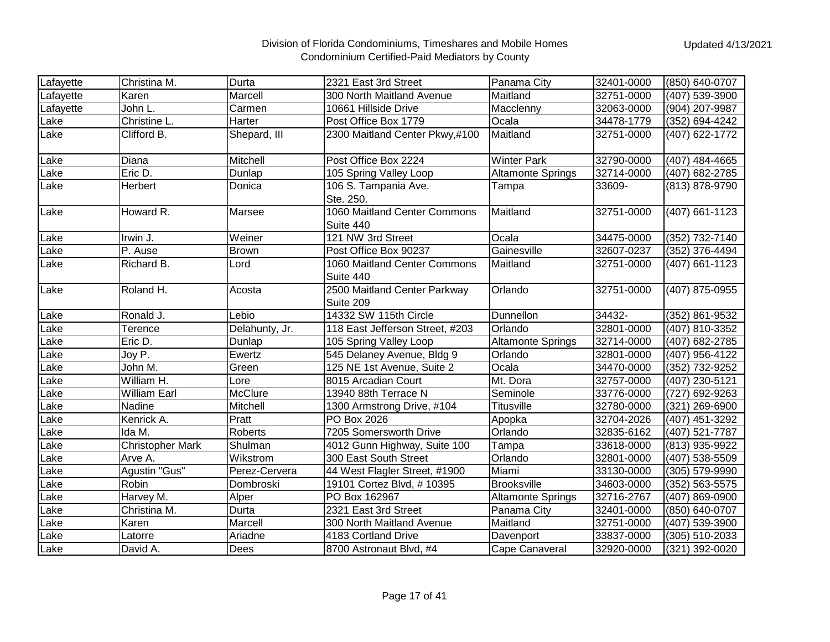| Lafayette | Christina M.            | Durta          | 2321 East 3rd Street                      | Panama City              | 32401-0000 | (850) 640-0707   |
|-----------|-------------------------|----------------|-------------------------------------------|--------------------------|------------|------------------|
| Lafayette | Karen                   | Marcell        | 300 North Maitland Avenue                 | Maitland                 | 32751-0000 | $(407) 539-3900$ |
| Lafayette | John L.                 | Carmen         | 10661 Hillside Drive                      | Macclenny                | 32063-0000 | (904) 207-9987   |
| Lake      | Christine L.            | Harter         | Post Office Box 1779                      | Ocala                    | 34478-1779 | (352) 694-4242   |
| Lake      | Clifford B.             | Shepard, III   | 2300 Maitland Center Pkwy,#100            | Maitland                 | 32751-0000 | (407) 622-1772   |
| Lake      | Diana                   | Mitchell       | Post Office Box 2224                      | <b>Winter Park</b>       | 32790-0000 | (407) 484-4665   |
| Lake      | Eric D.                 | Dunlap         | 105 Spring Valley Loop                    | <b>Altamonte Springs</b> | 32714-0000 | (407) 682-2785   |
| Lake      | Herbert                 | Donica         | 106 S. Tampania Ave.<br>Ste. 250.         | Tampa                    | 33609-     | (813) 878-9790   |
| Lake      | Howard R.               | Marsee         | 1060 Maitland Center Commons<br>Suite 440 | Maitland                 | 32751-0000 | (407) 661-1123   |
| Lake      | Irwin J.                | Weiner         | 121 NW 3rd Street                         | Ocala                    | 34475-0000 | (352) 732-7140   |
| Lake      | P. Ause                 | <b>Brown</b>   | Post Office Box 90237                     | Gainesville              | 32607-0237 | (352) 376-4494   |
| Lake      | Richard B.              | Lord           | 1060 Maitland Center Commons<br>Suite 440 | Maitland                 | 32751-0000 | (407) 661-1123   |
| Lake      | Roland H.               | Acosta         | 2500 Maitland Center Parkway<br>Suite 209 | Orlando                  | 32751-0000 | (407) 875-0955   |
| Lake      | Ronald J.               | Lebio          | 14332 SW 115th Circle                     | Dunnellon                | 34432-     | (352) 861-9532   |
| Lake      | Terence                 | Delahunty, Jr. | 118 East Jefferson Street, #203           | Orlando                  | 32801-0000 | (407) 810-3352   |
| Lake      | Eric D.                 | Dunlap         | 105 Spring Valley Loop                    | <b>Altamonte Springs</b> | 32714-0000 | (407) 682-2785   |
| Lake      | Joy P.                  | Ewertz         | 545 Delaney Avenue, Bldg 9                | Orlando                  | 32801-0000 | (407) 956-4122   |
| Lake      | John M.                 | Green          | 125 NE 1st Avenue, Suite 2                | Ocala                    | 34470-0000 | (352) 732-9252   |
| Lake      | William H.              | Lore           | 8015 Arcadian Court                       | Mt. Dora                 | 32757-0000 | (407) 230-5121   |
| Lake      | <b>William Earl</b>     | McClure        | 13940 88th Terrace N                      | Seminole                 | 33776-0000 | (727) 692-9263   |
| Lake      | Nadine                  | Mitchell       | 1300 Armstrong Drive, #104                | Titusville               | 32780-0000 | (321) 269-6900   |
| Lake      | Kenrick A.              | Pratt          | PO Box 2026                               | Apopka                   | 32704-2026 | (407) 451-3292   |
| Lake      | Ida M.                  | <b>Roberts</b> | 7205 Somersworth Drive                    | Orlando                  | 32835-6162 | (407) 521-7787   |
| Lake      | <b>Christopher Mark</b> | Shulman        | 4012 Gunn Highway, Suite 100              | Tampa                    | 33618-0000 | (813) 935-9922   |
| Lake      | Arve A.                 | Wikstrom       | 300 East South Street                     | Orlando                  | 32801-0000 | (407) 538-5509   |
| Lake      | Agustin "Gus"           | Perez-Cervera  | 44 West Flagler Street, #1900             | Miami                    | 33130-0000 | (305) 579-9990   |
| Lake      | Robin                   | Dombroski      | 19101 Cortez Blvd, #10395                 | <b>Brooksville</b>       | 34603-0000 | (352) 563-5575   |
| Lake      | Harvey M.               | Alper          | PO Box 162967                             | <b>Altamonte Springs</b> | 32716-2767 | (407) 869-0900   |
| Lake      | Christina M.            | Durta          | 2321 East 3rd Street                      | Panama City              | 32401-0000 | (850) 640-0707   |
| Lake      | Karen                   | Marcell        | 300 North Maitland Avenue                 | Maitland                 | 32751-0000 | (407) 539-3900   |
| Lake      | Latorre                 | Ariadne        | 4183 Cortland Drive                       | Davenport                | 33837-0000 | (305) 510-2033   |
| Lake      | David A.                | Dees           | 8700 Astronaut Blvd, #4                   | Cape Canaveral           | 32920-0000 | (321) 392-0020   |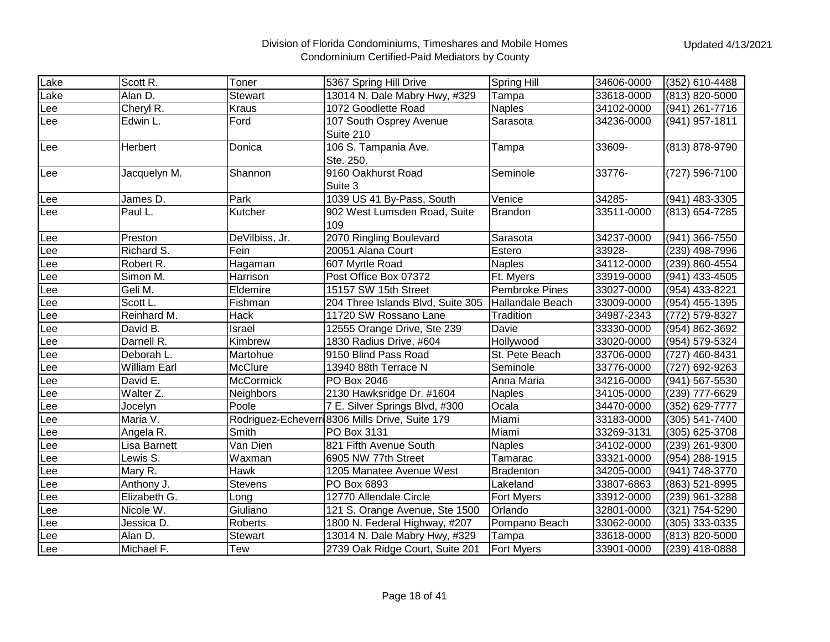| Lake | Scott R.            | Toner            | 5367 Spring Hill Drive                          | <b>Spring Hill</b> | 34606-0000 | (352) 610-4488 |
|------|---------------------|------------------|-------------------------------------------------|--------------------|------------|----------------|
| Lake | Alan D.             | <b>Stewart</b>   | 13014 N. Dale Mabry Hwy, #329                   | Tampa              | 33618-0000 | (813) 820-5000 |
| Lee  | Cheryl R.           | <b>Kraus</b>     | 1072 Goodlette Road                             | <b>Naples</b>      | 34102-0000 | (941) 261-7716 |
| Lee  | Edwin L.            | Ford             | 107 South Osprey Avenue                         | Sarasota           | 34236-0000 | (941) 957-1811 |
|      |                     |                  | Suite 210                                       |                    |            |                |
| Lee  | Herbert             | Donica           | 106 S. Tampania Ave.                            | Tampa              | 33609-     | (813) 878-9790 |
|      |                     |                  | Ste. 250.                                       |                    |            |                |
| Lee  | Jacquelyn M.        | Shannon          | 9160 Oakhurst Road                              | Seminole           | 33776-     | (727) 596-7100 |
|      |                     |                  | Suite 3                                         |                    |            |                |
| Lee  | James D.            | Park             | 1039 US 41 By-Pass, South                       | Venice             | 34285-     | (941) 483-3305 |
| Lee  | Paul L.             | Kutcher          | 902 West Lumsden Road, Suite                    | <b>Brandon</b>     | 33511-0000 | (813) 654-7285 |
|      |                     |                  | 109                                             |                    |            |                |
| Lee  | Preston             | DeVilbiss, Jr.   | 2070 Ringling Boulevard                         | Sarasota           | 34237-0000 | (941) 366-7550 |
| Lee  | Richard S.          | Fein             | 20051 Alana Court                               | Estero             | 33928-     | (239) 498-7996 |
| Lee  | Robert R.           | Hagaman          | 607 Myrtle Road                                 | <b>Naples</b>      | 34112-0000 | (239) 860-4554 |
| Lee  | Simon M.            | Harrison         | Post Office Box 07372                           | Ft. Myers          | 33919-0000 | (941) 433-4505 |
| Lee  | Geli M.             | Eldemire         | 15157 SW 15th Street                            | Pembroke Pines     | 33027-0000 | (954) 433-8221 |
| Lee  | Scott L.            | Fishman          | 204 Three Islands Blvd, Suite 305               | Hallandale Beach   | 33009-0000 | (954) 455-1395 |
| Lee  | Reinhard M.         | <b>Hack</b>      | 11720 SW Rossano Lane                           | Tradition          | 34987-2343 | (772) 579-8327 |
| Lee  | David B.            | Israel           | 12555 Orange Drive, Ste 239                     | Davie              | 33330-0000 | (954) 862-3692 |
| Lee  | Darnell R.          | Kimbrew          | 1830 Radius Drive, #604                         | Hollywood          | 33020-0000 | (954) 579-5324 |
| Lee  | Deborah L.          | Martohue         | 9150 Blind Pass Road                            | St. Pete Beach     | 33706-0000 | (727) 460-8431 |
| Lee  | <b>William Earl</b> | McClure          | 13940 88th Terrace N                            | Seminole           | 33776-0000 | (727) 692-9263 |
| Lee  | David E.            | <b>McCormick</b> | PO Box 2046                                     | Anna Maria         | 34216-0000 | (941) 567-5530 |
| Lee  | Walter Z.           | Neighbors        | 2130 Hawksridge Dr. #1604                       | <b>Naples</b>      | 34105-0000 | (239) 777-6629 |
| Lee  | Jocelyn             | Poole            | 7 E. Silver Springs Blvd, #300                  | Ocala              | 34470-0000 | (352) 629-7777 |
| Lee  | Maria V.            |                  | Rodriguez-Echeverri 8306 Mills Drive, Suite 179 | Miami              | 33183-0000 | (305) 541-7400 |
| Lee  | Angela R.           | Smith            | PO Box 3131                                     | Miami              | 33269-3131 | (305) 625-3708 |
| Lee  | Lisa Barnett        | Van Dien         | 821 Fifth Avenue South                          | <b>Naples</b>      | 34102-0000 | (239) 261-9300 |
| Lee  | Lewis S.            | Waxman           | 6905 NW 77th Street                             | Tamarac            | 33321-0000 | (954) 288-1915 |
| Lee  | Mary R.             | <b>Hawk</b>      | 1205 Manatee Avenue West                        | <b>Bradenton</b>   | 34205-0000 | (941) 748-3770 |
| Lee  | Anthony J.          | Stevens          | PO Box 6893                                     | Lakeland           | 33807-6863 | (863) 521-8995 |
| Lee  | Elizabeth G.        | Long             | 12770 Allendale Circle                          | Fort Myers         | 33912-0000 | (239) 961-3288 |
| Lee  | Nicole W.           | Giuliano         | 121 S. Orange Avenue, Ste 1500                  | Orlando            | 32801-0000 | (321) 754-5290 |
| Lee  | Jessica D.          | Roberts          | 1800 N. Federal Highway, #207                   | Pompano Beach      | 33062-0000 | (305) 333-0335 |
| Lee  | Alan D.             | Stewart          | 13014 N. Dale Mabry Hwy, #329                   | Tampa              | 33618-0000 | (813) 820-5000 |
| Lee  | Michael F.          | Tew              | 2739 Oak Ridge Court, Suite 201                 | <b>Fort Myers</b>  | 33901-0000 | (239) 418-0888 |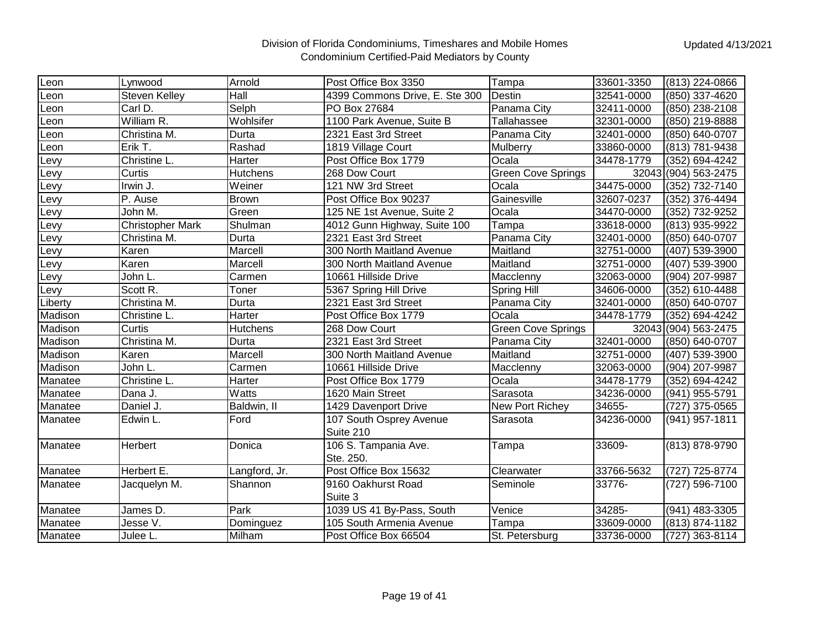| Leon    | Lynwood                 | Arnold          | Post Office Box 3350           | Tampa                     | 33601-3350 | (813) 224-0866       |
|---------|-------------------------|-----------------|--------------------------------|---------------------------|------------|----------------------|
| _eon    | <b>Steven Kelley</b>    | Hall            | 4399 Commons Drive, E. Ste 300 | Destin                    | 32541-0000 | (850) 337-4620       |
| Leon    | Carl D.                 | Selph           | PO Box 27684                   | Panama City               | 32411-0000 | (850) 238-2108       |
| Leon    | William R.              | Wohlsifer       | 1100 Park Avenue, Suite B      | Tallahassee               | 32301-0000 | (850) 219-8888       |
| _eon    | Christina M.            | Durta           | 2321 East 3rd Street           | Panama City               | 32401-0000 | (850) 640-0707       |
| _eon    | Erik T.                 | Rashad          | 1819 Village Court             | Mulberry                  | 33860-0000 | (813) 781-9438       |
| Levy    | Christine L.            | Harter          | Post Office Box 1779           | Ocala                     | 34478-1779 | (352) 694-4242       |
| Levy    | Curtis                  | <b>Hutchens</b> | 268 Dow Court                  | <b>Green Cove Springs</b> |            | 32043 (904) 563-2475 |
| Levy    | Irwin J.                | Weiner          | 121 NW 3rd Street              | Ocala                     | 34475-0000 | (352) 732-7140       |
| Levy    | P. Ause                 | <b>Brown</b>    | Post Office Box 90237          | Gainesville               | 32607-0237 | (352) 376-4494       |
| Levy    | John M.                 | Green           | 125 NE 1st Avenue, Suite 2     | Ocala                     | 34470-0000 | (352) 732-9252       |
| Levy    | <b>Christopher Mark</b> | Shulman         | 4012 Gunn Highway, Suite 100   | Tampa                     | 33618-0000 | (813) 935-9922       |
| _evy    | Christina M.            | Durta           | 2321 East 3rd Street           | Panama City               | 32401-0000 | (850) 640-0707       |
| Levy    | Karen                   | Marcell         | 300 North Maitland Avenue      | Maitland                  | 32751-0000 | (407) 539-3900       |
| _evy    | Karen                   | Marcell         | 300 North Maitland Avenue      | Maitland                  | 32751-0000 | (407) 539-3900       |
| evy     | John L.                 | Carmen          | 10661 Hillside Drive           | Macclenny                 | 32063-0000 | (904) 207-9987       |
| _evy    | Scott R.                | Toner           | 5367 Spring Hill Drive         | <b>Spring Hill</b>        | 34606-0000 | (352) 610-4488       |
| Liberty | Christina M.            | Durta           | 2321 East 3rd Street           | Panama City               | 32401-0000 | (850) 640-0707       |
| Madison | Christine L.            | Harter          | Post Office Box 1779           | Ocala                     | 34478-1779 | (352) 694-4242       |
| Madison | Curtis                  | <b>Hutchens</b> | 268 Dow Court                  | Green Cove Springs        |            | 32043 (904) 563-2475 |
| Madison | Christina M.            | Durta           | 2321 East 3rd Street           | Panama City               | 32401-0000 | (850) 640-0707       |
| Madison | Karen                   | Marcell         | 300 North Maitland Avenue      | Maitland                  | 32751-0000 | (407) 539-3900       |
| Madison | John L.                 | Carmen          | 10661 Hillside Drive           | Macclenny                 | 32063-0000 | (904) 207-9987       |
| Manatee | Christine L.            | Harter          | Post Office Box 1779           | Ocala                     | 34478-1779 | (352) 694-4242       |
| Manatee | Dana J.                 | Watts           | 1620 Main Street               | Sarasota                  | 34236-0000 | (941) 955-5791       |
| Manatee | Daniel J.               | Baldwin, II     | 1429 Davenport Drive           | New Port Richey           | 34655-     | (727) 375-0565       |
| Manatee | Edwin L.                | Ford            | 107 South Osprey Avenue        | Sarasota                  | 34236-0000 | (941) 957-1811       |
|         |                         |                 | Suite 210                      |                           |            |                      |
| Manatee | Herbert                 | Donica          | 106 S. Tampania Ave.           | Tampa                     | 33609-     | (813) 878-9790       |
|         |                         |                 | Ste. 250.                      |                           |            |                      |
| Manatee | Herbert E.              | Langford, Jr.   | Post Office Box 15632          | Clearwater                | 33766-5632 | (727) 725-8774       |
| Manatee | Jacquelyn M.            | Shannon         | 9160 Oakhurst Road             | Seminole                  | 33776-     | (727) 596-7100       |
|         |                         |                 | Suite 3                        |                           |            |                      |
| Manatee | James D.                | Park            | 1039 US 41 By-Pass, South      | Venice                    | 34285-     | (941) 483-3305       |
| Manatee | Jesse V.                | Dominguez       | 105 South Armenia Avenue       | Tampa                     | 33609-0000 | (813) 874-1182       |
| Manatee | Julee L.                | Milham          | Post Office Box 66504          | St. Petersburg            | 33736-0000 | (727) 363-8114       |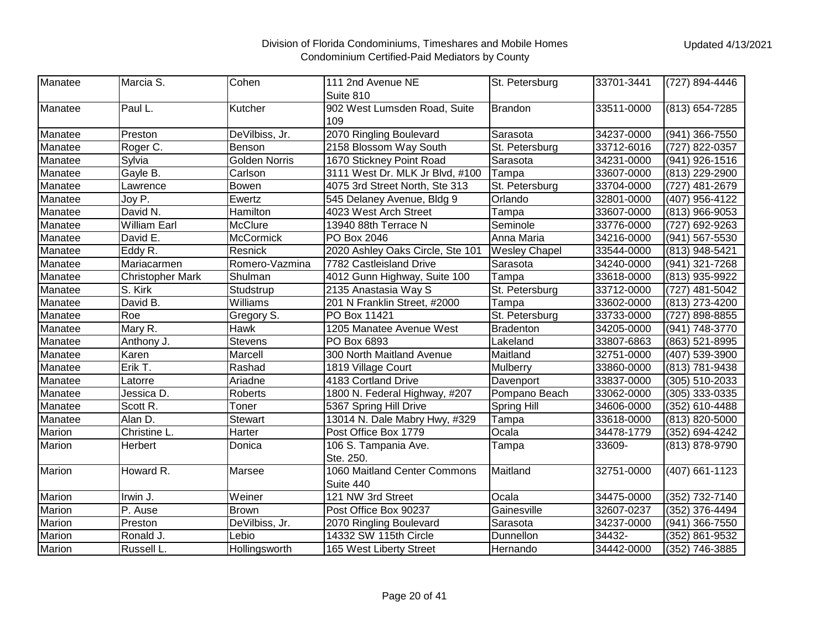| Manatee | Marcia S.               | Cohen                | 111 2nd Avenue NE                | St. Petersburg       | 33701-3441 | (727) 894-4446 |
|---------|-------------------------|----------------------|----------------------------------|----------------------|------------|----------------|
|         |                         |                      | Suite 810                        |                      |            |                |
| Manatee | Paul L.                 | Kutcher              | 902 West Lumsden Road, Suite     | <b>Brandon</b>       | 33511-0000 | (813) 654-7285 |
|         |                         |                      | 109                              |                      |            |                |
| Manatee | Preston                 | DeVilbiss, Jr.       | 2070 Ringling Boulevard          | Sarasota             | 34237-0000 | (941) 366-7550 |
| Manatee | Roger C.                | Benson               | 2158 Blossom Way South           | St. Petersburg       | 33712-6016 | (727) 822-0357 |
| Manatee | Sylvia                  | <b>Golden Norris</b> | 1670 Stickney Point Road         | Sarasota             | 34231-0000 | (941) 926-1516 |
| Manatee | Gayle B.                | Carlson              | 3111 West Dr. MLK Jr Blvd, #100  | Tampa                | 33607-0000 | (813) 229-2900 |
| Manatee | Lawrence                | <b>Bowen</b>         | 4075 3rd Street North, Ste 313   | St. Petersburg       | 33704-0000 | (727) 481-2679 |
| Manatee | Joy P.                  | Ewertz               | 545 Delaney Avenue, Bldg 9       | Orlando              | 32801-0000 | (407) 956-4122 |
| Manatee | David N.                | Hamilton             | 4023 West Arch Street            | Tampa                | 33607-0000 | (813) 966-9053 |
| Manatee | <b>William Earl</b>     | <b>McClure</b>       | 13940 88th Terrace N             | Seminole             | 33776-0000 | (727) 692-9263 |
| Manatee | David E.                | <b>McCormick</b>     | PO Box 2046                      | Anna Maria           | 34216-0000 | (941) 567-5530 |
| Manatee | Eddy R.                 | Resnick              | 2020 Ashley Oaks Circle, Ste 101 | <b>Wesley Chapel</b> | 33544-0000 | (813) 948-5421 |
| Manatee | Mariacarmen             | Romero-Vazmina       | 7782 Castleisland Drive          | Sarasota             | 34240-0000 | (941) 321-7268 |
| Manatee | <b>Christopher Mark</b> | Shulman              | 4012 Gunn Highway, Suite 100     | Tampa                | 33618-0000 | (813) 935-9922 |
| Manatee | S. Kirk                 | Studstrup            | 2135 Anastasia Way S             | St. Petersburg       | 33712-0000 | (727) 481-5042 |
| Manatee | David B.                | Williams             | 201 N Franklin Street, #2000     | Tampa                | 33602-0000 | (813) 273-4200 |
| Manatee | Roe                     | Gregory S.           | PO Box 11421                     | St. Petersburg       | 33733-0000 | (727) 898-8855 |
| Manatee | Mary R.                 | Hawk                 | 1205 Manatee Avenue West         | <b>Bradenton</b>     | 34205-0000 | (941) 748-3770 |
| Manatee | Anthony J.              | <b>Stevens</b>       | PO Box 6893                      | Lakeland             | 33807-6863 | (863) 521-8995 |
| Manatee | Karen                   | Marcell              | 300 North Maitland Avenue        | Maitland             | 32751-0000 | (407) 539-3900 |
| Manatee | Erik T.                 | Rashad               | 1819 Village Court               | Mulberry             | 33860-0000 | (813) 781-9438 |
| Manatee | Latorre                 | Ariadne              | 4183 Cortland Drive              | Davenport            | 33837-0000 | (305) 510-2033 |
| Manatee | Jessica D.              | Roberts              | 1800 N. Federal Highway, #207    | Pompano Beach        | 33062-0000 | (305) 333-0335 |
| Manatee | Scott R.                | Toner                | 5367 Spring Hill Drive           | <b>Spring Hill</b>   | 34606-0000 | (352) 610-4488 |
| Manatee | Alan D.                 | <b>Stewart</b>       | 13014 N. Dale Mabry Hwy, #329    | Tampa                | 33618-0000 | (813) 820-5000 |
| Marion  | Christine L.            | Harter               | Post Office Box 1779             | Ocala                | 34478-1779 | (352) 694-4242 |
| Marion  | Herbert                 | Donica               | 106 S. Tampania Ave.             | Tampa                | 33609-     | (813) 878-9790 |
|         |                         |                      | Ste. 250.                        |                      |            |                |
| Marion  | Howard R.               | Marsee               | 1060 Maitland Center Commons     | Maitland             | 32751-0000 | (407) 661-1123 |
|         |                         |                      | Suite 440                        |                      |            |                |
| Marion  | Irwin J.                | Weiner               | 121 NW 3rd Street                | Ocala                | 34475-0000 | (352) 732-7140 |
| Marion  | P. Ause                 | <b>Brown</b>         | Post Office Box 90237            | Gainesville          | 32607-0237 | (352) 376-4494 |
| Marion  | Preston                 | DeVilbiss, Jr.       | 2070 Ringling Boulevard          | Sarasota             | 34237-0000 | (941) 366-7550 |
| Marion  | Ronald J.               | Lebio                | 14332 SW 115th Circle            | Dunnellon            | 34432-     | (352) 861-9532 |
| Marion  | Russell L.              | Hollingsworth        | 165 West Liberty Street          | Hernando             | 34442-0000 | (352) 746-3885 |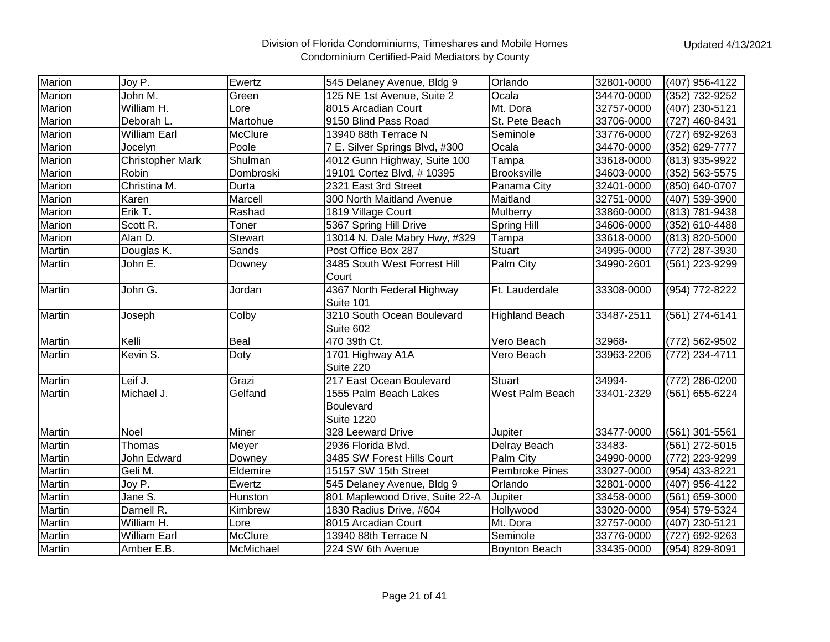| Marion | Joy P.                  | Ewertz         | 545 Delaney Avenue, Bldg 9      | Orlando               | 32801-0000 | (407) 956-4122 |
|--------|-------------------------|----------------|---------------------------------|-----------------------|------------|----------------|
| Marion | John M.                 | Green          | 125 NE 1st Avenue, Suite 2      | Ocala                 | 34470-0000 | (352) 732-9252 |
| Marion | William H.              | Lore           | 8015 Arcadian Court             | Mt. Dora              | 32757-0000 | (407) 230-5121 |
| Marion | Deborah L.              | Martohue       | 9150 Blind Pass Road            | St. Pete Beach        | 33706-0000 | (727) 460-8431 |
| Marion | <b>William Earl</b>     | McClure        | 13940 88th Terrace N            | Seminole              | 33776-0000 | (727) 692-9263 |
| Marion | Jocelyn                 | Poole          | 7 E. Silver Springs Blvd, #300  | Ocala                 | 34470-0000 | (352) 629-7777 |
| Marion | <b>Christopher Mark</b> | Shulman        | 4012 Gunn Highway, Suite 100    | Tampa                 | 33618-0000 | (813) 935-9922 |
| Marion | <b>Robin</b>            | Dombroski      | 19101 Cortez Blvd, #10395       | <b>Brooksville</b>    | 34603-0000 | (352) 563-5575 |
| Marion | Christina M.            | Durta          | 2321 East 3rd Street            | Panama City           | 32401-0000 | (850) 640-0707 |
| Marion | Karen                   | Marcell        | 300 North Maitland Avenue       | Maitland              | 32751-0000 | (407) 539-3900 |
| Marion | Erik T.                 | Rashad         | 1819 Village Court              | Mulberry              | 33860-0000 | (813) 781-9438 |
| Marion | Scott R.                | Toner          | 5367 Spring Hill Drive          | Spring Hill           | 34606-0000 | (352) 610-4488 |
| Marion | Alan D.                 | <b>Stewart</b> | 13014 N. Dale Mabry Hwy, #329   | Tampa                 | 33618-0000 | (813) 820-5000 |
| Martin | Douglas K.              | Sands          | Post Office Box 287             | <b>Stuart</b>         | 34995-0000 | (772) 287-3930 |
| Martin | John E.                 | Downey         | 3485 South West Forrest Hill    | Palm City             | 34990-2601 | (561) 223-9299 |
|        |                         |                | Court                           |                       |            |                |
| Martin | John G.                 | Jordan         | 4367 North Federal Highway      | Ft. Lauderdale        | 33308-0000 | (954) 772-8222 |
|        |                         |                | Suite 101                       |                       |            |                |
| Martin | Joseph                  | Colby          | 3210 South Ocean Boulevard      | <b>Highland Beach</b> | 33487-2511 | (561) 274-6141 |
|        |                         |                | Suite 602                       |                       |            |                |
| Martin | Kelli                   | Beal           | 470 39th Ct.                    | Vero Beach            | 32968-     | (772) 562-9502 |
| Martin | Kevin S.                | Doty           | 1701 Highway A1A                | Vero Beach            | 33963-2206 | (772) 234-4711 |
|        |                         |                | Suite 220                       |                       |            |                |
| Martin | Leif J.                 | Grazi          | 217 East Ocean Boulevard        | <b>Stuart</b>         | 34994-     | (772) 286-0200 |
| Martin | Michael J.              | Gelfand        | 1555 Palm Beach Lakes           | West Palm Beach       | 33401-2329 | (561) 655-6224 |
|        |                         |                | Boulevard                       |                       |            |                |
|        |                         |                | <b>Suite 1220</b>               |                       |            |                |
| Martin | <b>Noel</b>             | <b>Miner</b>   | 328 Leeward Drive               | Jupiter               | 33477-0000 | (561) 301-5561 |
| Martin | Thomas                  | Meyer          | 2936 Florida Blvd.              | Delray Beach          | 33483-     | (561) 272-5015 |
| Martin | John Edward             | Downey         | 3485 SW Forest Hills Court      | Palm City             | 34990-0000 | (772) 223-9299 |
| Martin | Geli M.                 | Eldemire       | 15157 SW 15th Street            | <b>Pembroke Pines</b> | 33027-0000 | (954) 433-8221 |
| Martin | Joy P.                  | Ewertz         | 545 Delaney Avenue, Bldg 9      | Orlando               | 32801-0000 | (407) 956-4122 |
| Martin | Jane S.                 | Hunston        | 801 Maplewood Drive, Suite 22-A | Jupiter               | 33458-0000 | (561) 659-3000 |
| Martin | Darnell R.              | Kimbrew        | 1830 Radius Drive, #604         | Hollywood             | 33020-0000 | (954) 579-5324 |
| Martin | William H.              | Lore           | 8015 Arcadian Court             | Mt. Dora              | 32757-0000 | (407) 230-5121 |
| Martin | <b>William Earl</b>     | <b>McClure</b> | 13940 88th Terrace N            | Seminole              | 33776-0000 | (727) 692-9263 |
| Martin | Amber E.B.              | McMichael      | 224 SW 6th Avenue               | Boynton Beach         | 33435-0000 | (954) 829-8091 |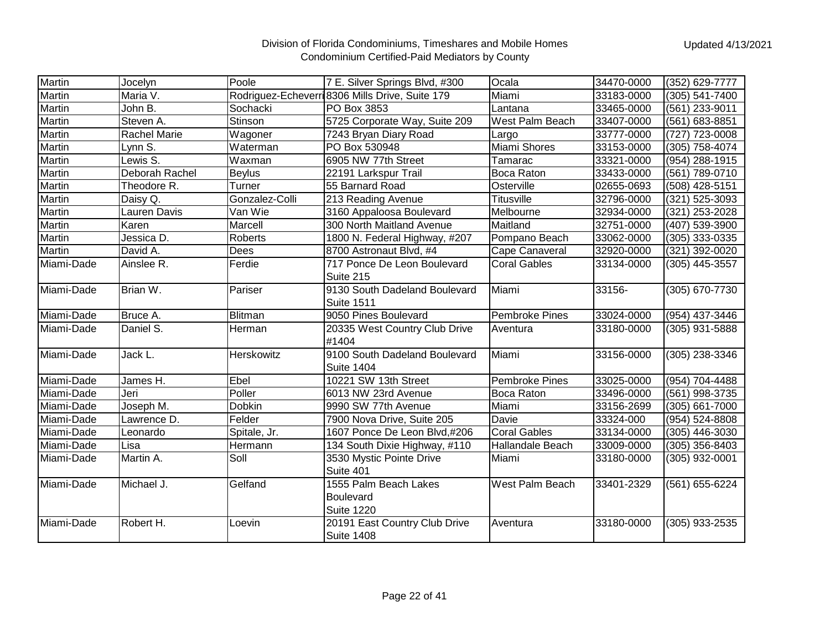| <b>Martin</b> | Jocelyn             | Poole          | 7 E. Silver Springs Blvd, #300                     | Ocala               | 34470-0000 | (352) 629-7777 |
|---------------|---------------------|----------------|----------------------------------------------------|---------------------|------------|----------------|
| Martin        | Maria V.            |                | Rodriguez-Echeverri 8306 Mills Drive, Suite 179    | Miami               | 33183-0000 | (305) 541-7400 |
| Martin        | John B.             | Sochacki       | PO Box 3853                                        | Lantana             | 33465-0000 | (561) 233-9011 |
| Martin        | Steven A.           | Stinson        | 5725 Corporate Way, Suite 209                      | West Palm Beach     | 33407-0000 | (561) 683-8851 |
| Martin        | <b>Rachel Marie</b> | Wagoner        | 7243 Bryan Diary Road                              | Largo               | 33777-0000 | (727) 723-0008 |
| Martin        | Lynn S.             | Waterman       | PO Box 530948                                      | Miami Shores        | 33153-0000 | (305) 758-4074 |
| Martin        | Lewis S.            | Waxman         | 6905 NW 77th Street                                | Tamarac             | 33321-0000 | (954) 288-1915 |
| Martin        | Deborah Rachel      | <b>Beylus</b>  | 22191 Larkspur Trail                               | <b>Boca Raton</b>   | 33433-0000 | (561) 789-0710 |
| Martin        | Theodore R.         | Turner         | 55 Barnard Road                                    | Osterville          | 02655-0693 | (508) 428-5151 |
| Martin        | Daisy Q.            | Gonzalez-Colli | 213 Reading Avenue                                 | <b>Titusville</b>   | 32796-0000 | (321) 525-3093 |
| Martin        | Lauren Davis        | Van Wie        | 3160 Appaloosa Boulevard                           | Melbourne           | 32934-0000 | (321) 253-2028 |
| Martin        | Karen               | Marcell        | 300 North Maitland Avenue                          | Maitland            | 32751-0000 | (407) 539-3900 |
| Martin        | Jessica D.          | Roberts        | 1800 N. Federal Highway, #207                      | Pompano Beach       | 33062-0000 | (305) 333-0335 |
| Martin        | David A.            | Dees           | 8700 Astronaut Blvd, #4                            | Cape Canaveral      | 32920-0000 | (321) 392-0020 |
| Miami-Dade    | Ainslee R.          | Ferdie         | 717 Ponce De Leon Boulevard<br>Suite 215           | <b>Coral Gables</b> | 33134-0000 | (305) 445-3557 |
| Miami-Dade    | Brian W.            | Pariser        | 9130 South Dadeland Boulevard<br><b>Suite 1511</b> | Miami               | 33156-     | (305) 670-7730 |
| Miami-Dade    | Bruce A.            | <b>Blitman</b> | 9050 Pines Boulevard                               | Pembroke Pines      | 33024-0000 | (954) 437-3446 |
| Miami-Dade    | Daniel S.           | Herman         | 20335 West Country Club Drive<br>#1404             | Aventura            | 33180-0000 | (305) 931-5888 |
| Miami-Dade    | Jack L.             | Herskowitz     | 9100 South Dadeland Boulevard<br><b>Suite 1404</b> | Miami               | 33156-0000 | (305) 238-3346 |
| Miami-Dade    | James H.            | Ebel           | 10221 SW 13th Street                               | Pembroke Pines      | 33025-0000 | (954) 704-4488 |
| Miami-Dade    | Jeri                | Poller         | 6013 NW 23rd Avenue                                | <b>Boca Raton</b>   | 33496-0000 | (561) 998-3735 |
| Miami-Dade    | Joseph M.           | Dobkin         | 9990 SW 77th Avenue                                | Miami               | 33156-2699 | (305) 661-7000 |
| Miami-Dade    | Lawrence D.         | Felder         | 7900 Nova Drive, Suite 205                         | Davie               | 33324-000  | (954) 524-8808 |
| Miami-Dade    | Leonardo            | Spitale, Jr.   | 1607 Ponce De Leon Blvd,#206                       | <b>Coral Gables</b> | 33134-0000 | (305) 446-3030 |
| Miami-Dade    | Lisa                | Hermann        | 134 South Dixie Highway, #110                      | Hallandale Beach    | 33009-0000 | (305) 356-8403 |
| Miami-Dade    | Martin A.           | Soll           | 3530 Mystic Pointe Drive                           | Miami               | 33180-0000 | (305) 932-0001 |
|               |                     |                | Suite 401                                          |                     |            |                |
| Miami-Dade    | Michael J.          | Gelfand        | 1555 Palm Beach Lakes                              | West Palm Beach     | 33401-2329 | (561) 655-6224 |
|               |                     |                | Boulevard                                          |                     |            |                |
|               |                     |                | <b>Suite 1220</b>                                  |                     |            |                |
| Miami-Dade    | Robert H.           | Loevin         | 20191 East Country Club Drive<br><b>Suite 1408</b> | Aventura            | 33180-0000 | (305) 933-2535 |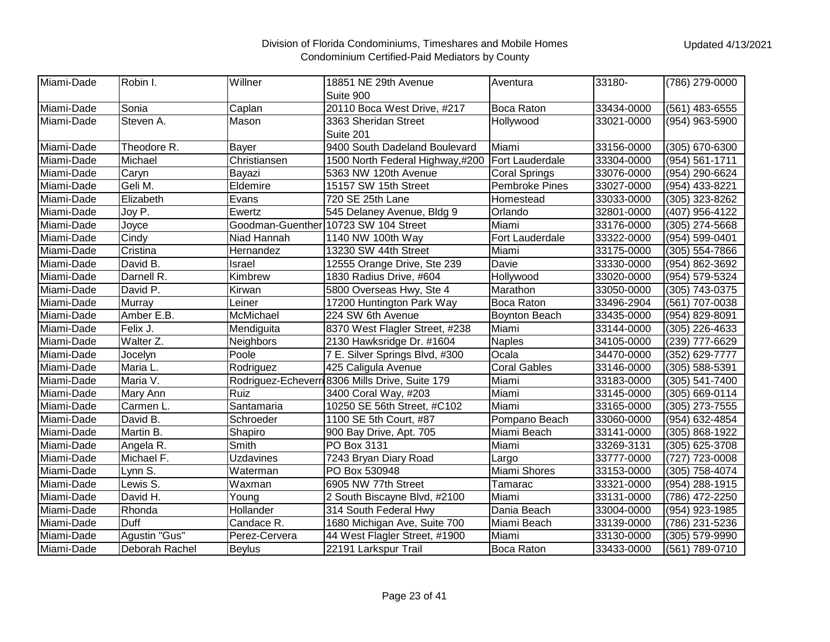| Miami-Dade | Robin I.       | Willner          | 18851 NE 29th Avenue                            | Aventura              | 33180-     | (786) 279-0000 |
|------------|----------------|------------------|-------------------------------------------------|-----------------------|------------|----------------|
|            |                |                  | Suite 900                                       |                       |            |                |
| Miami-Dade | Sonia          | Caplan           | 20110 Boca West Drive, #217                     | <b>Boca Raton</b>     | 33434-0000 | (561) 483-6555 |
| Miami-Dade | Steven A.      | Mason            | 3363 Sheridan Street                            | Hollywood             | 33021-0000 | (954) 963-5900 |
|            |                |                  | Suite 201                                       |                       |            |                |
| Miami-Dade | Theodore R.    | Bayer            | 9400 South Dadeland Boulevard                   | Miami                 | 33156-0000 | (305) 670-6300 |
| Miami-Dade | Michael        | Christiansen     | 1500 North Federal Highway,#200                 | Fort Lauderdale       | 33304-0000 | (954) 561-1711 |
| Miami-Dade | Caryn          | Bayazi           | 5363 NW 120th Avenue                            | <b>Coral Springs</b>  | 33076-0000 | (954) 290-6624 |
| Miami-Dade | Geli M.        | Eldemire         | 15157 SW 15th Street                            | <b>Pembroke Pines</b> | 33027-0000 | (954) 433-8221 |
| Miami-Dade | Elizabeth      | Evans            | 720 SE 25th Lane                                | Homestead             | 33033-0000 | (305) 323-8262 |
| Miami-Dade | Joy P.         | Ewertz           | 545 Delaney Avenue, Bldg 9                      | Orlando               | 32801-0000 | (407) 956-4122 |
| Miami-Dade | Joyce          |                  | Goodman-Guenther 10723 SW 104 Street            | Miami                 | 33176-0000 | (305) 274-5668 |
| Miami-Dade | Cindy          | Niad Hannah      | 1140 NW 100th Way                               | Fort Lauderdale       | 33322-0000 | (954) 599-0401 |
| Miami-Dade | Cristina       | Hernandez        | 13230 SW 44th Street                            | Miami                 | 33175-0000 | (305) 554-7866 |
| Miami-Dade | David B.       | Israel           | 12555 Orange Drive, Ste 239                     | Davie                 | 33330-0000 | (954) 862-3692 |
| Miami-Dade | Darnell R.     | Kimbrew          | 1830 Radius Drive, #604                         | Hollywood             | 33020-0000 | (954) 579-5324 |
| Miami-Dade | David P.       | Kirwan           | 5800 Overseas Hwy, Ste 4                        | Marathon              | 33050-0000 | (305) 743-0375 |
| Miami-Dade | Murray         | Leiner           | 17200 Huntington Park Way                       | Boca Raton            | 33496-2904 | (561) 707-0038 |
| Miami-Dade | Amber E.B.     | McMichael        | 224 SW 6th Avenue                               | Boynton Beach         | 33435-0000 | (954) 829-8091 |
| Miami-Dade | Felix J.       | Mendiguita       | 8370 West Flagler Street, #238                  | Miami                 | 33144-0000 | (305) 226-4633 |
| Miami-Dade | Walter Z.      | <b>Neighbors</b> | 2130 Hawksridge Dr. #1604                       | <b>Naples</b>         | 34105-0000 | (239) 777-6629 |
| Miami-Dade | Jocelyn        | Poole            | 7 E. Silver Springs Blvd, #300                  | Ocala                 | 34470-0000 | (352) 629-7777 |
| Miami-Dade | Maria L.       | Rodriguez        | 425 Caligula Avenue                             | <b>Coral Gables</b>   | 33146-0000 | (305) 588-5391 |
| Miami-Dade | Maria V.       |                  | Rodriguez-Echeverri 8306 Mills Drive, Suite 179 | Miami                 | 33183-0000 | (305) 541-7400 |
| Miami-Dade | Mary Ann       | Ruiz             | 3400 Coral Way, #203                            | Miami                 | 33145-0000 | (305) 669-0114 |
| Miami-Dade | Carmen L.      | Santamaria       | 10250 SE 56th Street, #C102                     | Miami                 | 33165-0000 | (305) 273-7555 |
| Miami-Dade | David B.       | Schroeder        | 1100 SE 5th Court, #87                          | Pompano Beach         | 33060-0000 | (954) 632-4854 |
| Miami-Dade | Martin B.      | Shapiro          | 900 Bay Drive, Apt. 705                         | Miami Beach           | 33141-0000 | (305) 868-1922 |
| Miami-Dade | Angela R.      | Smith            | PO Box 3131                                     | Miami                 | 33269-3131 | (305) 625-3708 |
| Miami-Dade | Michael F.     | <b>Uzdavines</b> | 7243 Bryan Diary Road                           | Largo                 | 33777-0000 | (727) 723-0008 |
| Miami-Dade | Lynn S.        | Waterman         | PO Box 530948                                   | Miami Shores          | 33153-0000 | (305) 758-4074 |
| Miami-Dade | Lewis S.       | Waxman           | 6905 NW 77th Street                             | Tamarac               | 33321-0000 | (954) 288-1915 |
| Miami-Dade | David H.       | Young            | 2 South Biscayne Blvd, #2100                    | Miami                 | 33131-0000 | (786) 472-2250 |
| Miami-Dade | Rhonda         | Hollander        | 314 South Federal Hwy                           | Dania Beach           | 33004-0000 | (954) 923-1985 |
| Miami-Dade | Duff           | Candace R.       | 1680 Michigan Ave, Suite 700                    | Miami Beach           | 33139-0000 | (786) 231-5236 |
| Miami-Dade | Agustin "Gus"  | Perez-Cervera    | 44 West Flagler Street, #1900                   | Miami                 | 33130-0000 | (305) 579-9990 |
| Miami-Dade | Deborah Rachel | <b>Beylus</b>    | 22191 Larkspur Trail                            | Boca Raton            | 33433-0000 | (561) 789-0710 |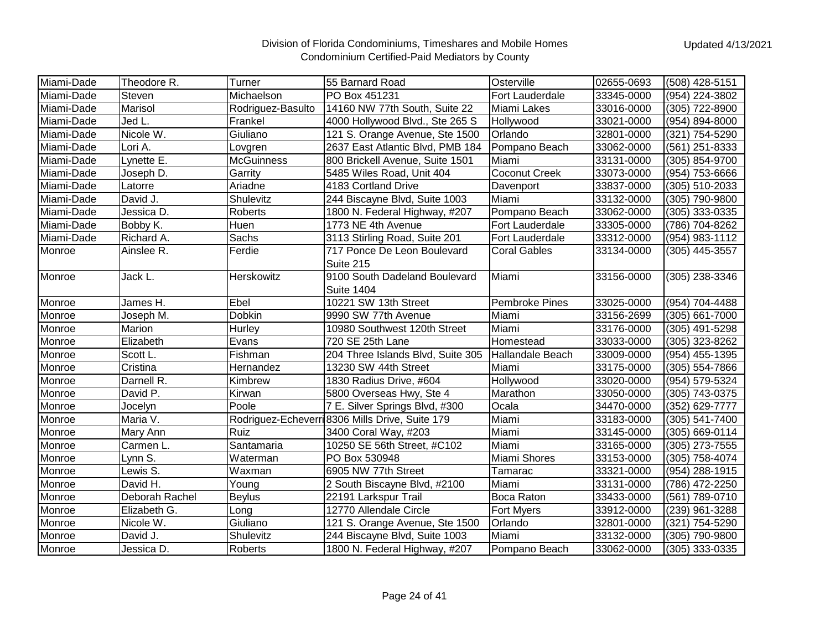| Miami-Dade | Theodore R.    | Turner            | 55 Barnard Road                                 | Osterville              | 02655-0693 | (508) 428-5151 |
|------------|----------------|-------------------|-------------------------------------------------|-------------------------|------------|----------------|
| Miami-Dade | Steven         | Michaelson        | PO Box 451231                                   | Fort Lauderdale         | 33345-0000 | (954) 224-3802 |
| Miami-Dade | Marisol        | Rodriguez-Basulto | 14160 NW 77th South, Suite 22                   | Miami Lakes             | 33016-0000 | (305) 722-8900 |
| Miami-Dade | Jed L.         | Frankel           | 4000 Hollywood Blvd., Ste 265 S                 | Hollywood               | 33021-0000 | (954) 894-8000 |
| Miami-Dade | Nicole W.      | Giuliano          | 121 S. Orange Avenue, Ste 1500                  | Orlando                 | 32801-0000 | (321) 754-5290 |
| Miami-Dade | Lori A.        | Lovgren           | 2637 East Atlantic Blvd, PMB 184                | Pompano Beach           | 33062-0000 | (561) 251-8333 |
| Miami-Dade | Lynette E.     | <b>McGuinness</b> | 800 Brickell Avenue, Suite 1501                 | Miami                   | 33131-0000 | (305) 854-9700 |
| Miami-Dade | Joseph D.      | Garrity           | 5485 Wiles Road, Unit 404                       | Coconut Creek           | 33073-0000 | (954) 753-6666 |
| Miami-Dade | Latorre        | Ariadne           | 4183 Cortland Drive                             | Davenport               | 33837-0000 | (305) 510-2033 |
| Miami-Dade | David J.       | Shulevitz         | 244 Biscayne Blvd, Suite 1003                   | Miami                   | 33132-0000 | (305) 790-9800 |
| Miami-Dade | Jessica D.     | Roberts           | 1800 N. Federal Highway, #207                   | Pompano Beach           | 33062-0000 | (305) 333-0335 |
| Miami-Dade | Bobby K.       | Huen              | 1773 NE 4th Avenue                              | Fort Lauderdale         | 33305-0000 | (786) 704-8262 |
| Miami-Dade | Richard A.     | Sachs             | 3113 Stirling Road, Suite 201                   | Fort Lauderdale         | 33312-0000 | (954) 983-1112 |
| Monroe     | Ainslee R.     | Ferdie            | 717 Ponce De Leon Boulevard                     | <b>Coral Gables</b>     | 33134-0000 | (305) 445-3557 |
|            |                |                   | Suite 215                                       |                         |            |                |
| Monroe     | Jack L.        | Herskowitz        | 9100 South Dadeland Boulevard                   | Miami                   | 33156-0000 | (305) 238-3346 |
|            |                |                   | <b>Suite 1404</b>                               |                         |            |                |
| Monroe     | James H.       | Ebel              | 10221 SW 13th Street                            | Pembroke Pines          | 33025-0000 | (954) 704-4488 |
| Monroe     | Joseph M.      | Dobkin            | 9990 SW 77th Avenue                             | Miami                   | 33156-2699 | (305) 661-7000 |
| Monroe     | Marion         | Hurley            | 10980 Southwest 120th Street                    | Miami                   | 33176-0000 | (305) 491-5298 |
| Monroe     | Elizabeth      | Evans             | 720 SE 25th Lane                                | Homestead               | 33033-0000 | (305) 323-8262 |
| Monroe     | Scott L.       | Fishman           | 204 Three Islands Blvd, Suite 305               | <b>Hallandale Beach</b> | 33009-0000 | (954) 455-1395 |
| Monroe     | Cristina       | Hernandez         | 13230 SW 44th Street                            | Miami                   | 33175-0000 | (305) 554-7866 |
| Monroe     | Darnell R.     | Kimbrew           | 1830 Radius Drive, #604                         | Hollywood               | 33020-0000 | (954) 579-5324 |
| Monroe     | David P.       | Kirwan            | 5800 Overseas Hwy, Ste 4                        | Marathon                | 33050-0000 | (305) 743-0375 |
| Monroe     | Jocelyn        | Poole             | 7 E. Silver Springs Blvd, #300                  | Ocala                   | 34470-0000 | (352) 629-7777 |
| Monroe     | Maria V.       |                   | Rodriguez-Echeverri 8306 Mills Drive, Suite 179 | Miami                   | 33183-0000 | (305) 541-7400 |
| Monroe     | Mary Ann       | Ruiz              | 3400 Coral Way, #203                            | Miami                   | 33145-0000 | (305) 669-0114 |
| Monroe     | Carmen L.      | Santamaria        | 10250 SE 56th Street, #C102                     | Miami                   | 33165-0000 | (305) 273-7555 |
| Monroe     | Lynn S.        | Waterman          | PO Box 530948                                   | Miami Shores            | 33153-0000 | (305) 758-4074 |
| Monroe     | Lewis S.       | Waxman            | 6905 NW 77th Street                             | Tamarac                 | 33321-0000 | (954) 288-1915 |
| Monroe     | David H.       | Young             | 2 South Biscayne Blvd, #2100                    | Miami                   | 33131-0000 | (786) 472-2250 |
| Monroe     | Deborah Rachel | <b>Beylus</b>     | 22191 Larkspur Trail                            | Boca Raton              | 33433-0000 | (561) 789-0710 |
| Monroe     | Elizabeth G.   | Long              | 12770 Allendale Circle                          | Fort Myers              | 33912-0000 | (239) 961-3288 |
| Monroe     | Nicole W.      | Giuliano          | 121 S. Orange Avenue, Ste 1500                  | Orlando                 | 32801-0000 | (321) 754-5290 |
| Monroe     | David J.       | Shulevitz         | 244 Biscayne Blvd, Suite 1003                   | Miami                   | 33132-0000 | (305) 790-9800 |
| Monroe     | Jessica D.     | Roberts           | 1800 N. Federal Highway, #207                   | Pompano Beach           | 33062-0000 | (305) 333-0335 |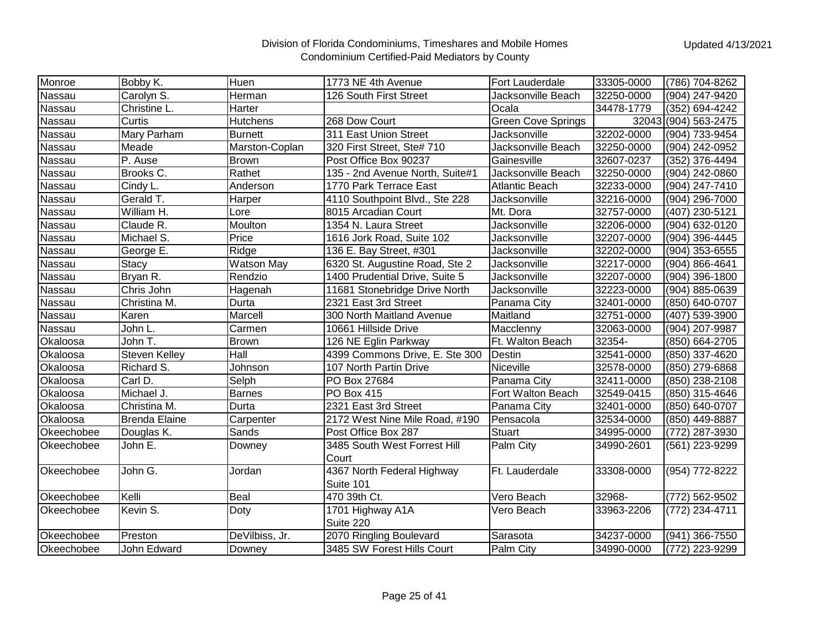| Nassau<br>Carolyn S.<br>Herman<br>126 South First Street<br>Jacksonville Beach<br>32250-0000<br>(904) 247-9420<br>Nassau<br>Harter<br>(352) 694-4242<br>Christine L.<br>Ocala<br>34478-1779<br><b>Green Cove Springs</b><br>Nassau<br><b>Hutchens</b><br>268 Dow Court<br>32043 (904) 563-2475<br>Curtis<br>32202-0000<br>Nassau<br>Mary Parham<br>311 East Union Street<br>Jacksonville<br>(904) 733-9454<br><b>Burnett</b><br>Nassau<br>Marston-Coplan<br>Meade<br>320 First Street, Ste# 710<br>Jacksonville Beach<br>32250-0000<br>(904) 242-0952<br>Nassau<br>P. Ause<br>Post Office Box 90237<br>Gainesville<br>32607-0237<br>(352) 376-4494<br><b>Brown</b><br>Nassau<br>Brooks C.<br>Rathet<br>135 - 2nd Avenue North, Suite#1<br>Jacksonville Beach<br>32250-0000<br>(904) 242-0860<br>Nassau<br>Cindy L.<br>Anderson<br>1770 Park Terrace East<br><b>Atlantic Beach</b><br>32233-0000<br>(904) 247-7410<br>Nassau<br>Gerald T.<br>Harper<br>4110 Southpoint Blvd., Ste 228<br>Jacksonville<br>32216-0000<br>(904) 296-7000<br>Nassau<br>William H.<br>8015 Arcadian Court<br>Mt. Dora<br>32757-0000<br>(407) 230-5121<br>Lore<br>Moulton<br>Jacksonville<br>Nassau<br>(904) 632-0120<br>Claude R.<br>1354 N. Laura Street<br>32206-0000<br>Price<br>Jacksonville<br>Nassau<br>Michael S.<br>1616 Jork Road, Suite 102<br>32207-0000<br>(904) 396-4445 | Monroe | Bobby K.  | Huen  | 1773 NE 4th Avenue      | <b>Fort Lauderdale</b> | 33305-0000 | (786) 704-8262 |
|-----------------------------------------------------------------------------------------------------------------------------------------------------------------------------------------------------------------------------------------------------------------------------------------------------------------------------------------------------------------------------------------------------------------------------------------------------------------------------------------------------------------------------------------------------------------------------------------------------------------------------------------------------------------------------------------------------------------------------------------------------------------------------------------------------------------------------------------------------------------------------------------------------------------------------------------------------------------------------------------------------------------------------------------------------------------------------------------------------------------------------------------------------------------------------------------------------------------------------------------------------------------------------------------------------------------------------------------------------------------|--------|-----------|-------|-------------------------|------------------------|------------|----------------|
|                                                                                                                                                                                                                                                                                                                                                                                                                                                                                                                                                                                                                                                                                                                                                                                                                                                                                                                                                                                                                                                                                                                                                                                                                                                                                                                                                                 |        |           |       |                         |                        |            |                |
|                                                                                                                                                                                                                                                                                                                                                                                                                                                                                                                                                                                                                                                                                                                                                                                                                                                                                                                                                                                                                                                                                                                                                                                                                                                                                                                                                                 |        |           |       |                         |                        |            |                |
|                                                                                                                                                                                                                                                                                                                                                                                                                                                                                                                                                                                                                                                                                                                                                                                                                                                                                                                                                                                                                                                                                                                                                                                                                                                                                                                                                                 |        |           |       |                         |                        |            |                |
|                                                                                                                                                                                                                                                                                                                                                                                                                                                                                                                                                                                                                                                                                                                                                                                                                                                                                                                                                                                                                                                                                                                                                                                                                                                                                                                                                                 |        |           |       |                         |                        |            |                |
|                                                                                                                                                                                                                                                                                                                                                                                                                                                                                                                                                                                                                                                                                                                                                                                                                                                                                                                                                                                                                                                                                                                                                                                                                                                                                                                                                                 |        |           |       |                         |                        |            |                |
|                                                                                                                                                                                                                                                                                                                                                                                                                                                                                                                                                                                                                                                                                                                                                                                                                                                                                                                                                                                                                                                                                                                                                                                                                                                                                                                                                                 |        |           |       |                         |                        |            |                |
|                                                                                                                                                                                                                                                                                                                                                                                                                                                                                                                                                                                                                                                                                                                                                                                                                                                                                                                                                                                                                                                                                                                                                                                                                                                                                                                                                                 |        |           |       |                         |                        |            |                |
|                                                                                                                                                                                                                                                                                                                                                                                                                                                                                                                                                                                                                                                                                                                                                                                                                                                                                                                                                                                                                                                                                                                                                                                                                                                                                                                                                                 |        |           |       |                         |                        |            |                |
|                                                                                                                                                                                                                                                                                                                                                                                                                                                                                                                                                                                                                                                                                                                                                                                                                                                                                                                                                                                                                                                                                                                                                                                                                                                                                                                                                                 |        |           |       |                         |                        |            |                |
|                                                                                                                                                                                                                                                                                                                                                                                                                                                                                                                                                                                                                                                                                                                                                                                                                                                                                                                                                                                                                                                                                                                                                                                                                                                                                                                                                                 |        |           |       |                         |                        |            |                |
|                                                                                                                                                                                                                                                                                                                                                                                                                                                                                                                                                                                                                                                                                                                                                                                                                                                                                                                                                                                                                                                                                                                                                                                                                                                                                                                                                                 |        |           |       |                         |                        |            |                |
|                                                                                                                                                                                                                                                                                                                                                                                                                                                                                                                                                                                                                                                                                                                                                                                                                                                                                                                                                                                                                                                                                                                                                                                                                                                                                                                                                                 |        |           |       |                         |                        |            |                |
|                                                                                                                                                                                                                                                                                                                                                                                                                                                                                                                                                                                                                                                                                                                                                                                                                                                                                                                                                                                                                                                                                                                                                                                                                                                                                                                                                                 |        |           |       |                         |                        |            |                |
|                                                                                                                                                                                                                                                                                                                                                                                                                                                                                                                                                                                                                                                                                                                                                                                                                                                                                                                                                                                                                                                                                                                                                                                                                                                                                                                                                                 | Nassau | George E. | Ridge | 136 E. Bay Street, #301 | Jacksonville           | 32202-0000 | (904) 353-6555 |
| 6320 St. Augustine Road, Ste 2<br><b>Watson May</b><br>Jacksonville<br>(904) 866-4641<br>Nassau<br><b>Stacy</b><br>32217-0000                                                                                                                                                                                                                                                                                                                                                                                                                                                                                                                                                                                                                                                                                                                                                                                                                                                                                                                                                                                                                                                                                                                                                                                                                                   |        |           |       |                         |                        |            |                |
| Bryan R.<br>Rendzio<br>1400 Prudential Drive, Suite 5<br>Jacksonville<br>(904) 396-1800<br>Nassau<br>32207-0000                                                                                                                                                                                                                                                                                                                                                                                                                                                                                                                                                                                                                                                                                                                                                                                                                                                                                                                                                                                                                                                                                                                                                                                                                                                 |        |           |       |                         |                        |            |                |
| Nassau<br>Chris John<br>Hagenah<br>11681 Stonebridge Drive North<br>Jacksonville<br>32223-0000<br>(904) 885-0639                                                                                                                                                                                                                                                                                                                                                                                                                                                                                                                                                                                                                                                                                                                                                                                                                                                                                                                                                                                                                                                                                                                                                                                                                                                |        |           |       |                         |                        |            |                |
| Nassau<br>Christina M.<br>Durta<br>2321 East 3rd Street<br>Panama City<br>(850) 640-0707<br>32401-0000                                                                                                                                                                                                                                                                                                                                                                                                                                                                                                                                                                                                                                                                                                                                                                                                                                                                                                                                                                                                                                                                                                                                                                                                                                                          |        |           |       |                         |                        |            |                |
| Marcell<br>Nassau<br>300 North Maitland Avenue<br>Maitland<br>(407) 539-3900<br>Karen<br>32751-0000                                                                                                                                                                                                                                                                                                                                                                                                                                                                                                                                                                                                                                                                                                                                                                                                                                                                                                                                                                                                                                                                                                                                                                                                                                                             |        |           |       |                         |                        |            |                |
| John L.<br>(904) 207-9987<br>Nassau<br>Carmen<br>10661 Hillside Drive<br>Macclenny<br>32063-0000                                                                                                                                                                                                                                                                                                                                                                                                                                                                                                                                                                                                                                                                                                                                                                                                                                                                                                                                                                                                                                                                                                                                                                                                                                                                |        |           |       |                         |                        |            |                |
| Okaloosa<br>John T.<br>Ft. Walton Beach<br><b>Brown</b><br>126 NE Eglin Parkway<br>32354-<br>(850) 664-2705                                                                                                                                                                                                                                                                                                                                                                                                                                                                                                                                                                                                                                                                                                                                                                                                                                                                                                                                                                                                                                                                                                                                                                                                                                                     |        |           |       |                         |                        |            |                |
| Hall<br>4399 Commons Drive, E. Ste 300<br>Okaloosa<br>Steven Kelley<br><b>Destin</b><br>32541-0000<br>(850) 337-4620                                                                                                                                                                                                                                                                                                                                                                                                                                                                                                                                                                                                                                                                                                                                                                                                                                                                                                                                                                                                                                                                                                                                                                                                                                            |        |           |       |                         |                        |            |                |
| Niceville<br>Okaloosa<br>Richard S.<br>Johnson<br>32578-0000<br>(850) 279-6868<br>107 North Partin Drive                                                                                                                                                                                                                                                                                                                                                                                                                                                                                                                                                                                                                                                                                                                                                                                                                                                                                                                                                                                                                                                                                                                                                                                                                                                        |        |           |       |                         |                        |            |                |
| Okaloosa<br>Carl D.<br>Selph<br>PO Box 27684<br>Panama City<br>(850) 238-2108<br>32411-0000                                                                                                                                                                                                                                                                                                                                                                                                                                                                                                                                                                                                                                                                                                                                                                                                                                                                                                                                                                                                                                                                                                                                                                                                                                                                     |        |           |       |                         |                        |            |                |
| Michael J.<br>Okaloosa<br><b>Barnes</b><br><b>PO Box 415</b><br>Fort Walton Beach<br>32549-0415<br>(850) 315-4646                                                                                                                                                                                                                                                                                                                                                                                                                                                                                                                                                                                                                                                                                                                                                                                                                                                                                                                                                                                                                                                                                                                                                                                                                                               |        |           |       |                         |                        |            |                |
| Okaloosa<br>Christina M.<br>Durta<br>2321 East 3rd Street<br>Panama City<br>32401-0000<br>(850) 640-0707                                                                                                                                                                                                                                                                                                                                                                                                                                                                                                                                                                                                                                                                                                                                                                                                                                                                                                                                                                                                                                                                                                                                                                                                                                                        |        |           |       |                         |                        |            |                |
| Okaloosa<br>Carpenter<br>2172 West Nine Mile Road, #190<br>Pensacola<br>32534-0000<br><b>Brenda Elaine</b><br>(850) 449-8887                                                                                                                                                                                                                                                                                                                                                                                                                                                                                                                                                                                                                                                                                                                                                                                                                                                                                                                                                                                                                                                                                                                                                                                                                                    |        |           |       |                         |                        |            |                |
| Sands<br>Post Office Box 287<br><b>Stuart</b><br>Okeechobee<br>Douglas K.<br>34995-0000<br>(772) 287-3930                                                                                                                                                                                                                                                                                                                                                                                                                                                                                                                                                                                                                                                                                                                                                                                                                                                                                                                                                                                                                                                                                                                                                                                                                                                       |        |           |       |                         |                        |            |                |
| 3485 South West Forrest Hill<br>Palm City<br>John E.<br>(561) 223-9299<br>Okeechobee<br>Downey<br>34990-2601                                                                                                                                                                                                                                                                                                                                                                                                                                                                                                                                                                                                                                                                                                                                                                                                                                                                                                                                                                                                                                                                                                                                                                                                                                                    |        |           |       |                         |                        |            |                |
| Court                                                                                                                                                                                                                                                                                                                                                                                                                                                                                                                                                                                                                                                                                                                                                                                                                                                                                                                                                                                                                                                                                                                                                                                                                                                                                                                                                           |        |           |       |                         |                        |            |                |
| 4367 North Federal Highway<br>John G.<br>Jordan<br>Ft. Lauderdale<br>33308-0000<br>(954) 772-8222<br>Okeechobee                                                                                                                                                                                                                                                                                                                                                                                                                                                                                                                                                                                                                                                                                                                                                                                                                                                                                                                                                                                                                                                                                                                                                                                                                                                 |        |           |       |                         |                        |            |                |
| Suite 101                                                                                                                                                                                                                                                                                                                                                                                                                                                                                                                                                                                                                                                                                                                                                                                                                                                                                                                                                                                                                                                                                                                                                                                                                                                                                                                                                       |        |           |       |                         |                        |            |                |
| Kelli<br>Beal<br>470 39th Ct.<br>32968-<br>(772) 562-9502<br>Okeechobee<br>Vero Beach                                                                                                                                                                                                                                                                                                                                                                                                                                                                                                                                                                                                                                                                                                                                                                                                                                                                                                                                                                                                                                                                                                                                                                                                                                                                           |        |           |       |                         |                        |            |                |
| Kevin S.<br>1701 Highway A1A<br>33963-2206<br>(772) 234-4711<br>Okeechobee<br>Doty<br>Vero Beach                                                                                                                                                                                                                                                                                                                                                                                                                                                                                                                                                                                                                                                                                                                                                                                                                                                                                                                                                                                                                                                                                                                                                                                                                                                                |        |           |       |                         |                        |            |                |
| Suite 220                                                                                                                                                                                                                                                                                                                                                                                                                                                                                                                                                                                                                                                                                                                                                                                                                                                                                                                                                                                                                                                                                                                                                                                                                                                                                                                                                       |        |           |       |                         |                        |            |                |
| DeVilbiss, Jr.<br>2070 Ringling Boulevard<br>(941) 366-7550<br>Okeechobee<br>Preston<br>Sarasota<br>34237-0000                                                                                                                                                                                                                                                                                                                                                                                                                                                                                                                                                                                                                                                                                                                                                                                                                                                                                                                                                                                                                                                                                                                                                                                                                                                  |        |           |       |                         |                        |            |                |
| 3485 SW Forest Hills Court<br>(772) 223-9299<br>Okeechobee<br>John Edward<br>Downey<br>Palm City<br>34990-0000                                                                                                                                                                                                                                                                                                                                                                                                                                                                                                                                                                                                                                                                                                                                                                                                                                                                                                                                                                                                                                                                                                                                                                                                                                                  |        |           |       |                         |                        |            |                |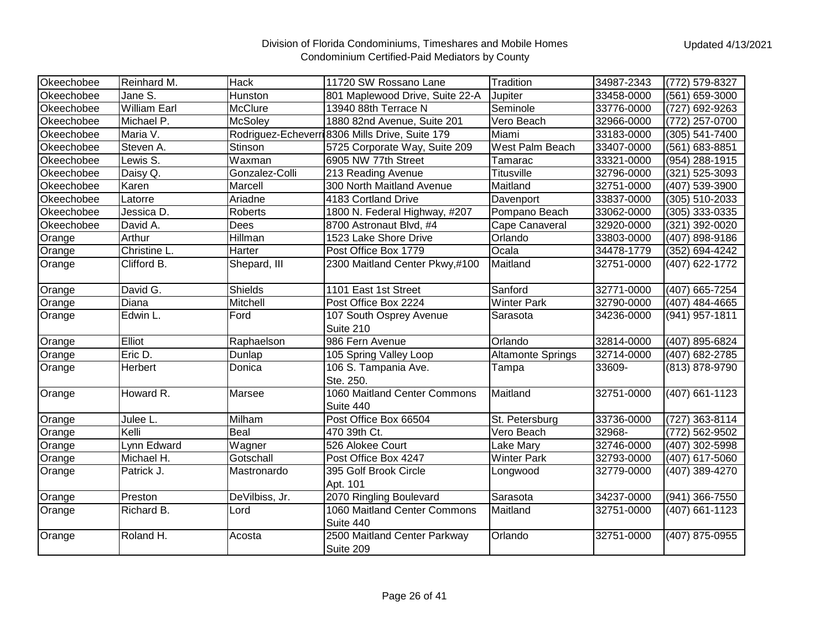| Okeechobee | Reinhard M.         | Hack           | 11720 SW Rossano Lane                           | Tradition                | 34987-2343 | (772) 579-8327 |
|------------|---------------------|----------------|-------------------------------------------------|--------------------------|------------|----------------|
| Okeechobee | Jane S.             | Hunston        | 801 Maplewood Drive, Suite 22-A                 | Jupiter                  | 33458-0000 | (561) 659-3000 |
| Okeechobee | <b>William Earl</b> | McClure        | 13940 88th Terrace N                            | Seminole                 | 33776-0000 | (727) 692-9263 |
| Okeechobee | Michael P.          | <b>McSoley</b> | 1880 82nd Avenue, Suite 201                     | Vero Beach               | 32966-0000 | (772) 257-0700 |
| Okeechobee | Maria V.            |                | Rodriguez-Echeverri 8306 Mills Drive, Suite 179 | Miami                    | 33183-0000 | (305) 541-7400 |
| Okeechobee | Steven A.           | <b>Stinson</b> | 5725 Corporate Way, Suite 209                   | West Palm Beach          | 33407-0000 | (561) 683-8851 |
| Okeechobee | Lewis S.            | Waxman         | 6905 NW 77th Street                             | Tamarac                  | 33321-0000 | (954) 288-1915 |
| Okeechobee | Daisy Q.            | Gonzalez-Colli | 213 Reading Avenue                              | <b>Titusville</b>        | 32796-0000 | (321) 525-3093 |
| Okeechobee | Karen               | Marcell        | 300 North Maitland Avenue                       | Maitland                 | 32751-0000 | (407) 539-3900 |
| Okeechobee | Latorre             | Ariadne        | 4183 Cortland Drive                             | Davenport                | 33837-0000 | (305) 510-2033 |
| Okeechobee | Jessica D.          | Roberts        | 1800 N. Federal Highway, #207                   | Pompano Beach            | 33062-0000 | (305) 333-0335 |
| Okeechobee | David A.            | Dees           | 8700 Astronaut Blvd, #4                         | Cape Canaveral           | 32920-0000 | (321) 392-0020 |
| Orange     | Arthur              | Hillman        | 1523 Lake Shore Drive                           | Orlando                  | 33803-0000 | (407) 898-9186 |
| Orange     | Christine L.        | Harter         | Post Office Box 1779                            | Ocala                    | 34478-1779 | (352) 694-4242 |
| Orange     | Clifford B.         | Shepard, III   | 2300 Maitland Center Pkwy,#100                  | Maitland                 | 32751-0000 | (407) 622-1772 |
| Orange     | David G.            | <b>Shields</b> | 1101 East 1st Street                            | Sanford                  | 32771-0000 | (407) 665-7254 |
| Orange     | Diana               | Mitchell       | Post Office Box 2224                            | <b>Winter Park</b>       | 32790-0000 | (407) 484-4665 |
| Orange     | Edwin L.            | Ford           | 107 South Osprey Avenue                         | Sarasota                 | 34236-0000 | (941) 957-1811 |
|            |                     |                | Suite 210                                       |                          |            |                |
| Orange     | Elliot              | Raphaelson     | 986 Fern Avenue                                 | Orlando                  | 32814-0000 | (407) 895-6824 |
| Orange     | Eric D.             | Dunlap         | 105 Spring Valley Loop                          | <b>Altamonte Springs</b> | 32714-0000 | (407) 682-2785 |
| Orange     | Herbert             | Donica         | 106 S. Tampania Ave.<br>Ste. 250.               | Tampa                    | 33609-     | (813) 878-9790 |
| Orange     | Howard R.           | Marsee         | 1060 Maitland Center Commons<br>Suite 440       | Maitland                 | 32751-0000 | (407) 661-1123 |
| Orange     | Julee L.            | Milham         | Post Office Box 66504                           | St. Petersburg           | 33736-0000 | (727) 363-8114 |
| Orange     | Kelli               | <b>Beal</b>    | 470 39th Ct.                                    | Vero Beach               | 32968-     | (772) 562-9502 |
| Orange     | Lynn Edward         | Wagner         | 526 Alokee Court                                | Lake Mary                | 32746-0000 | (407) 302-5998 |
| Orange     | Michael H.          | Gotschall      | Post Office Box 4247                            | <b>Winter Park</b>       | 32793-0000 | (407) 617-5060 |
| Orange     | Patrick J.          | Mastronardo    | 395 Golf Brook Circle                           | Longwood                 | 32779-0000 | (407) 389-4270 |
|            |                     |                | Apt. 101                                        |                          |            |                |
| Orange     | Preston             | DeVilbiss, Jr. | 2070 Ringling Boulevard                         | Sarasota                 | 34237-0000 | (941) 366-7550 |
| Orange     | Richard B.          | Lord           | 1060 Maitland Center Commons<br>Suite 440       | Maitland                 | 32751-0000 | (407) 661-1123 |
| Orange     | Roland H.           | Acosta         | 2500 Maitland Center Parkway<br>Suite 209       | Orlando                  | 32751-0000 | (407) 875-0955 |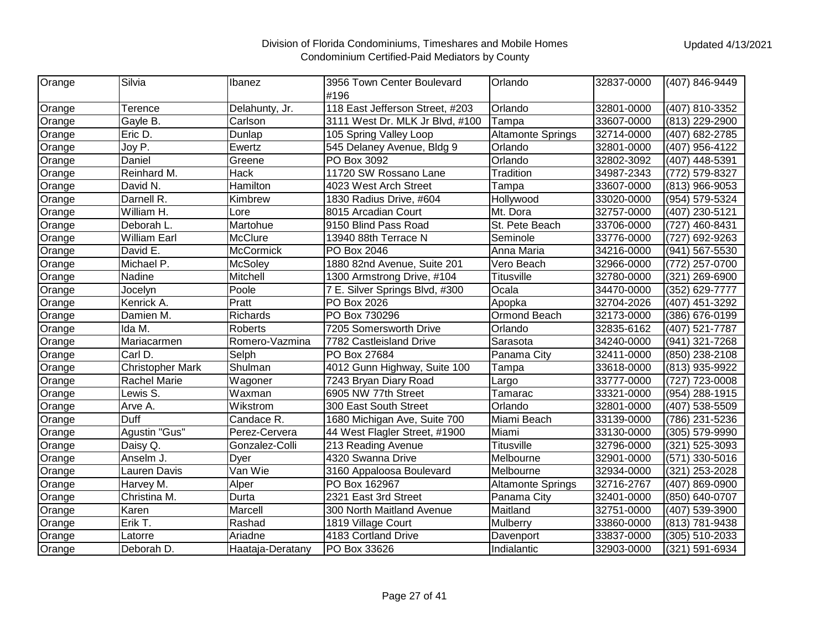| Orange | Silvia                  | Ibanez           | 3956 Town Center Boulevard      | Orlando                  | 32837-0000 | (407) 846-9449 |
|--------|-------------------------|------------------|---------------------------------|--------------------------|------------|----------------|
|        |                         |                  | #196                            |                          |            |                |
| Orange | Terence                 | Delahunty, Jr.   | 118 East Jefferson Street, #203 | Orlando                  | 32801-0000 | (407) 810-3352 |
| Orange | Gayle B.                | Carlson          | 3111 West Dr. MLK Jr Blvd, #100 | Tampa                    | 33607-0000 | (813) 229-2900 |
| Orange | Eric D.                 | Dunlap           | 105 Spring Valley Loop          | <b>Altamonte Springs</b> | 32714-0000 | (407) 682-2785 |
| Orange | Joy P.                  | Ewertz           | 545 Delaney Avenue, Bldg 9      | Orlando                  | 32801-0000 | (407) 956-4122 |
| Orange | Daniel                  | Greene           | PO Box 3092                     | Orlando                  | 32802-3092 | (407) 448-5391 |
| Orange | Reinhard M.             | <b>Hack</b>      | 11720 SW Rossano Lane           | Tradition                | 34987-2343 | (772) 579-8327 |
| Orange | David N.                | Hamilton         | 4023 West Arch Street           | Tampa                    | 33607-0000 | (813) 966-9053 |
| Orange | Darnell R.              | Kimbrew          | 1830 Radius Drive, #604         | Hollywood                | 33020-0000 | (954) 579-5324 |
| Orange | William H.              | Lore             | 8015 Arcadian Court             | Mt. Dora                 | 32757-0000 | (407) 230-5121 |
| Orange | Deborah L.              | Martohue         | 9150 Blind Pass Road            | St. Pete Beach           | 33706-0000 | (727) 460-8431 |
| Orange | <b>William Earl</b>     | <b>McClure</b>   | 13940 88th Terrace N            | Seminole                 | 33776-0000 | (727) 692-9263 |
| Orange | David E.                | <b>McCormick</b> | PO Box 2046                     | Anna Maria               | 34216-0000 | (941) 567-5530 |
| Orange | Michael P.              | McSoley          | 1880 82nd Avenue, Suite 201     | Vero Beach               | 32966-0000 | (772) 257-0700 |
| Orange | Nadine                  | Mitchell         | 1300 Armstrong Drive, #104      | Titusville               | 32780-0000 | (321) 269-6900 |
| Orange | Jocelyn                 | Poole            | 7 E. Silver Springs Blvd, #300  | Ocala                    | 34470-0000 | (352) 629-7777 |
| Orange | Kenrick A.              | Pratt            | PO Box 2026                     | Apopka                   | 32704-2026 | (407) 451-3292 |
| Orange | Damien M.               | Richards         | PO Box 730296                   | Ormond Beach             | 32173-0000 | (386) 676-0199 |
| Orange | Ida M.                  | <b>Roberts</b>   | 7205 Somersworth Drive          | Orlando                  | 32835-6162 | (407) 521-7787 |
| Orange | Mariacarmen             | Romero-Vazmina   | 7782 Castleisland Drive         | Sarasota                 | 34240-0000 | (941) 321-7268 |
| Orange | Carl D.                 | Selph            | PO Box 27684                    | Panama City              | 32411-0000 | (850) 238-2108 |
| Orange | <b>Christopher Mark</b> | Shulman          | 4012 Gunn Highway, Suite 100    | Tampa                    | 33618-0000 | (813) 935-9922 |
| Orange | <b>Rachel Marie</b>     | Wagoner          | 7243 Bryan Diary Road           | Largo                    | 33777-0000 | (727) 723-0008 |
| Orange | Lewis S.                | Waxman           | 6905 NW 77th Street             | Tamarac                  | 33321-0000 | (954) 288-1915 |
| Orange | Arve A.                 | Wikstrom         | 300 East South Street           | Orlando                  | 32801-0000 | (407) 538-5509 |
| Orange | <b>Duff</b>             | Candace R.       | 1680 Michigan Ave, Suite 700    | Miami Beach              | 33139-0000 | (786) 231-5236 |
| Orange | Agustin "Gus"           | Perez-Cervera    | 44 West Flagler Street, #1900   | Miami                    | 33130-0000 | (305) 579-9990 |
| Orange | Daisy Q.                | Gonzalez-Colli   | 213 Reading Avenue              | <b>Titusville</b>        | 32796-0000 | (321) 525-3093 |
| Orange | Anselm J.               | Dyer             | 4320 Swanna Drive               | Melbourne                | 32901-0000 | (571) 330-5016 |
| Orange | Lauren Davis            | Van Wie          | 3160 Appaloosa Boulevard        | Melbourne                | 32934-0000 | (321) 253-2028 |
| Orange | Harvey M.               | Alper            | PO Box 162967                   | <b>Altamonte Springs</b> | 32716-2767 | (407) 869-0900 |
| Orange | Christina M.            | Durta            | 2321 East 3rd Street            | Panama City              | 32401-0000 | (850) 640-0707 |
| Orange | Karen                   | Marcell          | 300 North Maitland Avenue       | Maitland                 | 32751-0000 | (407) 539-3900 |
| Orange | Erik T.                 | Rashad           | 1819 Village Court              | Mulberry                 | 33860-0000 | (813) 781-9438 |
| Orange | Latorre                 | Ariadne          | 4183 Cortland Drive             | Davenport                | 33837-0000 | (305) 510-2033 |
| Orange | Deborah D.              | Haataja-Deratany | PO Box 33626                    | Indialantic              | 32903-0000 | (321) 591-6934 |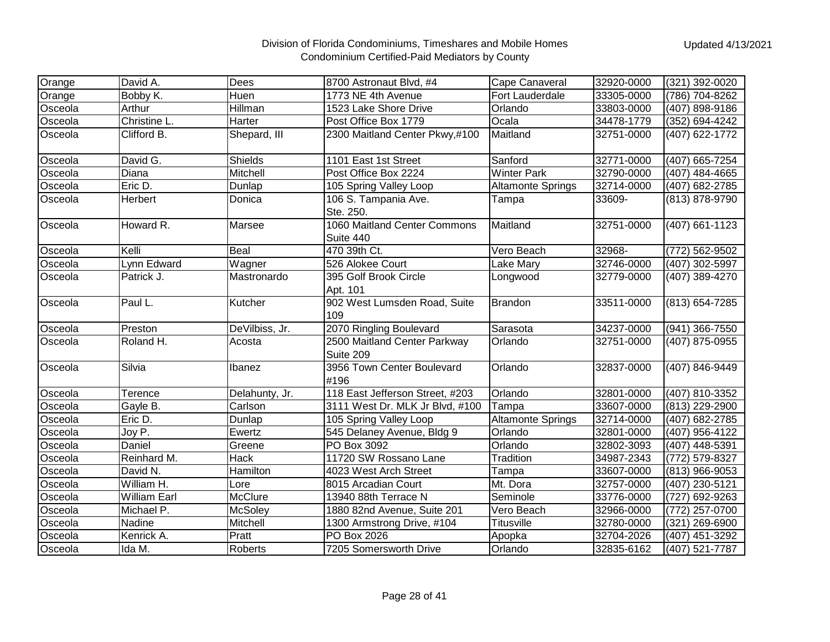| Orange  | David A.            | <b>Dees</b>    | 8700 Astronaut Blvd, #4                   | Cape Canaveral           | 32920-0000 | (321) 392-0020   |
|---------|---------------------|----------------|-------------------------------------------|--------------------------|------------|------------------|
| Orange  | Bobby K.            | <b>Huen</b>    | 1773 NE 4th Avenue                        | Fort Lauderdale          | 33305-0000 | (786) 704-8262   |
| Osceola | Arthur              | Hillman        | 1523 Lake Shore Drive                     | Orlando                  | 33803-0000 | (407) 898-9186   |
| Osceola | Christine L.        | Harter         | Post Office Box 1779                      | Ocala                    | 34478-1779 | (352) 694-4242   |
| Osceola | Clifford B.         | Shepard, III   | 2300 Maitland Center Pkwy,#100            | Maitland                 | 32751-0000 | (407) 622-1772   |
| Osceola | David G.            | Shields        | 1101 East 1st Street                      | Sanford                  | 32771-0000 | (407) 665-7254   |
| Osceola | Diana               | Mitchell       | Post Office Box 2224                      | <b>Winter Park</b>       | 32790-0000 | $(407)$ 484-4665 |
| Osceola | Eric D.             | Dunlap         | 105 Spring Valley Loop                    | <b>Altamonte Springs</b> | 32714-0000 | (407) 682-2785   |
| Osceola | Herbert             | Donica         | 106 S. Tampania Ave.<br>Ste. 250.         | Tampa                    | 33609-     | (813) 878-9790   |
| Osceola | Howard R.           | Marsee         | 1060 Maitland Center Commons<br>Suite 440 | Maitland                 | 32751-0000 | (407) 661-1123   |
| Osceola | Kelli               | Beal           | 470 39th Ct.                              | Vero Beach               | 32968-     | (772) 562-9502   |
| Osceola | Lynn Edward         | Wagner         | 526 Alokee Court                          | Lake Mary                | 32746-0000 | (407) 302-5997   |
| Osceola | Patrick J.          | Mastronardo    | 395 Golf Brook Circle<br>Apt. 101         | Longwood                 | 32779-0000 | (407) 389-4270   |
| Osceola | Paul L.             | Kutcher        | 902 West Lumsden Road, Suite<br>109       | <b>Brandon</b>           | 33511-0000 | (813) 654-7285   |
| Osceola | Preston             | DeVilbiss, Jr. | 2070 Ringling Boulevard                   | Sarasota                 | 34237-0000 | (941) 366-7550   |
| Osceola | Roland H.           | Acosta         | 2500 Maitland Center Parkway<br>Suite 209 | Orlando                  | 32751-0000 | (407) 875-0955   |
| Osceola | Silvia              | Ibanez         | 3956 Town Center Boulevard<br>#196        | Orlando                  | 32837-0000 | (407) 846-9449   |
| Osceola | Terence             | Delahunty, Jr. | 118 East Jefferson Street, #203           | Orlando                  | 32801-0000 | (407) 810-3352   |
| Osceola | Gayle B.            | Carlson        | 3111 West Dr. MLK Jr Blvd, #100           | Tampa                    | 33607-0000 | (813) 229-2900   |
| Osceola | Eric D.             | Dunlap         | 105 Spring Valley Loop                    | <b>Altamonte Springs</b> | 32714-0000 | (407) 682-2785   |
| Osceola | Joy P.              | Ewertz         | 545 Delaney Avenue, Bldg 9                | Orlando                  | 32801-0000 | (407) 956-4122   |
| Osceola | Daniel              | Greene         | PO Box 3092                               | Orlando                  | 32802-3093 | (407) 448-5391   |
| Osceola | Reinhard M.         | Hack           | 11720 SW Rossano Lane                     | Tradition                | 34987-2343 | (772) 579-8327   |
| Osceola | David N.            | Hamilton       | 4023 West Arch Street                     | Tampa                    | 33607-0000 | (813) 966-9053   |
| Osceola | William H.          | Lore           | 8015 Arcadian Court                       | Mt. Dora                 | 32757-0000 | (407) 230-5121   |
| Osceola | <b>William Earl</b> | <b>McClure</b> | 13940 88th Terrace N                      | Seminole                 | 33776-0000 | (727) 692-9263   |
| Osceola | Michael P.          | <b>McSoley</b> | 1880 82nd Avenue, Suite 201               | Vero Beach               | 32966-0000 | (772) 257-0700   |
| Osceola | Nadine              | Mitchell       | 1300 Armstrong Drive, #104                | Titusville               | 32780-0000 | (321) 269-6900   |
| Osceola | Kenrick A.          | Pratt          | PO Box 2026                               | Apopka                   | 32704-2026 | (407) 451-3292   |
| Osceola | Ida M.              | Roberts        | 7205 Somersworth Drive                    | Orlando                  | 32835-6162 | (407) 521-7787   |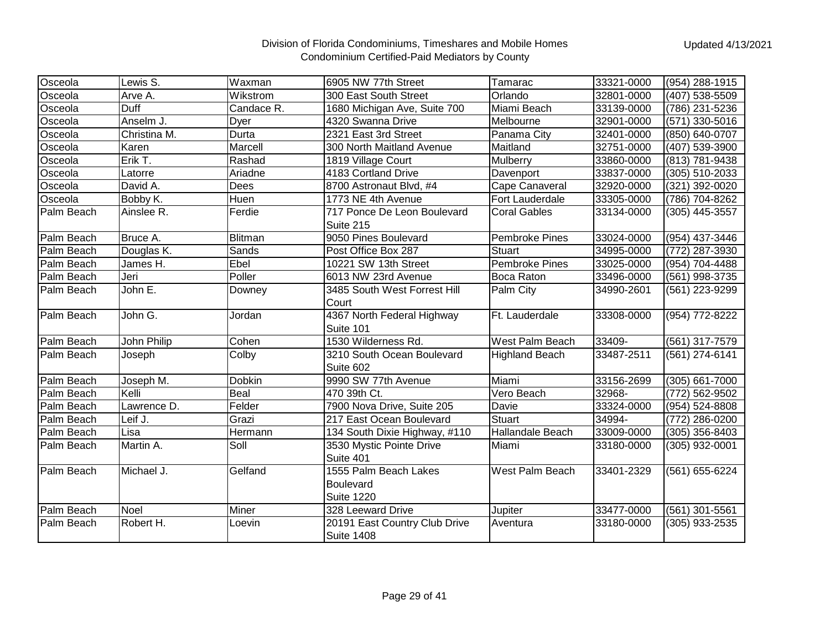| Osceola    | Lewis S.     | lWaxman       | 6905 NW 77th Street                                     | Tamarac               | 33321-0000 | (954) 288-1915   |
|------------|--------------|---------------|---------------------------------------------------------|-----------------------|------------|------------------|
| Osceola    | Arve A.      | Wikstrom      | 300 East South Street                                   | Orlando               | 32801-0000 | (407) 538-5509   |
| Osceola    | Duff         | Candace R.    | 1680 Michigan Ave, Suite 700                            | Miami Beach           | 33139-0000 | (786) 231-5236   |
| Osceola    | Anselm J.    | Dyer          | 4320 Swanna Drive                                       | Melbourne             | 32901-0000 | (571) 330-5016   |
| Osceola    | Christina M. | Durta         | 2321 East 3rd Street                                    | Panama City           | 32401-0000 | (850) 640-0707   |
| Osceola    | Karen        | Marcell       | 300 North Maitland Avenue                               | Maitland              | 32751-0000 | (407) 539-3900   |
| Osceola    | Erik T.      | Rashad        | 1819 Village Court                                      | Mulberry              | 33860-0000 | (813) 781-9438   |
| Osceola    | Latorre      | Ariadne       | 4183 Cortland Drive                                     | Davenport             | 33837-0000 | (305) 510-2033   |
| Osceola    | David A.     | Dees          | 8700 Astronaut Blvd, #4                                 | Cape Canaveral        | 32920-0000 | (321) 392-0020   |
| Osceola    | Bobby K.     | Huen          | 1773 NE 4th Avenue                                      | Fort Lauderdale       | 33305-0000 | (786) 704-8262   |
| Palm Beach | Ainslee R.   | Ferdie        | 717 Ponce De Leon Boulevard<br>Suite 215                | <b>Coral Gables</b>   | 33134-0000 | (305) 445-3557   |
| Palm Beach | Bruce A.     | Blitman       | 9050 Pines Boulevard                                    | <b>Pembroke Pines</b> | 33024-0000 | (954) 437-3446   |
| Palm Beach | Douglas K.   | Sands         | Post Office Box 287                                     | <b>Stuart</b>         | 34995-0000 | (772) 287-3930   |
| Palm Beach | James H.     | Ebel          | 10221 SW 13th Street                                    | <b>Pembroke Pines</b> | 33025-0000 | (954) 704-4488   |
| Palm Beach | Jeri         | Poller        | 6013 NW 23rd Avenue                                     | Boca Raton            | 33496-0000 | (561) 998-3735   |
| Palm Beach | John E.      | Downey        | 3485 South West Forrest Hill<br>Court                   | Palm City             | 34990-2601 | (561) 223-9299   |
| Palm Beach | John G.      | Jordan        | 4367 North Federal Highway<br>Suite 101                 | Ft. Lauderdale        | 33308-0000 | (954) 772-8222   |
| Palm Beach | John Philip  | Cohen         | 1530 Wilderness Rd.                                     | West Palm Beach       | 33409-     | (561) 317-7579   |
| Palm Beach | Joseph       | Colby         | 3210 South Ocean Boulevard<br>Suite 602                 | <b>Highland Beach</b> | 33487-2511 | (561) 274-6141   |
| Palm Beach | Joseph M.    | <b>Dobkin</b> | 9990 SW 77th Avenue                                     | Miami                 | 33156-2699 | (305) 661-7000   |
| Palm Beach | Kelli        | Beal          | 470 39th Ct.                                            | Vero Beach            | 32968-     | (772) 562-9502   |
| Palm Beach | Lawrence D.  | Felder        | 7900 Nova Drive, Suite 205                              | Davie                 | 33324-0000 | (954) 524-8808   |
| Palm Beach | Leif J.      | Grazi         | 217 East Ocean Boulevard                                | <b>Stuart</b>         | 34994-     | (772) 286-0200   |
| Palm Beach | Lisa         | Hermann       | 134 South Dixie Highway, #110                           | Hallandale Beach      | 33009-0000 | $(305)$ 356-8403 |
| Palm Beach | Martin A.    | Soll          | 3530 Mystic Pointe Drive<br>Suite 401                   | Miami                 | 33180-0000 | (305) 932-0001   |
| Palm Beach | Michael J.   | Gelfand       | 1555 Palm Beach Lakes<br>Boulevard<br><b>Suite 1220</b> | West Palm Beach       | 33401-2329 | (561) 655-6224   |
| Palm Beach | <b>Noel</b>  | Miner         | 328 Leeward Drive                                       | Jupiter               | 33477-0000 | (561) 301-5561   |
| Palm Beach | Robert H.    | Loevin        | 20191 East Country Club Drive<br><b>Suite 1408</b>      | Aventura              | 33180-0000 | (305) 933-2535   |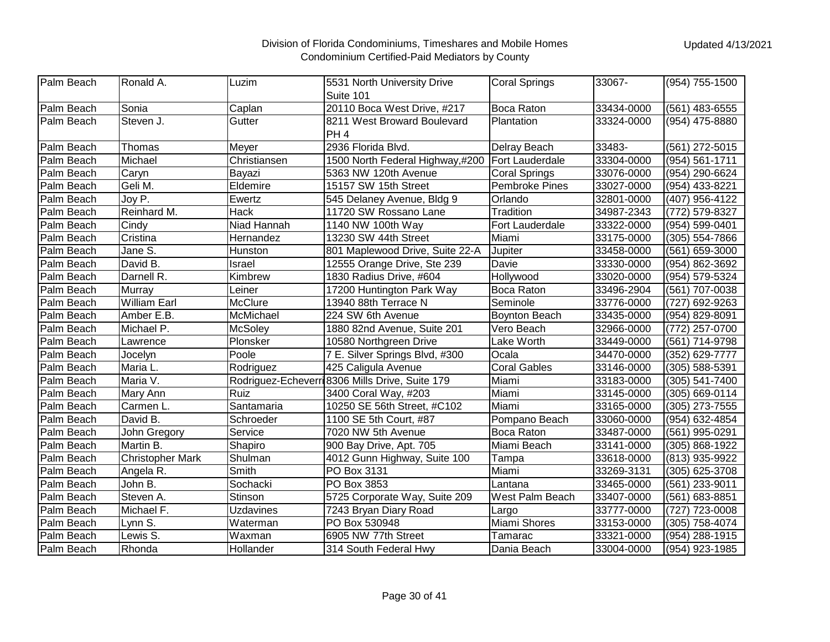| Palm Beach | Ronald A.               | Luzim          | 5531 North University Drive                     | <b>Coral Springs</b>   | 33067-     | (954) 755-1500 |
|------------|-------------------------|----------------|-------------------------------------------------|------------------------|------------|----------------|
|            |                         |                | Suite 101                                       |                        |            |                |
| Palm Beach | Sonia                   | Caplan         | 20110 Boca West Drive, #217                     | <b>Boca Raton</b>      | 33434-0000 | (561) 483-6555 |
| Palm Beach | Steven J.               | Gutter         | 8211 West Broward Boulevard                     | Plantation             | 33324-0000 | (954) 475-8880 |
|            |                         |                | PH <sub>4</sub>                                 |                        |            |                |
| Palm Beach | Thomas                  | Meyer          | 2936 Florida Blvd.                              | Delray Beach           | 33483-     | (561) 272-5015 |
| Palm Beach | Michael                 | Christiansen   | 1500 North Federal Highway,#200                 | <b>Fort Lauderdale</b> | 33304-0000 | (954) 561-1711 |
| Palm Beach | Caryn                   | Bayazi         | 5363 NW 120th Avenue                            | <b>Coral Springs</b>   | 33076-0000 | (954) 290-6624 |
| Palm Beach | Geli M.                 | Eldemire       | 15157 SW 15th Street                            | <b>Pembroke Pines</b>  | 33027-0000 | (954) 433-8221 |
| Palm Beach | Joy P.                  | Ewertz         | 545 Delaney Avenue, Bldg 9                      | Orlando                | 32801-0000 | (407) 956-4122 |
| Palm Beach | Reinhard M.             | <b>Hack</b>    | 11720 SW Rossano Lane                           | Tradition              | 34987-2343 | (772) 579-8327 |
| Palm Beach | Cindy                   | Niad Hannah    | 1140 NW 100th Way                               | Fort Lauderdale        | 33322-0000 | (954) 599-0401 |
| Palm Beach | Cristina                | Hernandez      | 13230 SW 44th Street                            | Miami                  | 33175-0000 | (305) 554-7866 |
| Palm Beach | Jane S.                 | Hunston        | 801 Maplewood Drive, Suite 22-A                 | Jupiter                | 33458-0000 | (561) 659-3000 |
| Palm Beach | David B.                | Israel         | 12555 Orange Drive, Ste 239                     | Davie                  | 33330-0000 | (954) 862-3692 |
| Palm Beach | Darnell R.              | Kimbrew        | 1830 Radius Drive, #604                         | Hollywood              | 33020-0000 | (954) 579-5324 |
| Palm Beach | Murray                  | Leiner         | 17200 Huntington Park Way                       | Boca Raton             | 33496-2904 | (561) 707-0038 |
| Palm Beach | <b>William Earl</b>     | McClure        | 13940 88th Terrace N                            | Seminole               | 33776-0000 | (727) 692-9263 |
| Palm Beach | Amber E.B.              | McMichael      | 224 SW 6th Avenue                               | <b>Boynton Beach</b>   | 33435-0000 | (954) 829-8091 |
| Palm Beach | Michael P.              | <b>McSoley</b> | 1880 82nd Avenue, Suite 201                     | Vero Beach             | 32966-0000 | (772) 257-0700 |
| Palm Beach | Lawrence                | Plonsker       | 10580 Northgreen Drive                          | Lake Worth             | 33449-0000 | (561) 714-9798 |
| Palm Beach | Jocelyn                 | Poole          | 7 E. Silver Springs Blvd, #300                  | Ocala                  | 34470-0000 | (352) 629-7777 |
| Palm Beach | Maria L.                | Rodriguez      | 425 Caligula Avenue                             | <b>Coral Gables</b>    | 33146-0000 | (305) 588-5391 |
| Palm Beach | Maria V.                |                | Rodriguez-Echeverri 8306 Mills Drive, Suite 179 | Miami                  | 33183-0000 | (305) 541-7400 |
| Palm Beach | Mary Ann                | Ruiz           | 3400 Coral Way, #203                            | Miami                  | 33145-0000 | (305) 669-0114 |
| Palm Beach | Carmen L.               | Santamaria     | 10250 SE 56th Street, #C102                     | Miami                  | 33165-0000 | (305) 273-7555 |
| Palm Beach | David B.                | Schroeder      | 1100 SE 5th Court, #87                          | Pompano Beach          | 33060-0000 | (954) 632-4854 |
| Palm Beach | John Gregory            | Service        | 7020 NW 5th Avenue                              | Boca Raton             | 33487-0000 | (561) 995-0291 |
| Palm Beach | Martin B.               | Shapiro        | 900 Bay Drive, Apt. 705                         | Miami Beach            | 33141-0000 | (305) 868-1922 |
| Palm Beach | <b>Christopher Mark</b> | Shulman        | 4012 Gunn Highway, Suite 100                    | Tampa                  | 33618-0000 | (813) 935-9922 |
| Palm Beach | Angela R.               | Smith          | PO Box 3131                                     | Miami                  | 33269-3131 | (305) 625-3708 |
| Palm Beach | John B.                 | Sochacki       | PO Box 3853                                     | Lantana                | 33465-0000 | (561) 233-9011 |
| Palm Beach | Steven A.               | Stinson        | 5725 Corporate Way, Suite 209                   | West Palm Beach        | 33407-0000 | (561) 683-8851 |
| Palm Beach | Michael F.              | Uzdavines      | 7243 Bryan Diary Road                           | Largo                  | 33777-0000 | (727) 723-0008 |
| Palm Beach | Lynn S.                 | Waterman       | PO Box 530948                                   | Miami Shores           | 33153-0000 | (305) 758-4074 |
| Palm Beach | Lewis S.                | Waxman         | 6905 NW 77th Street                             | Tamarac                | 33321-0000 | (954) 288-1915 |
| Palm Beach | Rhonda                  | Hollander      | 314 South Federal Hwy                           | Dania Beach            | 33004-0000 | (954) 923-1985 |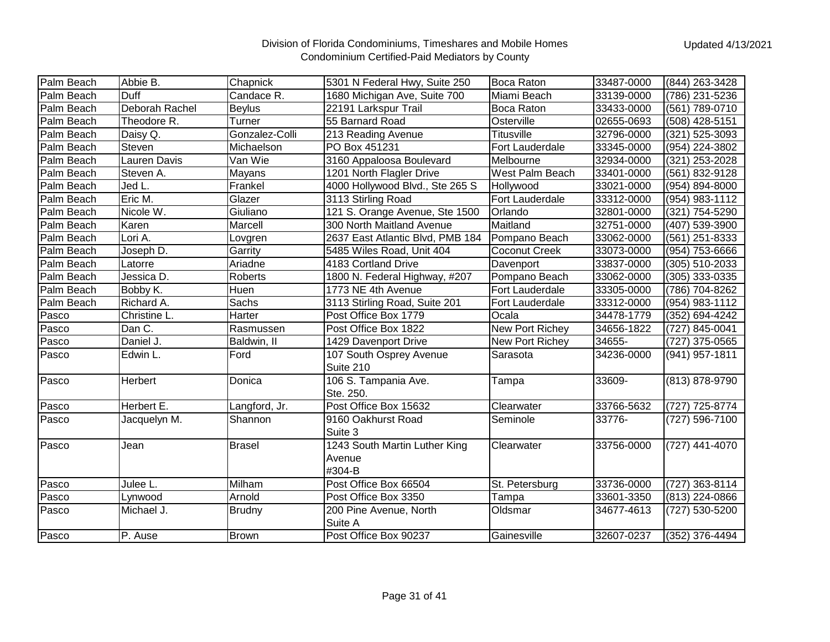| Palm Beach | Abbie B.       | Chapnick       | 5301 N Federal Hwy, Suite 250    | <b>Boca Raton</b> | 33487-0000 | (844) 263-3428 |
|------------|----------------|----------------|----------------------------------|-------------------|------------|----------------|
| Palm Beach | Duff           | Candace R.     | 1680 Michigan Ave, Suite 700     | Miami Beach       | 33139-0000 | (786) 231-5236 |
| Palm Beach | Deborah Rachel | <b>Beylus</b>  | 22191 Larkspur Trail             | Boca Raton        | 33433-0000 | (561) 789-0710 |
| Palm Beach | Theodore R.    | Turner         | 55 Barnard Road                  | Osterville        | 02655-0693 | (508) 428-5151 |
| Palm Beach | Daisy Q.       | Gonzalez-Colli | 213 Reading Avenue               | Titusville        | 32796-0000 | (321) 525-3093 |
| Palm Beach | <b>Steven</b>  | Michaelson     | PO Box 451231                    | Fort Lauderdale   | 33345-0000 | (954) 224-3802 |
| Palm Beach | Lauren Davis   | Van Wie        | 3160 Appaloosa Boulevard         | Melbourne         | 32934-0000 | (321) 253-2028 |
| Palm Beach | Steven A.      | Mayans         | 1201 North Flagler Drive         | West Palm Beach   | 33401-0000 | (561) 832-9128 |
| Palm Beach | Jed L.         | Frankel        | 4000 Hollywood Blvd., Ste 265 S  | Hollywood         | 33021-0000 | (954) 894-8000 |
| Palm Beach | Eric M.        | Glazer         | 3113 Stirling Road               | Fort Lauderdale   | 33312-0000 | (954) 983-1112 |
| Palm Beach | Nicole W.      | Giuliano       | 121 S. Orange Avenue, Ste 1500   | Orlando           | 32801-0000 | (321) 754-5290 |
| Palm Beach | Karen          | Marcell        | 300 North Maitland Avenue        | Maitland          | 32751-0000 | (407) 539-3900 |
| Palm Beach | Lori A.        | Lovgren        | 2637 East Atlantic Blvd, PMB 184 | Pompano Beach     | 33062-0000 | (561) 251-8333 |
| Palm Beach | Joseph D.      | Garrity        | 5485 Wiles Road, Unit 404        | Coconut Creek     | 33073-0000 | (954) 753-6666 |
| Palm Beach | Latorre        | Ariadne        | 4183 Cortland Drive              | Davenport         | 33837-0000 | (305) 510-2033 |
| Palm Beach | Jessica D.     | Roberts        | 1800 N. Federal Highway, #207    | Pompano Beach     | 33062-0000 | (305) 333-0335 |
| Palm Beach | Bobby K.       | Huen           | 1773 NE 4th Avenue               | Fort Lauderdale   | 33305-0000 | (786) 704-8262 |
| Palm Beach | Richard A.     | Sachs          | 3113 Stirling Road, Suite 201    | Fort Lauderdale   | 33312-0000 | (954) 983-1112 |
| Pasco      | Christine L.   | Harter         | Post Office Box 1779             | Ocala             | 34478-1779 | (352) 694-4242 |
| Pasco      | Dan C.         | Rasmussen      | Post Office Box 1822             | New Port Richey   | 34656-1822 | (727) 845-0041 |
| Pasco      | Daniel J.      | Baldwin, II    | 1429 Davenport Drive             | New Port Richey   | 34655-     | (727) 375-0565 |
| Pasco      | Edwin L.       | Ford           | 107 South Osprey Avenue          | Sarasota          | 34236-0000 | (941) 957-1811 |
|            |                |                | Suite 210                        |                   |            |                |
| Pasco      | Herbert        | Donica         | 106 S. Tampania Ave.             | Tampa             | 33609-     | (813) 878-9790 |
|            |                |                | Ste. 250.                        |                   |            |                |
| Pasco      | Herbert E.     | Langford, Jr.  | Post Office Box 15632            | Clearwater        | 33766-5632 | (727) 725-8774 |
| Pasco      | Jacquelyn M.   | Shannon        | 9160 Oakhurst Road               | Seminole          | 33776-     | (727) 596-7100 |
|            |                |                | Suite 3                          |                   |            |                |
| Pasco      | Jean           | <b>Brasel</b>  | 1243 South Martin Luther King    | Clearwater        | 33756-0000 | (727) 441-4070 |
|            |                |                | Avenue                           |                   |            |                |
|            |                |                | #304-B                           |                   |            |                |
| Pasco      | Julee L.       | Milham         | Post Office Box 66504            | St. Petersburg    | 33736-0000 | (727) 363-8114 |
| Pasco      | Lynwood        | Arnold         | Post Office Box 3350             | Tampa             | 33601-3350 | (813) 224-0866 |
| Pasco      | Michael J.     | <b>Brudny</b>  | 200 Pine Avenue, North           | Oldsmar           | 34677-4613 | (727) 530-5200 |
|            |                |                | Suite A                          |                   |            |                |
| Pasco      | P. Ause        | Brown          | Post Office Box 90237            | Gainesville       | 32607-0237 | (352) 376-4494 |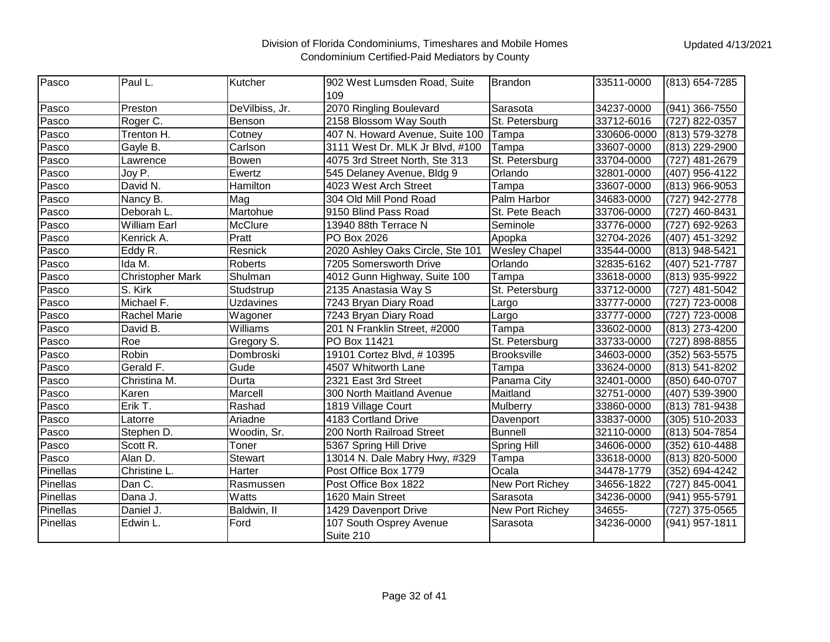| Pasco    | Paul L.                 | Kutcher          | 902 West Lumsden Road, Suite<br>109 | <b>Brandon</b>       | 33511-0000  | (813) 654-7285 |
|----------|-------------------------|------------------|-------------------------------------|----------------------|-------------|----------------|
| Pasco    | Preston                 | DeVilbiss, Jr.   | 2070 Ringling Boulevard             | Sarasota             | 34237-0000  | (941) 366-7550 |
| Pasco    | Roger C.                | Benson           | 2158 Blossom Way South              | St. Petersburg       | 33712-6016  | (727) 822-0357 |
| Pasco    | Trenton H.              | Cotney           | 407 N. Howard Avenue, Suite 100     | Tampa                | 330606-0000 | (813) 579-3278 |
| Pasco    | Gayle B.                | Carlson          | 3111 West Dr. MLK Jr Blvd, #100     | Tampa                | 33607-0000  | (813) 229-2900 |
| Pasco    | Lawrence                | Bowen            | 4075 3rd Street North, Ste 313      | St. Petersburg       | 33704-0000  | (727) 481-2679 |
| Pasco    | Joy P.                  | Ewertz           | 545 Delaney Avenue, Bldg 9          | Orlando              | 32801-0000  | (407) 956-4122 |
| Pasco    | David N.                | Hamilton         | 4023 West Arch Street               | Tampa                | 33607-0000  | (813) 966-9053 |
| Pasco    | Nancy B.                | Mag              | 304 Old Mill Pond Road              | Palm Harbor          | 34683-0000  | (727) 942-2778 |
| Pasco    | Deborah L.              | Martohue         | 9150 Blind Pass Road                | St. Pete Beach       | 33706-0000  | (727) 460-8431 |
| Pasco    | <b>William Earl</b>     | McClure          | 13940 88th Terrace N                | Seminole             | 33776-0000  | (727) 692-9263 |
| Pasco    | Kenrick A.              | Pratt            | PO Box 2026                         | Apopka               | 32704-2026  | (407) 451-3292 |
| Pasco    | Eddy R.                 | Resnick          | 2020 Ashley Oaks Circle, Ste 101    | <b>Wesley Chapel</b> | 33544-0000  | (813) 948-5421 |
| Pasco    | Ida M.                  | Roberts          | 7205 Somersworth Drive              | Orlando              | 32835-6162  | (407) 521-7787 |
| Pasco    | <b>Christopher Mark</b> | Shulman          | 4012 Gunn Highway, Suite 100        | Tampa                | 33618-0000  | (813) 935-9922 |
| Pasco    | S. Kirk                 | Studstrup        | 2135 Anastasia Way S                | St. Petersburg       | 33712-0000  | (727) 481-5042 |
| Pasco    | Michael F.              | <b>Uzdavines</b> | 7243 Bryan Diary Road               | Largo                | 33777-0000  | (727) 723-0008 |
| Pasco    | <b>Rachel Marie</b>     | Wagoner          | 7243 Bryan Diary Road               | Largo                | 33777-0000  | (727) 723-0008 |
| Pasco    | David B.                | Williams         | 201 N Franklin Street, #2000        | Tampa                | 33602-0000  | (813) 273-4200 |
| Pasco    | Roe                     | Gregory S.       | PO Box 11421                        | St. Petersburg       | 33733-0000  | (727) 898-8855 |
| Pasco    | Robin                   | Dombroski        | 19101 Cortez Blvd, #10395           | <b>Brooksville</b>   | 34603-0000  | (352) 563-5575 |
| Pasco    | Gerald F.               | Gude             | 4507 Whitworth Lane                 | Tampa                | 33624-0000  | (813) 541-8202 |
| Pasco    | Christina M.            | Durta            | 2321 East 3rd Street                | Panama City          | 32401-0000  | (850) 640-0707 |
| Pasco    | Karen                   | Marcell          | 300 North Maitland Avenue           | Maitland             | 32751-0000  | (407) 539-3900 |
| Pasco    | Erik T.                 | Rashad           | 1819 Village Court                  | Mulberry             | 33860-0000  | (813) 781-9438 |
| Pasco    | Latorre                 | Ariadne          | 4183 Cortland Drive                 | Davenport            | 33837-0000  | (305) 510-2033 |
| Pasco    | Stephen D.              | Woodin, Sr.      | 200 North Railroad Street           | <b>Bunnell</b>       | 32110-0000  | (813) 504-7854 |
| Pasco    | Scott R.                | Toner            | 5367 Spring Hill Drive              | Spring Hill          | 34606-0000  | (352) 610-4488 |
| Pasco    | Alan D.                 | <b>Stewart</b>   | 13014 N. Dale Mabry Hwy, #329       | Tampa                | 33618-0000  | (813) 820-5000 |
| Pinellas | Christine L.            | Harter           | Post Office Box 1779                | Ocala                | 34478-1779  | (352) 694-4242 |
| Pinellas | Dan C.                  | Rasmussen        | Post Office Box 1822                | New Port Richey      | 34656-1822  | (727) 845-0041 |
| Pinellas | Dana J.                 | Watts            | 1620 Main Street                    | Sarasota             | 34236-0000  | (941) 955-5791 |
| Pinellas | Daniel J.               | Baldwin, II      | 1429 Davenport Drive                | New Port Richey      | 34655-      | (727) 375-0565 |
| Pinellas | Edwin L.                | Ford             | 107 South Osprey Avenue             | Sarasota             | 34236-0000  | (941) 957-1811 |
|          |                         |                  | Suite 210                           |                      |             |                |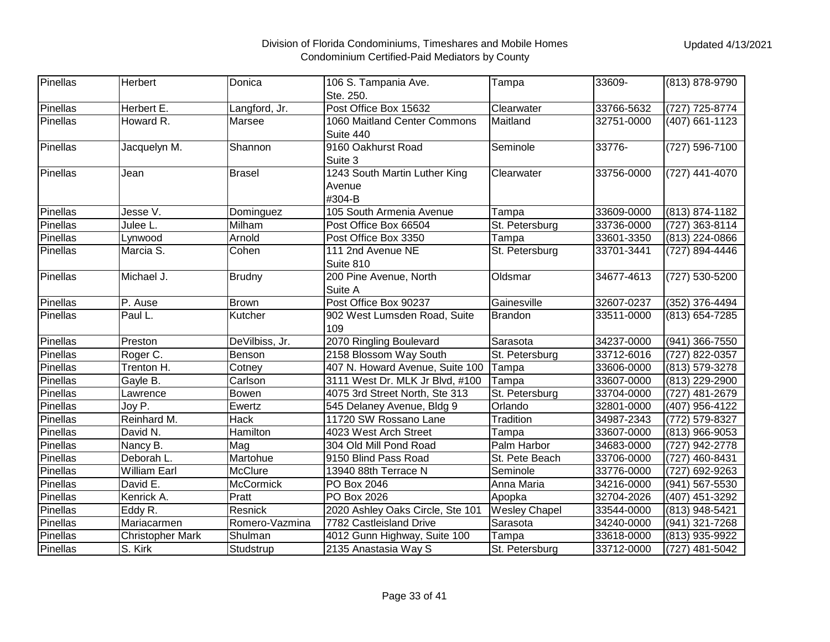| Pinellas | Herbert                 | Donica           | 106 S. Tampania Ave.                              | Tampa                | 33609-     | (813) 878-9790 |
|----------|-------------------------|------------------|---------------------------------------------------|----------------------|------------|----------------|
|          |                         |                  | Ste. 250.                                         |                      |            |                |
| Pinellas | Herbert E.              | Langford, Jr.    | Post Office Box 15632                             | Clearwater           | 33766-5632 | (727) 725-8774 |
| Pinellas | Howard R.               | Marsee           | 1060 Maitland Center Commons<br>Suite 440         | Maitland             | 32751-0000 | (407) 661-1123 |
| Pinellas | Jacquelyn M.            | Shannon          | 9160 Oakhurst Road<br>Suite 3                     | Seminole             | 33776-     | (727) 596-7100 |
| Pinellas | Jean                    | <b>Brasel</b>    | 1243 South Martin Luther King<br>Avenue<br>#304-B | Clearwater           | 33756-0000 | (727) 441-4070 |
| Pinellas | Jesse V.                | Dominguez        | 105 South Armenia Avenue                          | Tampa                | 33609-0000 | (813) 874-1182 |
| Pinellas | Julee L.                | Milham           | Post Office Box 66504                             | St. Petersburg       | 33736-0000 | (727) 363-8114 |
| Pinellas | Lynwood                 | Arnold           | Post Office Box 3350                              | Tampa                | 33601-3350 | (813) 224-0866 |
| Pinellas | Marcia S.               | Cohen            | 111 2nd Avenue NE<br>Suite 810                    | St. Petersburg       | 33701-3441 | (727) 894-4446 |
| Pinellas | Michael J.              | <b>Brudny</b>    | 200 Pine Avenue, North<br>Suite A                 | Oldsmar              | 34677-4613 | (727) 530-5200 |
| Pinellas | P. Ause                 | <b>Brown</b>     | Post Office Box 90237                             | Gainesville          | 32607-0237 | (352) 376-4494 |
| Pinellas | Paul L.                 | Kutcher          | 902 West Lumsden Road, Suite<br>109               | <b>Brandon</b>       | 33511-0000 | (813) 654-7285 |
| Pinellas | Preston                 | DeVilbiss, Jr.   | 2070 Ringling Boulevard                           | Sarasota             | 34237-0000 | (941) 366-7550 |
| Pinellas | Roger C.                | Benson           | 2158 Blossom Way South                            | St. Petersburg       | 33712-6016 | (727) 822-0357 |
| Pinellas | Trenton H.              | Cotney           | 407 N. Howard Avenue, Suite 100                   | Tampa                | 33606-0000 | (813) 579-3278 |
| Pinellas | Gayle B.                | Carlson          | 3111 West Dr. MLK Jr Blvd, #100                   | Tampa                | 33607-0000 | (813) 229-2900 |
| Pinellas | Lawrence                | <b>Bowen</b>     | 4075 3rd Street North, Ste 313                    | St. Petersburg       | 33704-0000 | (727) 481-2679 |
| Pinellas | Joy P.                  | Ewertz           | 545 Delaney Avenue, Bldg 9                        | Orlando              | 32801-0000 | (407) 956-4122 |
| Pinellas | Reinhard M.             | Hack             | 11720 SW Rossano Lane                             | Tradition            | 34987-2343 | (772) 579-8327 |
| Pinellas | David N.                | Hamilton         | 4023 West Arch Street                             | Tampa                | 33607-0000 | (813) 966-9053 |
| Pinellas | Nancy B.                | Mag              | 304 Old Mill Pond Road                            | Palm Harbor          | 34683-0000 | (727) 942-2778 |
| Pinellas | Deborah L.              | Martohue         | 9150 Blind Pass Road                              | St. Pete Beach       | 33706-0000 | (727) 460-8431 |
| Pinellas | <b>William Earl</b>     | McClure          | 13940 88th Terrace N                              | Seminole             | 33776-0000 | (727) 692-9263 |
| Pinellas | David E.                | <b>McCormick</b> | PO Box 2046                                       | Anna Maria           | 34216-0000 | (941) 567-5530 |
| Pinellas | Kenrick A.              | Pratt            | PO Box 2026                                       | Apopka               | 32704-2026 | (407) 451-3292 |
| Pinellas | Eddy R.                 | Resnick          | 2020 Ashley Oaks Circle, Ste 101                  | <b>Wesley Chapel</b> | 33544-0000 | (813) 948-5421 |
| Pinellas | Mariacarmen             | Romero-Vazmina   | 7782 Castleisland Drive                           | Sarasota             | 34240-0000 | (941) 321-7268 |
| Pinellas | <b>Christopher Mark</b> | Shulman          | 4012 Gunn Highway, Suite 100                      | Tampa                | 33618-0000 | (813) 935-9922 |
| Pinellas | S. Kirk                 | Studstrup        | 2135 Anastasia Way S                              | St. Petersburg       | 33712-0000 | (727) 481-5042 |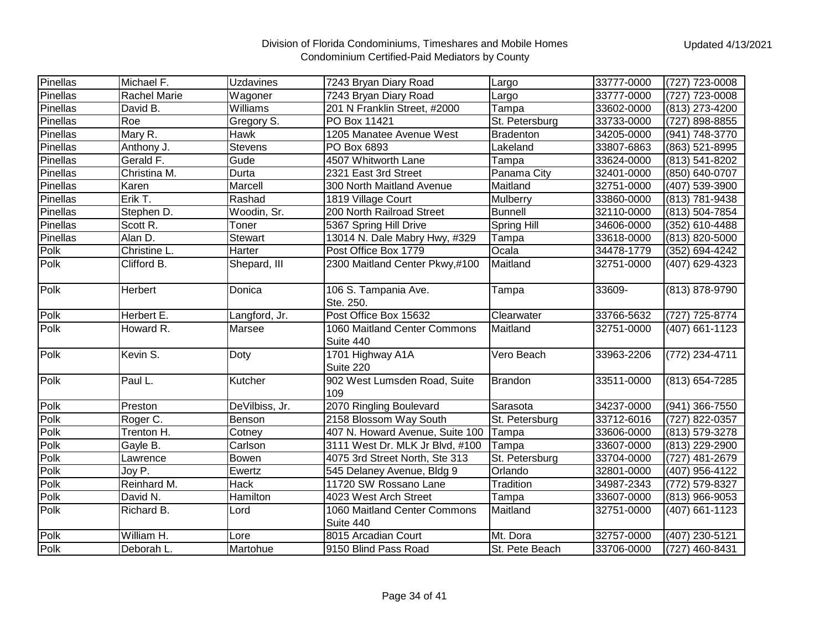| Pinellas | Michael F.          | <b>Uzdavines</b> | 7243 Bryan Diary Road                     | Largo            | 33777-0000 | (727) 723-0008 |
|----------|---------------------|------------------|-------------------------------------------|------------------|------------|----------------|
| Pinellas | <b>Rachel Marie</b> | Wagoner          | 7243 Bryan Diary Road                     | Largo            | 33777-0000 | (727) 723-0008 |
| Pinellas | David B.            | Williams         | 201 N Franklin Street, #2000              | Tampa            | 33602-0000 | (813) 273-4200 |
| Pinellas | Roe                 | Gregory S.       | PO Box 11421                              | St. Petersburg   | 33733-0000 | (727) 898-8855 |
| Pinellas | Mary R.             | <b>Hawk</b>      | 1205 Manatee Avenue West                  | <b>Bradenton</b> | 34205-0000 | (941) 748-3770 |
| Pinellas | Anthony J.          | <b>Stevens</b>   | PO Box 6893                               | Lakeland         | 33807-6863 | (863) 521-8995 |
| Pinellas | Gerald F.           | Gude             | 4507 Whitworth Lane                       | Tampa            | 33624-0000 | (813) 541-8202 |
| Pinellas | Christina M.        | Durta            | 2321 East 3rd Street                      | Panama City      | 32401-0000 | (850) 640-0707 |
| Pinellas | Karen               | Marcell          | 300 North Maitland Avenue                 | Maitland         | 32751-0000 | (407) 539-3900 |
| Pinellas | Erik T.             | Rashad           | 1819 Village Court                        | Mulberry         | 33860-0000 | (813) 781-9438 |
| Pinellas | Stephen D.          | Woodin, Sr.      | 200 North Railroad Street                 | <b>Bunnell</b>   | 32110-0000 | (813) 504-7854 |
| Pinellas | Scott R.            | Toner            | 5367 Spring Hill Drive                    | Spring Hill      | 34606-0000 | (352) 610-4488 |
| Pinellas | Alan D.             | <b>Stewart</b>   | 13014 N. Dale Mabry Hwy, #329             | Tampa            | 33618-0000 | (813) 820-5000 |
| Polk     | Christine L.        | Harter           | Post Office Box 1779                      | Ocala            | 34478-1779 | (352) 694-4242 |
| Polk     | Clifford B.         | Shepard, III     | 2300 Maitland Center Pkwy,#100            | Maitland         | 32751-0000 | (407) 629-4323 |
| Polk     | Herbert             | Donica           | 106 S. Tampania Ave.<br>Ste. 250.         | Tampa            | 33609-     | (813) 878-9790 |
| Polk     | Herbert E.          | Langford, Jr.    | Post Office Box 15632                     | Clearwater       | 33766-5632 | (727) 725-8774 |
| Polk     | Howard R.           | Marsee           | 1060 Maitland Center Commons<br>Suite 440 | Maitland         | 32751-0000 | (407) 661-1123 |
| Polk     | Kevin S.            | Doty             | 1701 Highway A1A<br>Suite 220             | Vero Beach       | 33963-2206 | (772) 234-4711 |
| Polk     | Paul L.             | Kutcher          | 902 West Lumsden Road, Suite<br>109       | <b>Brandon</b>   | 33511-0000 | (813) 654-7285 |
| Polk     | Preston             | DeVilbiss, Jr.   | 2070 Ringling Boulevard                   | Sarasota         | 34237-0000 | (941) 366-7550 |
| Polk     | Roger C.            | Benson           | 2158 Blossom Way South                    | St. Petersburg   | 33712-6016 | (727) 822-0357 |
| Polk     | Trenton H.          | Cotney           | 407 N. Howard Avenue, Suite 100           | Tampa            | 33606-0000 | (813) 579-3278 |
| Polk     | Gayle B.            | Carlson          | 3111 West Dr. MLK Jr Blvd, #100           | Tampa            | 33607-0000 | (813) 229-2900 |
| Polk     | Lawrence            | Bowen            | 4075 3rd Street North, Ste 313            | St. Petersburg   | 33704-0000 | (727) 481-2679 |
| Polk     | Joy P.              | Ewertz           | 545 Delaney Avenue, Bldg 9                | Orlando          | 32801-0000 | (407) 956-4122 |
| Polk     | Reinhard M.         | Hack             | 11720 SW Rossano Lane                     | Tradition        | 34987-2343 | (772) 579-8327 |
| Polk     | David N.            | Hamilton         | 4023 West Arch Street                     | Tampa            | 33607-0000 | (813) 966-9053 |
| Polk     | Richard B.          | Lord             | 1060 Maitland Center Commons<br>Suite 440 | Maitland         | 32751-0000 | (407) 661-1123 |
| Polk     | William H.          | Lore             | 8015 Arcadian Court                       | Mt. Dora         | 32757-0000 | (407) 230-5121 |
| Polk     | Deborah L.          | Martohue         | 9150 Blind Pass Road                      | St. Pete Beach   | 33706-0000 | (727) 460-8431 |
|          |                     |                  |                                           |                  |            |                |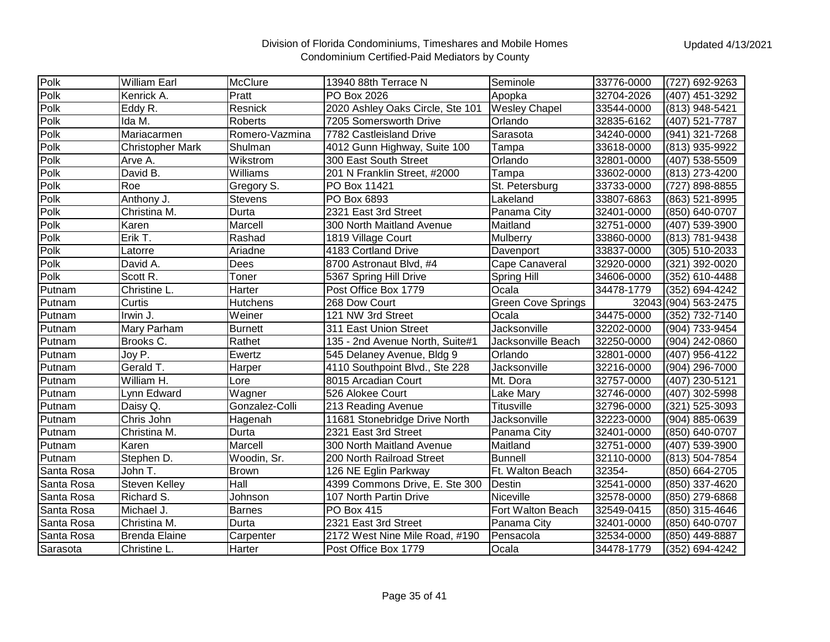| Polk       | William Earl            | McClure         | 13940 88th Terrace N             | Seminole                  | 33776-0000 | (727) 692-9263       |
|------------|-------------------------|-----------------|----------------------------------|---------------------------|------------|----------------------|
| Polk       | Kenrick A.              | Pratt           | PO Box 2026                      | Apopka                    | 32704-2026 | (407) 451-3292       |
| Polk       | Eddy R.                 | Resnick         | 2020 Ashley Oaks Circle, Ste 101 | <b>Wesley Chapel</b>      | 33544-0000 | (813) 948-5421       |
| Polk       | Ida M.                  | Roberts         | 7205 Somersworth Drive           | Orlando                   | 32835-6162 | (407) 521-7787       |
| Polk       |                         | Romero-Vazmina  |                                  |                           |            |                      |
|            | Mariacarmen             |                 | 7782 Castleisland Drive          | Sarasota                  | 34240-0000 | (941) 321-7268       |
| Polk       | <b>Christopher Mark</b> | Shulman         | 4012 Gunn Highway, Suite 100     | Tampa                     | 33618-0000 | (813) 935-9922       |
| Polk       | Arve A.                 | Wikstrom        | 300 East South Street            | Orlando                   | 32801-0000 | (407) 538-5509       |
| Polk       | David B.                | Williams        | 201 N Franklin Street, #2000     | Tampa                     | 33602-0000 | (813) 273-4200       |
| Polk       | Roe                     | Gregory S.      | PO Box 11421                     | St. Petersburg            | 33733-0000 | (727) 898-8855       |
| Polk       | Anthony J.              | <b>Stevens</b>  | PO Box 6893                      | Lakeland                  | 33807-6863 | (863) 521-8995       |
| Polk       | Christina M.            | Durta           | 2321 East 3rd Street             | Panama City               | 32401-0000 | (850) 640-0707       |
| Polk       | Karen                   | Marcell         | 300 North Maitland Avenue        | Maitland                  | 32751-0000 | (407) 539-3900       |
| Polk       | Erik T.                 | Rashad          | 1819 Village Court               | Mulberry                  | 33860-0000 | (813) 781-9438       |
| Polk       | Latorre                 | Ariadne         | 4183 Cortland Drive              | Davenport                 | 33837-0000 | (305) 510-2033       |
| Polk       | David A.                | Dees            | 8700 Astronaut Blvd, #4          | Cape Canaveral            | 32920-0000 | (321) 392-0020       |
| Polk       | Scott R.                | Toner           | 5367 Spring Hill Drive           | Spring Hill               | 34606-0000 | (352) 610-4488       |
| Putnam     | Christine L.            | Harter          | Post Office Box 1779             | Ocala                     | 34478-1779 | (352) 694-4242       |
| Putnam     | Curtis                  | <b>Hutchens</b> | 268 Dow Court                    | <b>Green Cove Springs</b> |            | 32043 (904) 563-2475 |
| Putnam     | Irwin J.                | Weiner          | 121 NW 3rd Street                | Ocala                     | 34475-0000 | (352) 732-7140       |
| Putnam     | Mary Parham             | <b>Burnett</b>  | 311 East Union Street            | Jacksonville              | 32202-0000 | (904) 733-9454       |
| Putnam     | Brooks C.               | Rathet          | 135 - 2nd Avenue North, Suite#1  | Jacksonville Beach        | 32250-0000 | (904) 242-0860       |
| Putnam     | Joy P.                  | Ewertz          | 545 Delaney Avenue, Bldg 9       | Orlando                   | 32801-0000 | (407) 956-4122       |
| Putnam     | Gerald T.               | Harper          | 4110 Southpoint Blvd., Ste 228   | Jacksonville              | 32216-0000 | (904) 296-7000       |
| Putnam     | William H.              | Lore            | 8015 Arcadian Court              | Mt. Dora                  | 32757-0000 | (407) 230-5121       |
| Putnam     | Lynn Edward             | Wagner          | 526 Alokee Court                 | Lake Mary                 | 32746-0000 | (407) 302-5998       |
| Putnam     | Daisy Q.                | Gonzalez-Colli  | 213 Reading Avenue               | <b>Titusville</b>         | 32796-0000 | (321) 525-3093       |
| Putnam     | Chris John              | Hagenah         | 11681 Stonebridge Drive North    | Jacksonville              | 32223-0000 | (904) 885-0639       |
| Putnam     | Christina M.            | Durta           | 2321 East 3rd Street             | Panama City               | 32401-0000 | (850) 640-0707       |
| Putnam     | Karen                   | Marcell         | 300 North Maitland Avenue        | Maitland                  | 32751-0000 | (407) 539-3900       |
| Putnam     | Stephen D.              | Woodin, Sr.     | 200 North Railroad Street        | <b>Bunnell</b>            | 32110-0000 | (813) 504-7854       |
| Santa Rosa | John T.                 | <b>Brown</b>    | 126 NE Eglin Parkway             | Ft. Walton Beach          | 32354-     | (850) 664-2705       |
| Santa Rosa | Steven Kelley           | Hall            | 4399 Commons Drive, E. Ste 300   | Destin                    | 32541-0000 | (850) 337-4620       |
| Santa Rosa | Richard S.              | Johnson         | 107 North Partin Drive           | Niceville                 | 32578-0000 | (850) 279-6868       |
| Santa Rosa | Michael J.              | Barnes          | PO Box 415                       | Fort Walton Beach         | 32549-0415 | (850) 315-4646       |
| Santa Rosa | Christina M.            | Durta           | 2321 East 3rd Street             | Panama City               | 32401-0000 | (850) 640-0707       |
| Santa Rosa | <b>Brenda Elaine</b>    | Carpenter       | 2172 West Nine Mile Road, #190   | Pensacola                 | 32534-0000 | (850) 449-8887       |
| Sarasota   | Christine L             | Harter          | Post Office Box 1779             | Ocala                     | 34478-1779 | (352) 694-4242       |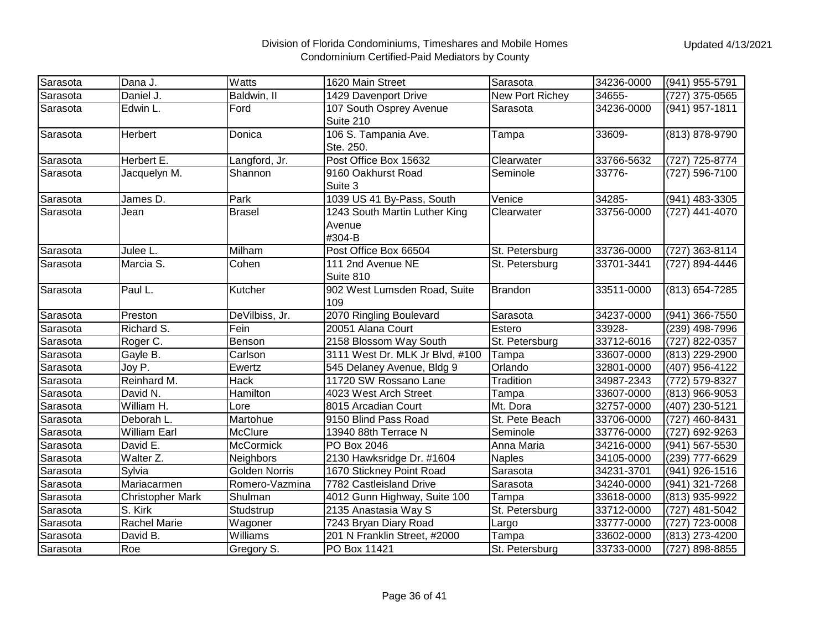| Sarasota | Dana J.                 | Watts                | 1620 Main Street                | Sarasota        | 34236-0000 | (941) 955-5791 |
|----------|-------------------------|----------------------|---------------------------------|-----------------|------------|----------------|
| Sarasota | Daniel J.               | Baldwin, II          | 1429 Davenport Drive            | New Port Richey | 34655-     | (727) 375-0565 |
| Sarasota | Edwin L.                | Ford                 | 107 South Osprey Avenue         | Sarasota        | 34236-0000 | (941) 957-1811 |
|          |                         |                      | Suite 210                       |                 |            |                |
| Sarasota | Herbert                 | Donica               | 106 S. Tampania Ave.            | Tampa           | 33609-     | (813) 878-9790 |
|          |                         |                      | Ste. 250.                       |                 |            |                |
| Sarasota | Herbert E.              | Langford, Jr.        | Post Office Box 15632           | Clearwater      | 33766-5632 | (727) 725-8774 |
| Sarasota | Jacquelyn M.            | Shannon              | 9160 Oakhurst Road              | Seminole        | 33776-     | (727) 596-7100 |
|          |                         |                      | Suite 3                         |                 |            |                |
| Sarasota | James D.                | Park                 | 1039 US 41 By-Pass, South       | Venice          | 34285-     | (941) 483-3305 |
| Sarasota | Jean                    | <b>Brasel</b>        | 1243 South Martin Luther King   | Clearwater      | 33756-0000 | (727) 441-4070 |
|          |                         |                      | Avenue                          |                 |            |                |
|          |                         |                      | #304-B                          |                 |            |                |
| Sarasota | Julee L.                | Milham               | Post Office Box 66504           | St. Petersburg  | 33736-0000 | (727) 363-8114 |
| Sarasota | Marcia S.               | Cohen                | 111 2nd Avenue NE               | St. Petersburg  | 33701-3441 | (727) 894-4446 |
|          |                         |                      | Suite 810                       |                 |            |                |
| Sarasota | Paul L.                 | Kutcher              | 902 West Lumsden Road, Suite    | <b>Brandon</b>  | 33511-0000 | (813) 654-7285 |
|          |                         |                      | 109                             |                 |            |                |
| Sarasota | Preston                 | DeVilbiss, Jr.       | 2070 Ringling Boulevard         | Sarasota        | 34237-0000 | (941) 366-7550 |
| Sarasota | Richard S.              | Fein                 | 20051 Alana Court               | Estero          | 33928-     | (239) 498-7996 |
| Sarasota | Roger C.                | Benson               | 2158 Blossom Way South          | St. Petersburg  | 33712-6016 | (727) 822-0357 |
| Sarasota | Gayle B.                | Carlson              | 3111 West Dr. MLK Jr Blvd, #100 | Tampa           | 33607-0000 | (813) 229-2900 |
| Sarasota | Joy P.                  | Ewertz               | 545 Delaney Avenue, Bldg 9      | Orlando         | 32801-0000 | (407) 956-4122 |
| Sarasota | Reinhard M.             | Hack                 | 11720 SW Rossano Lane           | Tradition       | 34987-2343 | (772) 579-8327 |
| Sarasota | David N.                | Hamilton             | 4023 West Arch Street           | Tampa           | 33607-0000 | (813) 966-9053 |
| Sarasota | William H.              | Lore                 | 8015 Arcadian Court             | Mt. Dora        | 32757-0000 | (407) 230-5121 |
| Sarasota | Deborah L.              | Martohue             | 9150 Blind Pass Road            | St. Pete Beach  | 33706-0000 | (727) 460-8431 |
| Sarasota | <b>William Earl</b>     | <b>McClure</b>       | 13940 88th Terrace N            | Seminole        | 33776-0000 | (727) 692-9263 |
| Sarasota | David E.                | <b>McCormick</b>     | PO Box 2046                     | Anna Maria      | 34216-0000 | (941) 567-5530 |
| Sarasota | Walter Z.               | Neighbors            | 2130 Hawksridge Dr. #1604       | <b>Naples</b>   | 34105-0000 | (239) 777-6629 |
| Sarasota | Sylvia                  | <b>Golden Norris</b> | 1670 Stickney Point Road        | Sarasota        | 34231-3701 | (941) 926-1516 |
| Sarasota | Mariacarmen             | Romero-Vazmina       | 7782 Castleisland Drive         | Sarasota        | 34240-0000 | (941) 321-7268 |
| Sarasota | <b>Christopher Mark</b> | Shulman              | 4012 Gunn Highway, Suite 100    | Tampa           | 33618-0000 | (813) 935-9922 |
| Sarasota | S. Kirk                 | Studstrup            | 2135 Anastasia Way S            | St. Petersburg  | 33712-0000 | (727) 481-5042 |
| Sarasota | <b>Rachel Marie</b>     | Wagoner              | 7243 Bryan Diary Road           | Largo           | 33777-0000 | (727) 723-0008 |
| Sarasota | David B.                | Williams             | 201 N Franklin Street, #2000    | Tampa           | 33602-0000 | (813) 273-4200 |
| Sarasota | Roe                     | Gregory S.           | PO Box 11421                    | St. Petersburg  | 33733-0000 | (727) 898-8855 |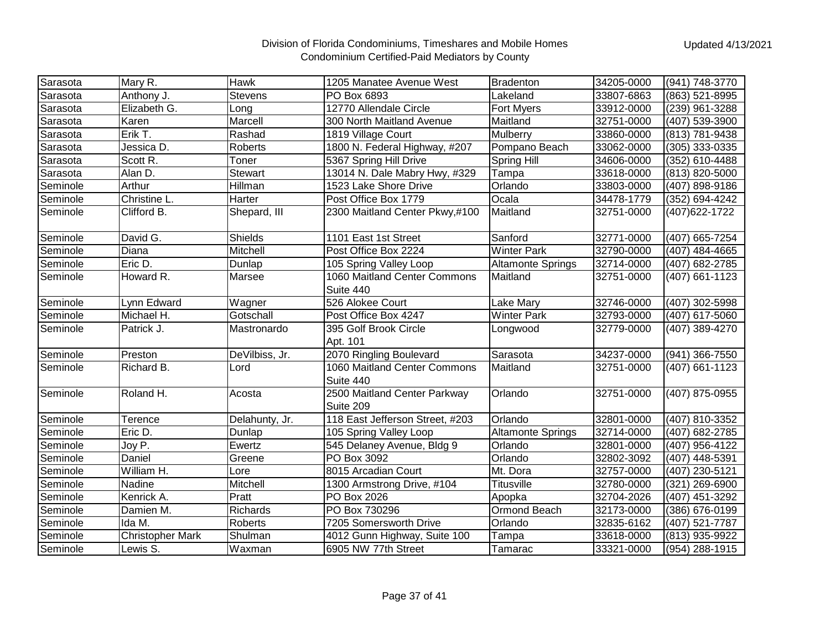| Sarasota | Mary R.                 | <b>Hawk</b>    | 1205 Manatee Avenue West                  | <b>Bradenton</b>         | 34205-0000 | (941) 748-3770 |
|----------|-------------------------|----------------|-------------------------------------------|--------------------------|------------|----------------|
| Sarasota | Anthony J.              | <b>Stevens</b> | PO Box 6893                               | Lakeland                 | 33807-6863 | (863) 521-8995 |
| Sarasota | Elizabeth G.            | Long           | 12770 Allendale Circle                    | Fort Myers               | 33912-0000 | (239) 961-3288 |
| Sarasota | Karen                   | Marcell        | 300 North Maitland Avenue                 | Maitland                 | 32751-0000 | (407) 539-3900 |
| Sarasota | Erik T.                 | Rashad         | 1819 Village Court                        | Mulberry                 | 33860-0000 | (813) 781-9438 |
| Sarasota | Jessica D.              | Roberts        | 1800 N. Federal Highway, #207             | Pompano Beach            | 33062-0000 | (305) 333-0335 |
| Sarasota | Scott R.                | Toner          | 5367 Spring Hill Drive                    | Spring Hill              | 34606-0000 | (352) 610-4488 |
| Sarasota | Alan D.                 | <b>Stewart</b> | 13014 N. Dale Mabry Hwy, #329             | Tampa                    | 33618-0000 | (813) 820-5000 |
| Seminole | Arthur                  | Hillman        | 1523 Lake Shore Drive                     | Orlando                  | 33803-0000 | (407) 898-9186 |
| Seminole | Christine L.            | Harter         | Post Office Box 1779                      | Ocala                    | 34478-1779 | (352) 694-4242 |
| Seminole | Clifford B.             | Shepard, III   | 2300 Maitland Center Pkwy,#100            | Maitland                 | 32751-0000 | (407) 622-1722 |
| Seminole | David G.                | <b>Shields</b> | 1101 East 1st Street                      | Sanford                  | 32771-0000 | (407) 665-7254 |
| Seminole | Diana                   | Mitchell       | Post Office Box 2224                      | <b>Winter Park</b>       | 32790-0000 | (407) 484-4665 |
| Seminole | Eric D.                 | Dunlap         | 105 Spring Valley Loop                    | <b>Altamonte Springs</b> | 32714-0000 | (407) 682-2785 |
| Seminole | Howard R.               | Marsee         | 1060 Maitland Center Commons<br>Suite 440 | Maitland                 | 32751-0000 | (407) 661-1123 |
| Seminole | Lynn Edward             | Wagner         | 526 Alokee Court                          | Lake Mary                | 32746-0000 | (407) 302-5998 |
| Seminole | Michael H.              | Gotschall      | Post Office Box 4247                      | <b>Winter Park</b>       | 32793-0000 | (407) 617-5060 |
| Seminole | Patrick J.              | Mastronardo    | 395 Golf Brook Circle<br>Apt. 101         | Longwood                 | 32779-0000 | (407) 389-4270 |
| Seminole | Preston                 | DeVilbiss, Jr. | 2070 Ringling Boulevard                   | Sarasota                 | 34237-0000 | (941) 366-7550 |
| Seminole | Richard B.              | Lord           | 1060 Maitland Center Commons<br>Suite 440 | Maitland                 | 32751-0000 | (407) 661-1123 |
| Seminole | Roland H.               | Acosta         | 2500 Maitland Center Parkway<br>Suite 209 | Orlando                  | 32751-0000 | (407) 875-0955 |
| Seminole | Terence                 | Delahunty, Jr. | 118 East Jefferson Street, #203           | Orlando                  | 32801-0000 | (407) 810-3352 |
| Seminole | Eric D.                 | Dunlap         | 105 Spring Valley Loop                    | <b>Altamonte Springs</b> | 32714-0000 | (407) 682-2785 |
| Seminole | Joy P.                  | Ewertz         | 545 Delaney Avenue, Bldg 9                | Orlando                  | 32801-0000 | (407) 956-4122 |
| Seminole | Daniel                  | Greene         | PO Box 3092                               | Orlando                  | 32802-3092 | (407) 448-5391 |
| Seminole | William H.              | Lore           | 8015 Arcadian Court                       | Mt. Dora                 | 32757-0000 | (407) 230-5121 |
| Seminole | Nadine                  | Mitchell       | 1300 Armstrong Drive, #104                | <b>Titusville</b>        | 32780-0000 | (321) 269-6900 |
| Seminole | Kenrick A.              | Pratt          | PO Box 2026                               | Apopka                   | 32704-2026 | (407) 451-3292 |
| Seminole | Damien M.               | Richards       | PO Box 730296                             | Ormond Beach             | 32173-0000 | (386) 676-0199 |
| Seminole | Ida M.                  | <b>Roberts</b> | 7205 Somersworth Drive                    | Orlando                  | 32835-6162 | (407) 521-7787 |
| Seminole | <b>Christopher Mark</b> | Shulman        | 4012 Gunn Highway, Suite 100              | Tampa                    | 33618-0000 | (813) 935-9922 |
| Seminole | Lewis S.                | Waxman         | 6905 NW 77th Street                       | Tamarac                  | 33321-0000 | (954) 288-1915 |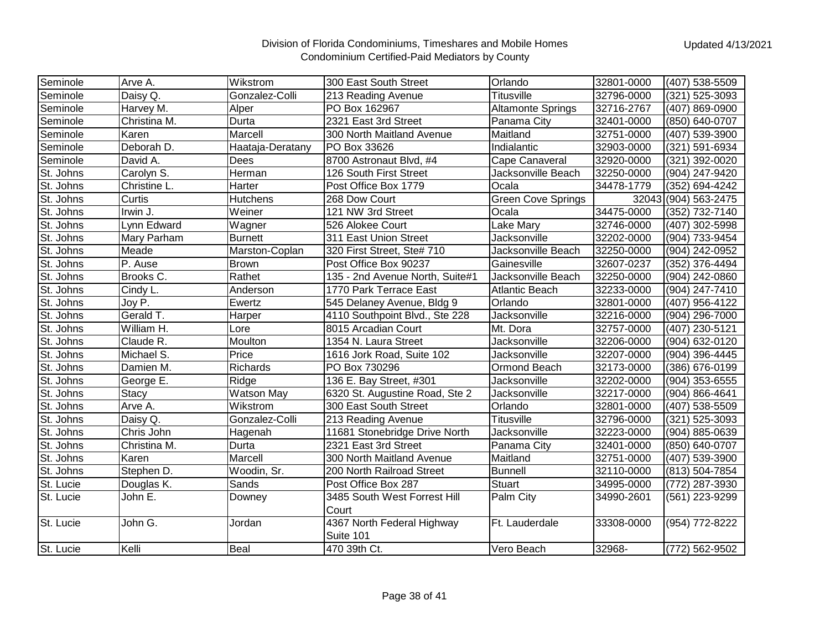| Seminole  | Arve A.      | Wikstrom          | 300 East South Street                 | Orlando                   | 32801-0000 | (407) 538-5509       |
|-----------|--------------|-------------------|---------------------------------------|---------------------------|------------|----------------------|
| Seminole  | Daisy Q.     | Gonzalez-Colli    | 213 Reading Avenue                    | <b>Titusville</b>         | 32796-0000 | (321) 525-3093       |
| Seminole  | Harvey M.    | Alper             | PO Box 162967                         | <b>Altamonte Springs</b>  | 32716-2767 | (407) 869-0900       |
| Seminole  | Christina M. | Durta             | 2321 East 3rd Street                  | Panama City               | 32401-0000 | (850) 640-0707       |
| Seminole  | Karen        | Marcell           | 300 North Maitland Avenue             | Maitland                  | 32751-0000 | (407) 539-3900       |
| Seminole  | Deborah D.   | Haataja-Deratany  | PO Box 33626                          | Indialantic               | 32903-0000 | (321) 591-6934       |
| Seminole  | David A.     | Dees              | 8700 Astronaut Blvd, #4               | Cape Canaveral            | 32920-0000 | (321) 392-0020       |
| St. Johns | Carolyn S.   | Herman            | 126 South First Street                | Jacksonville Beach        | 32250-0000 | (904) 247-9420       |
| St. Johns | Christine L. | Harter            | Post Office Box 1779                  | Ocala                     | 34478-1779 | (352) 694-4242       |
| St. Johns | Curtis       | <b>Hutchens</b>   | 268 Dow Court                         | <b>Green Cove Springs</b> |            | 32043 (904) 563-2475 |
| St. Johns | Irwin J.     | Weiner            | 121 NW 3rd Street                     | Ocala                     | 34475-0000 | (352) 732-7140       |
| St. Johns | Lynn Edward  | Wagner            | 526 Alokee Court                      | Lake Mary                 | 32746-0000 | (407) 302-5998       |
| St. Johns | Mary Parham  | <b>Burnett</b>    | 311 East Union Street                 | Jacksonville              | 32202-0000 | (904) 733-9454       |
| St. Johns | Meade        | Marston-Coplan    | 320 First Street, Ste# 710            | Jacksonville Beach        | 32250-0000 | (904) 242-0952       |
| St. Johns | P. Ause      | Brown             | Post Office Box 90237                 | Gainesville               | 32607-0237 | (352) 376-4494       |
| St. Johns | Brooks C.    | Rathet            | 135 - 2nd Avenue North, Suite#1       | Jacksonville Beach        | 32250-0000 | (904) 242-0860       |
| St. Johns | Cindy L.     | Anderson          | 1770 Park Terrace East                | <b>Atlantic Beach</b>     | 32233-0000 | (904) 247-7410       |
| St. Johns | Joy P.       | Ewertz            | 545 Delaney Avenue, Bldg 9            | Orlando                   | 32801-0000 | (407) 956-4122       |
| St. Johns | Gerald T.    | Harper            | 4110 Southpoint Blvd., Ste 228        | Jacksonville              | 32216-0000 | (904) 296-7000       |
| St. Johns | William H.   | Lore              | 8015 Arcadian Court                   | Mt. Dora                  | 32757-0000 | (407) 230-5121       |
| St. Johns | Claude R.    | Moulton           | 1354 N. Laura Street                  | Jacksonville              | 32206-0000 | (904) 632-0120       |
| St. Johns | Michael S.   | Price             | 1616 Jork Road, Suite 102             | Jacksonville              | 32207-0000 | (904) 396-4445       |
| St. Johns | Damien M.    | Richards          | PO Box 730296                         | Ormond Beach              | 32173-0000 | (386) 676-0199       |
| St. Johns | George E.    | Ridge             | 136 E. Bay Street, #301               | <b>Jacksonville</b>       | 32202-0000 | (904) 353-6555       |
| St. Johns | <b>Stacy</b> | <b>Watson May</b> | 6320 St. Augustine Road, Ste 2        | Jacksonville              | 32217-0000 | (904) 866-4641       |
| St. Johns | Arve A.      | Wikstrom          | 300 East South Street                 | Orlando                   | 32801-0000 | (407) 538-5509       |
| St. Johns | Daisy Q.     | Gonzalez-Colli    | 213 Reading Avenue                    | <b>Titusville</b>         | 32796-0000 | (321) 525-3093       |
| St. Johns | Chris John   | Hagenah           | 11681 Stonebridge Drive North         | Jacksonville              | 32223-0000 | (904) 885-0639       |
| St. Johns | Christina M. | Durta             | 2321 East 3rd Street                  | Panama City               | 32401-0000 | (850) 640-0707       |
| St. Johns | Karen        | Marcell           | 300 North Maitland Avenue             | Maitland                  | 32751-0000 | (407) 539-3900       |
| St. Johns | Stephen D.   | Woodin, Sr.       | 200 North Railroad Street             | <b>Bunnell</b>            | 32110-0000 | (813) 504-7854       |
| St. Lucie | Douglas K.   | Sands             | Post Office Box 287                   | <b>Stuart</b>             | 34995-0000 | (772) 287-3930       |
| St. Lucie | John E.      | Downey            | 3485 South West Forrest Hill<br>Court | Palm City                 | 34990-2601 | (561) 223-9299       |
| St. Lucie | John G.      | Jordan            | 4367 North Federal Highway            | Ft. Lauderdale            | 33308-0000 | (954) 772-8222       |
|           |              |                   | Suite 101                             |                           |            |                      |
| St. Lucie | Kelli        | Beal              | 470 39th Ct.                          | Vero Beach                | 32968-     | (772) 562-9502       |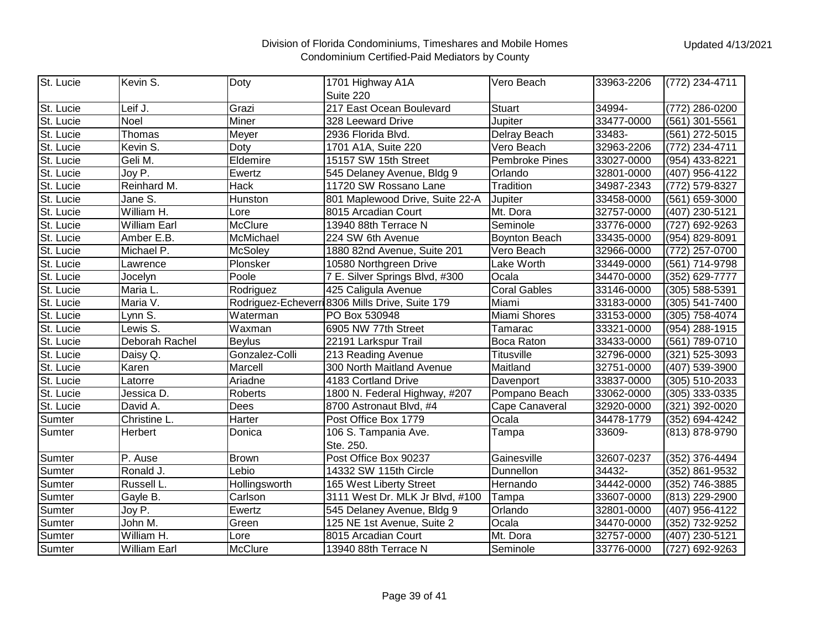| St. Lucie | Kevin S.            | Doty           | 1701 Highway A1A                                | Vero Beach            | 33963-2206 | $(772)$ 234-4711 |
|-----------|---------------------|----------------|-------------------------------------------------|-----------------------|------------|------------------|
|           |                     |                | Suite 220                                       |                       |            |                  |
| St. Lucie | Leif J.             | Grazi          | 217 East Ocean Boulevard                        | <b>Stuart</b>         | 34994-     | (772) 286-0200   |
| St. Lucie | <b>Noel</b>         | Miner          | 328 Leeward Drive                               | Jupiter               | 33477-0000 | (561) 301-5561   |
| St. Lucie | Thomas              | Meyer          | 2936 Florida Blvd.                              | Delray Beach          | 33483-     | (561) 272-5015   |
| St. Lucie | Kevin S.            | Doty           | 1701 A1A, Suite 220                             | Vero Beach            | 32963-2206 | (772) 234-4711   |
| St. Lucie | Geli M.             | Eldemire       | 15157 SW 15th Street                            | <b>Pembroke Pines</b> | 33027-0000 | (954) 433-8221   |
| St. Lucie | Joy P.              | Ewertz         | 545 Delaney Avenue, Bldg 9                      | Orlando               | 32801-0000 | (407) 956-4122   |
| St. Lucie | Reinhard M.         | Hack           | 11720 SW Rossano Lane                           | Tradition             | 34987-2343 | (772) 579-8327   |
| St. Lucie | Jane S.             | Hunston        | 801 Maplewood Drive, Suite 22-A                 | Jupiter               | 33458-0000 | (561) 659-3000   |
| St. Lucie | William H.          | Lore           | 8015 Arcadian Court                             | Mt. Dora              | 32757-0000 | (407) 230-5121   |
| St. Lucie | <b>William Earl</b> | McClure        | 13940 88th Terrace N                            | Seminole              | 33776-0000 | (727) 692-9263   |
| St. Lucie | Amber E.B.          | McMichael      | 224 SW 6th Avenue                               | Boynton Beach         | 33435-0000 | (954) 829-8091   |
| St. Lucie | Michael P.          | <b>McSoley</b> | 1880 82nd Avenue, Suite 201                     | Vero Beach            | 32966-0000 | (772) 257-0700   |
| St. Lucie | Lawrence            | Plonsker       | 10580 Northgreen Drive                          | Lake Worth            | 33449-0000 | (561) 714-9798   |
| St. Lucie | Jocelyn             | Poole          | 7 E. Silver Springs Blvd, #300                  | Ocala                 | 34470-0000 | (352) 629-7777   |
| St. Lucie | Maria L.            | Rodriguez      | 425 Caligula Avenue                             | <b>Coral Gables</b>   | 33146-0000 | (305) 588-5391   |
| St. Lucie | Maria V.            |                | Rodriguez-Echeverri 8306 Mills Drive, Suite 179 | Miami                 | 33183-0000 | (305) 541-7400   |
| St. Lucie | Lynn S.             | Waterman       | PO Box 530948                                   | Miami Shores          | 33153-0000 | (305) 758-4074   |
| St. Lucie | Lewis S.            | Waxman         | 6905 NW 77th Street                             | Tamarac               | 33321-0000 | (954) 288-1915   |
| St. Lucie | Deborah Rachel      | <b>Beylus</b>  | 22191 Larkspur Trail                            | Boca Raton            | 33433-0000 | (561) 789-0710   |
| St. Lucie | Daisy Q.            | Gonzalez-Colli | 213 Reading Avenue                              | Titusville            | 32796-0000 | (321) 525-3093   |
| St. Lucie | Karen               | Marcell        | 300 North Maitland Avenue                       | Maitland              | 32751-0000 | (407) 539-3900   |
| St. Lucie | Latorre             | Ariadne        | 4183 Cortland Drive                             | Davenport             | 33837-0000 | (305) 510-2033   |
| St. Lucie | Jessica D.          | Roberts        | 1800 N. Federal Highway, #207                   | Pompano Beach         | 33062-0000 | (305) 333-0335   |
| St. Lucie | David A.            | Dees           | 8700 Astronaut Blvd, #4                         | Cape Canaveral        | 32920-0000 | (321) 392-0020   |
| Sumter    | Christine L.        | Harter         | Post Office Box 1779                            | Ocala                 | 34478-1779 | (352) 694-4242   |
| Sumter    | Herbert             | Donica         | 106 S. Tampania Ave.                            | Tampa                 | 33609-     | (813) 878-9790   |
|           |                     |                | Ste. 250.                                       |                       |            |                  |
| Sumter    | P. Ause             | Brown          | Post Office Box 90237                           | Gainesville           | 32607-0237 | (352) 376-4494   |
| Sumter    | Ronald J.           | Lebio          | 14332 SW 115th Circle                           | Dunnellon             | 34432-     | (352) 861-9532   |
| Sumter    | Russell L.          | Hollingsworth  | 165 West Liberty Street                         | Hernando              | 34442-0000 | (352) 746-3885   |
| Sumter    | Gayle B.            | Carlson        | 3111 West Dr. MLK Jr Blvd, #100                 | Tampa                 | 33607-0000 | (813) 229-2900   |
| Sumter    | Joy P.              | Ewertz         | 545 Delaney Avenue, Bldg 9                      | Orlando               | 32801-0000 | (407) 956-4122   |
| Sumter    | John M.             | Green          | 125 NE 1st Avenue, Suite 2                      | Ocala                 | 34470-0000 | (352) 732-9252   |
| Sumter    | William H.          | Lore           | 8015 Arcadian Court                             | Mt. Dora              | 32757-0000 | (407) 230-5121   |
| Sumter    | William Earl        | <b>McClure</b> | 13940 88th Terrace N                            | Seminole              | 33776-0000 | (727) 692-9263   |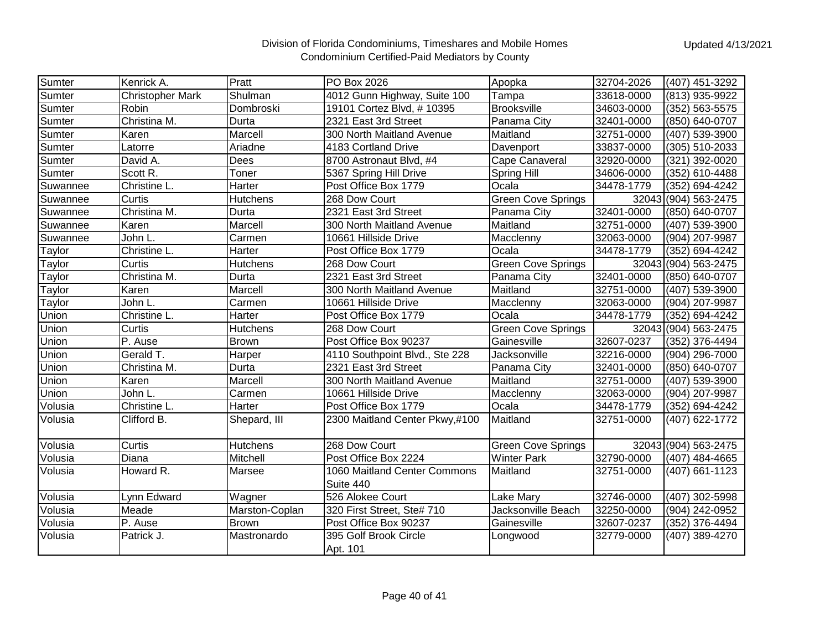| Sumter   | Kenrick A.              | Pratt           | PO Box 2026                    | Apopka                    | 32704-2026 | (407) 451-3292       |
|----------|-------------------------|-----------------|--------------------------------|---------------------------|------------|----------------------|
| Sumter   | <b>Christopher Mark</b> | Shulman         | 4012 Gunn Highway, Suite 100   | Tampa                     | 33618-0000 | (813) 935-9922       |
| Sumter   | Robin                   | Dombroski       | 19101 Cortez Blvd, #10395      | <b>Brooksville</b>        | 34603-0000 | (352) 563-5575       |
| Sumter   | Christina M.            | Durta           | 2321 East 3rd Street           | Panama City               | 32401-0000 | (850) 640-0707       |
| Sumter   | Karen                   | Marcell         | 300 North Maitland Avenue      | Maitland                  | 32751-0000 | (407) 539-3900       |
| Sumter   | Latorre                 | Ariadne         | 4183 Cortland Drive            | Davenport                 | 33837-0000 | (305) 510-2033       |
| Sumter   | David A.                | Dees            | 8700 Astronaut Blvd, #4        | Cape Canaveral            | 32920-0000 | (321) 392-0020       |
| Sumter   | Scott R.                | Toner           | 5367 Spring Hill Drive         | <b>Spring Hill</b>        | 34606-0000 | (352) 610-4488       |
| Suwannee | Christine L.            | Harter          | Post Office Box 1779           | Ocala                     | 34478-1779 | (352) 694-4242       |
| Suwannee | Curtis                  | <b>Hutchens</b> | 268 Dow Court                  | <b>Green Cove Springs</b> |            | 32043 (904) 563-2475 |
| Suwannee | Christina M.            | Durta           | 2321 East 3rd Street           | Panama City               | 32401-0000 | (850) 640-0707       |
| Suwannee | Karen                   | Marcell         | 300 North Maitland Avenue      | Maitland                  | 32751-0000 | (407) 539-3900       |
| Suwannee | John L.                 | Carmen          | 10661 Hillside Drive           | Macclenny                 | 32063-0000 | (904) 207-9987       |
| Taylor   | Christine L.            | Harter          | Post Office Box 1779           | Ocala                     | 34478-1779 | (352) 694-4242       |
| Taylor   | Curtis                  | <b>Hutchens</b> | 268 Dow Court                  | Green Cove Springs        |            | 32043 (904) 563-2475 |
| Taylor   | Christina M.            | Durta           | 2321 East 3rd Street           | Panama City               | 32401-0000 | (850) 640-0707       |
| Taylor   | Karen                   | Marcell         | 300 North Maitland Avenue      | Maitland                  | 32751-0000 | (407) 539-3900       |
| Taylor   | John L.                 | Carmen          | 10661 Hillside Drive           | Macclenny                 | 32063-0000 | (904) 207-9987       |
| Union    | Christine L.            | Harter          | Post Office Box 1779           | Ocala                     | 34478-1779 | (352) 694-4242       |
| Union    | Curtis                  | <b>Hutchens</b> | 268 Dow Court                  | <b>Green Cove Springs</b> |            | 32043 (904) 563-2475 |
| Union    | P. Ause                 | <b>Brown</b>    | Post Office Box 90237          | Gainesville               | 32607-0237 | (352) 376-4494       |
| Union    | Gerald T.               | Harper          | 4110 Southpoint Blvd., Ste 228 | Jacksonville              | 32216-0000 | (904) 296-7000       |
| Union    | Christina M.            | Durta           | 2321 East 3rd Street           | Panama City               | 32401-0000 | (850) 640-0707       |
| Union    | Karen                   | Marcell         | 300 North Maitland Avenue      | Maitland                  | 32751-0000 | (407) 539-3900       |
| Union    | John L.                 | Carmen          | 10661 Hillside Drive           | Macclenny                 | 32063-0000 | (904) 207-9987       |
| Volusia  | Christine L.            | Harter          | Post Office Box 1779           | Ocala                     | 34478-1779 | (352) 694-4242       |
| Volusia  | Clifford B.             | Shepard, III    | 2300 Maitland Center Pkwy,#100 | Maitland                  | 32751-0000 | (407) 622-1772       |
| Volusia  | Curtis                  | Hutchens        | 268 Dow Court                  | Green Cove Springs        |            | 32043 (904) 563-2475 |
| Volusia  | Diana                   | Mitchell        | Post Office Box 2224           | <b>Winter Park</b>        | 32790-0000 | (407) 484-4665       |
| Volusia  | Howard R.               | Marsee          | 1060 Maitland Center Commons   | Maitland                  | 32751-0000 | (407) 661-1123       |
|          |                         |                 | Suite 440                      |                           |            |                      |
| Volusia  | Lynn Edward             | Wagner          | 526 Alokee Court               | Lake Mary                 | 32746-0000 | (407) 302-5998       |
| Volusia  | Meade                   | Marston-Coplan  | 320 First Street, Ste# 710     | Jacksonville Beach        | 32250-0000 | (904) 242-0952       |
| Volusia  | P. Ause                 | <b>Brown</b>    | Post Office Box 90237          | Gainesville               | 32607-0237 | (352) 376-4494       |
| Volusia  | Patrick J.              | Mastronardo     | 395 Golf Brook Circle          | Longwood                  | 32779-0000 | (407) 389-4270       |
|          |                         |                 | Apt. 101                       |                           |            |                      |